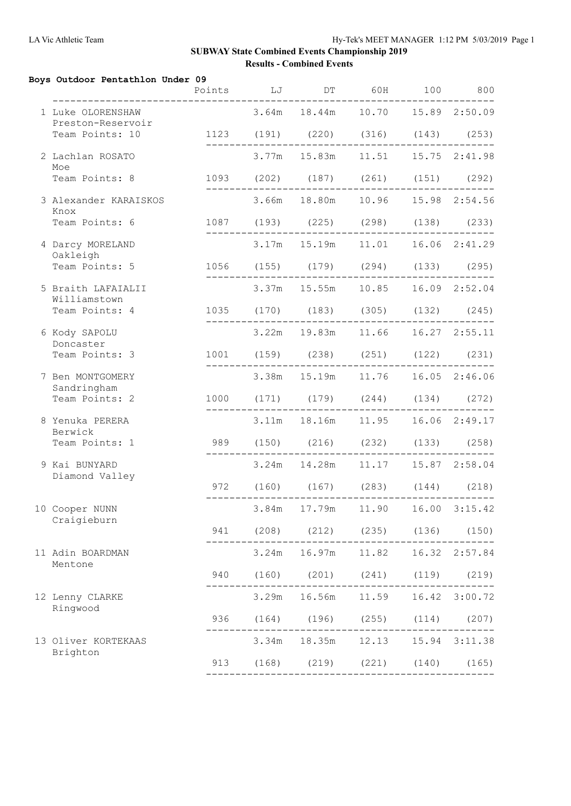## **Boys Outdoor Pentathlon Under 09**

|                                        | Points | LJ    | DT | 60H                                                                          | 100 | 800             |
|----------------------------------------|--------|-------|----|------------------------------------------------------------------------------|-----|-----------------|
| 1 Luke OLORENSHAW<br>Preston-Reservoir |        |       |    | 3.64m 18.44m 10.70 15.89 2:50.09                                             |     |                 |
| Team Points: 10                        |        |       |    | 1123 (191) (220) (316) (143) (253)                                           |     |                 |
| 2 Lachlan ROSATO<br>Moe                |        |       |    | 3.77m 15.83m 11.51 15.75 2:41.98                                             |     |                 |
| Team Points: 8                         |        |       |    | 1093 (202) (187) (261) (151) (292)<br>-------------------------------------- |     |                 |
| 3 Alexander KARAISKOS<br>Knox          |        |       |    | 3.66m 18.80m 10.96 15.98 2:54.56                                             |     |                 |
| Team Points: 6                         |        |       |    | 1087 (193) (225) (298) (138) (233)                                           |     |                 |
| 4 Darcy MORELAND<br>Oakleigh           |        |       |    | 3.17m 15.19m 11.01 16.06 2:41.29                                             |     |                 |
| Team Points: 5                         |        |       |    | 1056 (155) (179) (294) (133) (295)                                           |     |                 |
| 5 Braith LAFAIALII<br>Williamstown     |        |       |    | 3.37m 15.55m 10.85 16.09 2:52.04                                             |     |                 |
| Team Points: 4                         |        |       |    | 1035 (170) (183) (305) (132) (245)<br>--------                               |     |                 |
| 6 Kody SAPOLU<br>Doncaster             |        |       |    | 3.22m 19.83m 11.66 16.27 2:55.11                                             |     |                 |
| Team Points: 3                         |        |       |    | 1001 (159) (238) (251) (122) (231)                                           |     |                 |
| 7 Ben MONTGOMERY<br>Sandringham        |        |       |    | 3.38m 15.19m 11.76 16.05 2:46.06                                             |     |                 |
| Team Points: 2                         |        |       |    | 1000 (171) (179) (244) (134) (272)                                           |     |                 |
| 8 Yenuka PERERA<br>Berwick             |        |       |    | 3.11m 18.16m 11.95 16.06 2:49.17                                             |     |                 |
| Team Points: 1                         | 989    |       |    | $(150)$ $(216)$ $(232)$ $(133)$ $(258)$                                      |     |                 |
| 9 Kai BUNYARD<br>Diamond Valley        |        |       |    | 3.24m 14.28m 11.17 15.87 2:58.04                                             |     |                 |
|                                        |        |       |    | 972 (160) (167) (283) (144) (218)                                            |     |                 |
| 10 Cooper NUNN<br>Craigieburn          |        |       |    | 3.84m 17.79m 11.90 16.00 3:15.42                                             |     |                 |
|                                        | 941    | (208) |    | $(212)$ $(235)$ $(136)$ $(150)$                                              |     |                 |
| 11 Adin BOARDMAN<br>Mentone            |        | 3.24m |    | 16.97m 11.82                                                                 |     | 16.32 2:57.84   |
|                                        | 940    |       |    | $(160)$ $(201)$ $(241)$ $(119)$                                              |     | (219)           |
| 12 Lenny CLARKE<br>Ringwood            |        | 3.29m |    | 16.56m 11.59                                                                 |     | 16.42 3:00.72   |
|                                        | 936    |       |    | $(164)$ $(196)$ $(255)$ $(114)$ $(207)$                                      |     |                 |
| 13 Oliver KORTEKAAS<br>Brighton        |        |       |    | 3.34m 18.35m 12.13                                                           |     | 15.94 3:11.38   |
|                                        | 913    |       |    | $(168)$ $(219)$ $(221)$                                                      |     | $(140)$ $(165)$ |
|                                        |        |       |    |                                                                              |     |                 |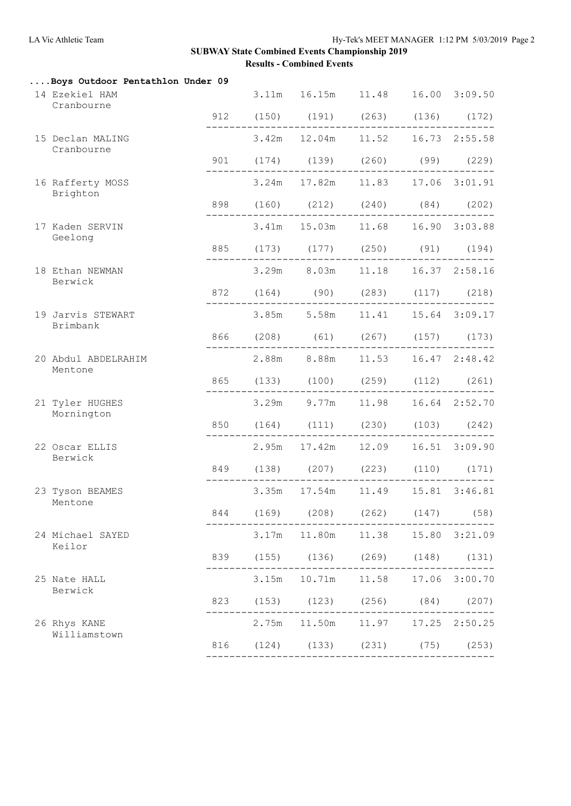| Boys Outdoor Pentathlon Under 09 |                   |       |                                                                           |                               |                         |  |
|----------------------------------|-------------------|-------|---------------------------------------------------------------------------|-------------------------------|-------------------------|--|
| 14 Ezekiel HAM<br>Cranbourne     |                   |       | 3.11m  16.15m  11.48  16.00  3:09.50                                      |                               |                         |  |
|                                  |                   |       | 912 (150) (191) (263) (136) (172)                                         |                               |                         |  |
| 15 Declan MALING<br>Cranbourne   |                   |       | 3.42m 12.04m 11.52 16.73 2:55.58                                          |                               |                         |  |
|                                  |                   |       | 901 (174) (139) (260) (99) (229)<br>---------------------------------     |                               |                         |  |
| 16 Rafferty MOSS<br>Brighton     |                   |       | 3.24m  17.82m  11.83  17.06  3:01.91                                      |                               |                         |  |
|                                  |                   |       | 898 (160) (212) (240) (84) (202)                                          |                               |                         |  |
| 17 Kaden SERVIN<br>Geelong       |                   |       | 3.41m  15.03m  11.68  16.90  3:03.88                                      |                               |                         |  |
|                                  |                   |       | 885 (173) (177) (250) (91) (194)<br>------------------------------------- |                               |                         |  |
| 18 Ethan NEWMAN<br>Berwick       |                   |       | 3.29m 8.03m 11.18 16.37 2:58.16                                           |                               |                         |  |
|                                  | $- - - - - - - -$ |       | 872 (164) (90) (283) (117) (218)                                          |                               | . _ _ _ _ _ _ _ _ _ _ _ |  |
| 19 Jarvis STEWART<br>Brimbank    |                   |       | 3.85m 5.58m 11.41 15.64 3:09.17                                           |                               |                         |  |
|                                  |                   |       | 866 (208) (61) (267) (157) (173)                                          |                               |                         |  |
| 20 Abdul ABDELRAHIM<br>Mentone   |                   |       | 2.88m 8.88m 11.53 16.47 2:48.42                                           |                               |                         |  |
|                                  |                   |       | 865 (133) (100) (259) (112) (261)<br>_____________________________        |                               |                         |  |
| 21 Tyler HUGHES<br>Mornington    |                   |       | 3.29m 9.77m 11.98 16.64 2:52.70                                           |                               |                         |  |
|                                  |                   |       | 850 (164) (111) (230) (103) (242)                                         |                               |                         |  |
| 22 Oscar ELLIS<br>Berwick        |                   |       | 2.95m 17.42m 12.09 16.51 3:09.90                                          |                               |                         |  |
|                                  |                   |       | 849 (138) (207) (223) (110) (171)                                         |                               |                         |  |
| 23 Tyson BEAMES<br>Mentone       |                   |       | 3.35m  17.54m  11.49  15.81  3:46.81                                      |                               |                         |  |
|                                  |                   |       | 844 (169) (208) (262) (147) (58)<br>__________________________________    |                               |                         |  |
| 24 Michael SAYED<br>Keilor       |                   |       | 3.17m  11.80m  11.38  15.80  3:21.09                                      |                               |                         |  |
|                                  |                   |       | 839 (155) (136) (269) (148) (131)                                         |                               |                         |  |
| 25 Nate HALL<br>Berwick          |                   | 3.15m |                                                                           | 10.71m  11.58  17.06  3:00.70 |                         |  |
|                                  |                   |       | 823 (153) (123) (256) (84) (207)                                          |                               |                         |  |
| 26 Rhys KANE<br>Williamstown     |                   |       | 2.75m 11.50m 11.97 17.25 2:50.25                                          |                               |                         |  |
|                                  |                   |       | 816 (124) (133) (231) (75) (253)                                          |                               |                         |  |
|                                  |                   |       |                                                                           |                               |                         |  |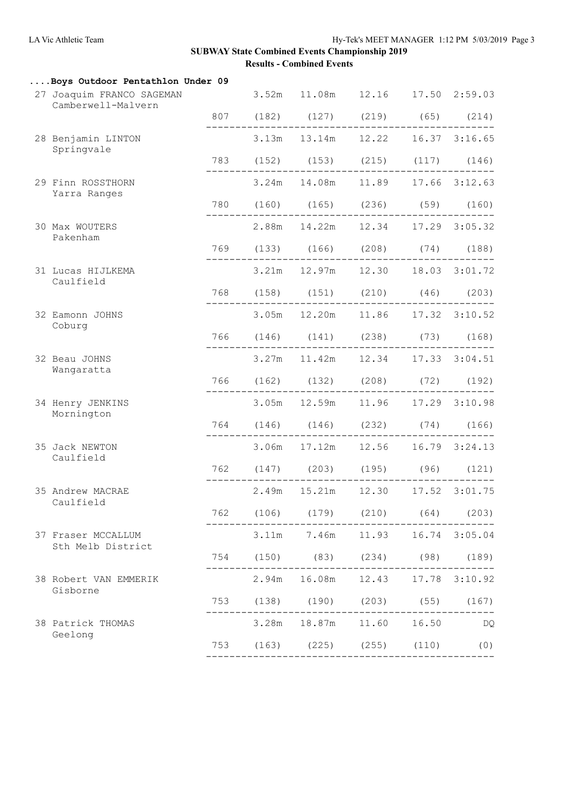|  | Boys Outdoor Pentathlon Under 09                |  |                                                                              |                   |  |
|--|-------------------------------------------------|--|------------------------------------------------------------------------------|-------------------|--|
|  | 27 Joaquim FRANCO SAGEMAN<br>Camberwell-Malvern |  | $3.52m$ 11.08m 12.16 17.50 2:59.03                                           |                   |  |
|  |                                                 |  | 807 (182) (127) (219) (65) (214)<br>------------------------------------     |                   |  |
|  | 28 Benjamin LINTON<br>Springvale                |  | 3.13m 13.14m 12.22 16.37 3:16.65                                             |                   |  |
|  |                                                 |  | 783 (152) (153) (215) (117) (146)                                            |                   |  |
|  | 29 Finn ROSSTHORN                               |  | 3.24m 14.08m 11.89 17.66 3:12.63                                             |                   |  |
|  | Yarra Ranges                                    |  | 780 (160) (165) (236) (59) (160)                                             |                   |  |
|  | 30 Max WOUTERS<br>Pakenham                      |  | 2.88m  14.22m  12.34  17.29  3:05.32                                         |                   |  |
|  |                                                 |  | 769 (133) (166) (208) (74) (188)                                             |                   |  |
|  | 31 Lucas HIJLKEMA<br>Caulfield                  |  | 3.21m 12.97m 12.30 18.03 3:01.72                                             |                   |  |
|  |                                                 |  | 768 (158) (151) (210) (46) (203)                                             |                   |  |
|  | 32 Eamonn JOHNS                                 |  | 3.05m  12.20m  11.86  17.32  3:10.52                                         |                   |  |
|  | Coburg                                          |  | 766 (146) (141) (238) (73) (168)                                             |                   |  |
|  | 32 Beau JOHNS                                   |  | 3.27m 11.42m 12.34 17.33 3:04.51                                             |                   |  |
|  | Wangaratta                                      |  | 766 (162) (132) (208) (72) (192)                                             |                   |  |
|  | 34 Henry JENKINS                                |  | ------------------------------------<br>3.05m  12.59m  11.96  17.29  3:10.98 |                   |  |
|  | Mornington                                      |  | 764 (146) (146) (232) (74) (166)                                             |                   |  |
|  | 35 Jack NEWTON                                  |  | 3.06m  17.12m  12.56  16.79  3:24.13                                         |                   |  |
|  | Caulfield                                       |  | 762 (147) (203) (195) (96) (121)                                             |                   |  |
|  | 35 Andrew MACRAE                                |  | 2.49m 15.21m 12.30 17.52 3:01.75                                             |                   |  |
|  | Caulfield                                       |  | 762 (106) (179) (210) (64) (203)                                             |                   |  |
|  | 37 Fraser MCCALLUM                              |  | 3.11m 7.46m 11.93 16.74 3:05.04                                              |                   |  |
|  | Sth Melb District                               |  | 754 (150) (83) (234) (98) (189)                                              |                   |  |
|  | 38 Robert VAN EMMERIK                           |  | 2.94m 16.08m 12.43 17.78 3:10.92                                             |                   |  |
|  | Gisborne                                        |  | 753 (138) (190) (203) (55) (167)                                             |                   |  |
|  | 38 Patrick THOMAS                               |  | 3.28m 18.87m 11.60 16.50 DQ                                                  | . _ _ _ _ _ _ _ . |  |
|  | Geelong                                         |  | 753 (163) (225) (255) (110) (0)                                              |                   |  |
|  |                                                 |  |                                                                              |                   |  |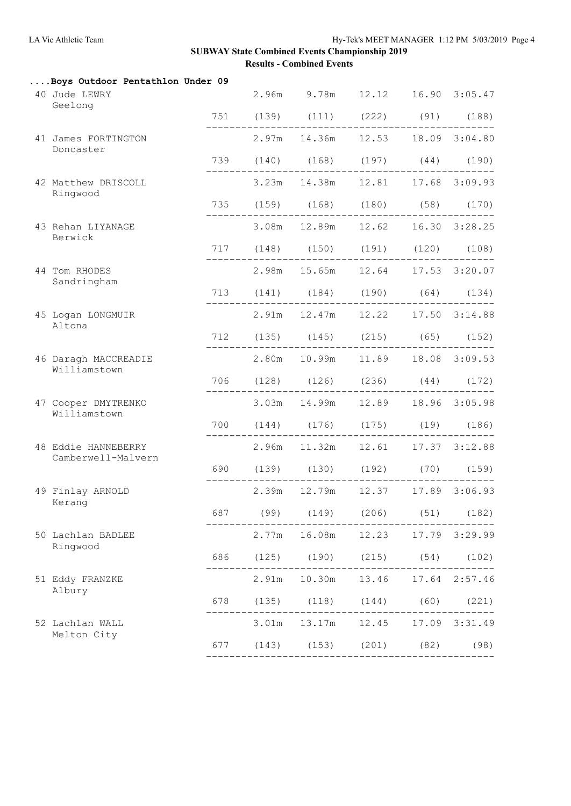| Boys Outdoor Pentathlon Under 09          |     |       |                   |                                                                  |  |
|-------------------------------------------|-----|-------|-------------------|------------------------------------------------------------------|--|
| 40 Jude LEWRY<br>Geelong                  |     |       |                   | 2.96m 9.78m 12.12 16.90 3:05.47                                  |  |
|                                           |     |       |                   | 751 (139) (111) (222) (91) (188)                                 |  |
| 41 James FORTINGTON<br>Doncaster          |     |       |                   | 2.97m 14.36m 12.53 18.09 3:04.80                                 |  |
|                                           |     |       |                   | 739 (140) (168) (197) (44) (190)                                 |  |
| 42 Matthew DRISCOLL<br>Ringwood           |     |       |                   | 3.23m 14.38m 12.81 17.68 3:09.93                                 |  |
|                                           |     |       |                   | 735 (159) (168) (180) (58) (170)                                 |  |
| 43 Rehan LIYANAGE<br>Berwick              |     |       |                   | 3.08m  12.89m  12.62  16.30  3:28.25                             |  |
|                                           |     |       |                   | 717 (148) (150) (191) (120) (108)                                |  |
| 44 Tom RHODES<br>Sandringham              |     |       |                   | 2.98m 15.65m 12.64 17.53 3:20.07                                 |  |
|                                           |     |       |                   | 713 (141) (184) (190) (64) (134)                                 |  |
| 45 Logan LONGMUIR<br>Altona               |     |       |                   | 2.91m 12.47m 12.22 17.50 3:14.88                                 |  |
|                                           |     |       |                   | 712 (135) (145) (215) (65) (152)                                 |  |
| 46 Daragh MACCREADIE<br>Williamstown      |     |       |                   | 2.80m  10.99m  11.89  18.08  3:09.53                             |  |
|                                           |     |       |                   | 706 (128) (126) (236) (44) (172)<br>____________________________ |  |
| 47 Cooper DMYTRENKO<br>Williamstown       |     |       |                   | 3.03m 14.99m 12.89 18.96 3:05.98                                 |  |
|                                           |     |       |                   | 700 (144) (176) (175) (19) (186)                                 |  |
| 48 Eddie HANNEBERRY<br>Camberwell-Malvern |     |       |                   | 2.96m 11.32m 12.61 17.37 3:12.88                                 |  |
|                                           |     |       |                   | 690 (139) (130) (192) (70) (159)                                 |  |
| 49 Finlay ARNOLD<br>Kerang                |     |       |                   | 2.39m 12.79m 12.37 17.89 3:06.93                                 |  |
|                                           |     |       | _________________ | 687 (99) (149) (206) (51) (182)                                  |  |
| 50 Lachlan BADLEE<br>Ringwood             |     |       |                   | 2.77m 16.08m 12.23 17.79 3:29.99                                 |  |
|                                           |     |       |                   | 686 (125) (190) (215) (54) (102)                                 |  |
| 51 Eddy FRANZKE<br>Albury                 |     | 2.91m |                   | 10.30m  13.46  17.64  2:57.46                                    |  |
|                                           | 678 |       |                   | $(135)$ $(118)$ $(144)$ $(60)$ $(221)$                           |  |
| 52 Lachlan WALL<br>Melton City            |     | 3.01m |                   | 13.17m  12.45  17.09  3:31.49                                    |  |
|                                           |     |       |                   | 677 (143) (153) (201) (82) (98)                                  |  |
|                                           |     |       |                   |                                                                  |  |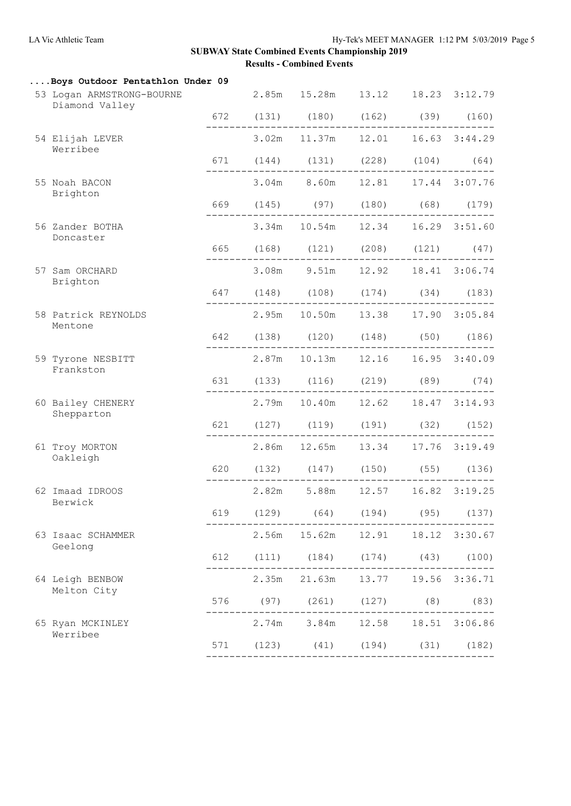| Boys Outdoor Pentathlon Under 09            |     |       |                                       |                               |       |
|---------------------------------------------|-----|-------|---------------------------------------|-------------------------------|-------|
| 53 Logan ARMSTRONG-BOURNE<br>Diamond Valley |     |       | 2.85m 15.28m 13.12 18.23 3:12.79      |                               |       |
|                                             |     |       | 672 (131) (180) (162) (39) (160)      |                               |       |
| 54 Elijah LEVER<br>Werribee                 |     |       | 3.02m 11.37m 12.01 16.63 3:44.29      |                               |       |
|                                             |     |       | 671 (144) (131) (228) (104) (64)      |                               |       |
| 55 Noah BACON<br>Brighton                   |     |       | 3.04m 8.60m 12.81 17.44 3:07.76       |                               |       |
|                                             |     |       | 669 (145) (97) (180) (68) (179)       |                               |       |
| 56 Zander BOTHA                             |     |       | 3.34m 10.54m 12.34 16.29 3:51.60      |                               |       |
| Doncaster                                   |     |       | 665 (168) (121) (208) (121) (47)      |                               |       |
| 57 Sam ORCHARD<br>Brighton                  |     |       | 3.08m 9.51m 12.92 18.41 3:06.74       |                               |       |
|                                             |     |       | 647 (148) (108) (174) (34) (183)      |                               |       |
| 58 Patrick REYNOLDS                         |     |       | 2.95m 10.50m 13.38 17.90 3:05.84      |                               |       |
| Mentone                                     |     |       | 642 (138) (120) (148) (50) (186)      |                               |       |
| 59 Tyrone NESBITT                           |     |       | 2.87m 10.13m 12.16 16.95 3:40.09      |                               |       |
| Frankston                                   |     |       | 631 (133) (116) (219) (89) (74)       |                               |       |
| 60 Bailey CHENERY                           |     |       | 2.79m 10.40m 12.62 18.47 3:14.93      |                               |       |
| Shepparton                                  |     |       | 621 (127) (119) (191) (32) (152)      |                               |       |
| 61 Troy MORTON<br>Oakleigh                  |     |       | 2.86m 12.65m 13.34 17.76 3:19.49      |                               |       |
|                                             |     |       | 620 (132) (147) (150) (55) (136)      | --------------------          |       |
| 62 Imaad IDROOS<br>Berwick                  |     |       | 2.82m 5.88m 12.57 16.82 3:19.25       |                               |       |
|                                             | 619 |       | $(129)$ $(64)$ $(194)$ $(95)$ $(137)$ |                               |       |
| 63 Isaac SCHAMMER                           |     |       | 2.56m 15.62m 12.91 18.12 3:30.67      |                               |       |
| Geelong                                     | 612 |       | $(111)$ $(184)$ $(174)$ $(43)$        |                               | (100) |
| 64 Leigh BENBOW<br>Melton City              |     | 2.35m |                                       | 21.63m  13.77  19.56  3:36.71 |       |
|                                             |     |       | 576 (97) (261) (127) (8) (83)         |                               |       |
| 65 Ryan MCKINLEY                            |     |       | 2.74m 3.84m 12.58 18.51 3:06.86       |                               |       |
| Werribee                                    |     |       | 571 (123) (41) (194) (31) (182)       |                               |       |
|                                             |     |       |                                       |                               |       |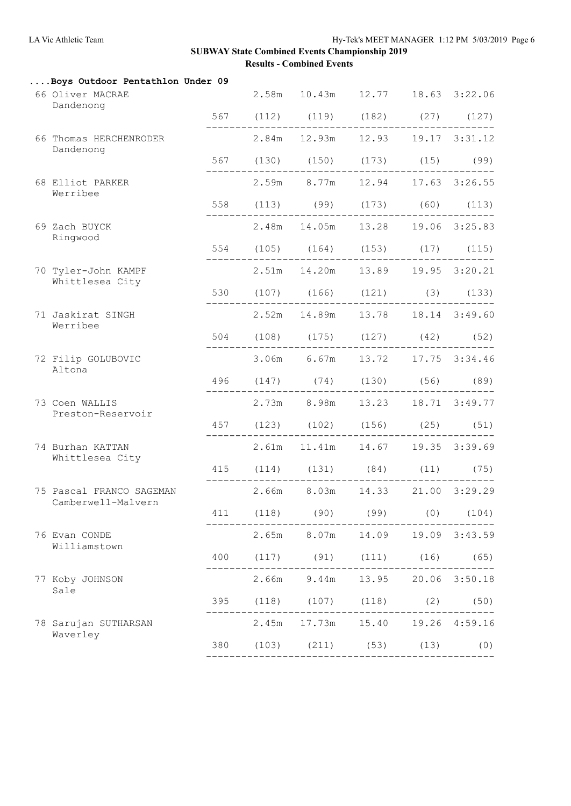|  | Boys Outdoor Pentathlon Under 09    |  |                                                       |  |  |
|--|-------------------------------------|--|-------------------------------------------------------|--|--|
|  | 66 Oliver MACRAE<br>Dandenong       |  | 2.58m  10.43m  12.77  18.63  3:22.06                  |  |  |
|  |                                     |  | 567 (112) (119) (182) (27) (127)                      |  |  |
|  | 66 Thomas HERCHENRODER<br>Dandenong |  | 2.84m 12.93m 12.93 19.17 3:31.12                      |  |  |
|  |                                     |  | 567 (130) (150) (173) (15) (99)                       |  |  |
|  | 68 Elliot PARKER<br>Werribee        |  | 2.59m 8.77m 12.94 17.63 3:26.55                       |  |  |
|  |                                     |  | 558 (113) (99) (173) (60) (113)                       |  |  |
|  | 69 Zach BUYCK                       |  | 2.48m 14.05m 13.28 19.06 3:25.83                      |  |  |
|  | Ringwood                            |  | 554 (105) (164) (153) (17) (115)                      |  |  |
|  | 70 Tyler-John KAMPF                 |  | 2.51m  14.20m  13.89  19.95  3:20.21                  |  |  |
|  | Whittlesea City                     |  | 530 (107) (166) (121) (3) (133)                       |  |  |
|  | 71 Jaskirat SINGH<br>Werribee       |  | 2.52m 14.89m 13.78 18.14 3:49.60                      |  |  |
|  |                                     |  | 504 (108) (175) (127) (42) (52)                       |  |  |
|  | 72 Filip GOLUBOVIC<br>Altona        |  | 3.06m 6.67m 13.72 17.75 3:34.46                       |  |  |
|  |                                     |  | 496 (147) (74) (130) (56) (89)                        |  |  |
|  | 73 Coen WALLIS                      |  | 2.73m 8.98m 13.23 18.71 3:49.77                       |  |  |
|  | Preston-Reservoir                   |  | 457 (123) (102) (156) (25) (51)                       |  |  |
|  | 74 Burhan KATTAN                    |  | 2.61m 11.41m 14.67 19.35 3:39.69                      |  |  |
|  | Whittlesea City                     |  | 415 (114) (131) (84) (11) (75)                        |  |  |
|  | 75 Pascal FRANCO SAGEMAN            |  | 2.66m 8.03m 14.33 21.00 3:29.29                       |  |  |
|  | Camberwell-Malvern                  |  | 411 (118) (90) (99) (0) (104)                         |  |  |
|  | 76 Evan CONDE                       |  | 2.65m 8.07m 14.09 19.09 3:43.59                       |  |  |
|  | Williamstown                        |  | 400 (117) (91) (111) (16) (65)<br>___________________ |  |  |
|  | 77 Koby JOHNSON                     |  | 2.66m 9.44m 13.95 20.06 3:50.18                       |  |  |
|  | Sale                                |  | 395 (118) (107) (118) (2) (50)                        |  |  |
|  | 78 Sarujan SUTHARSAN                |  | 2.45m 17.73m 15.40 19.26 4:59.16                      |  |  |
|  | Waverley                            |  | 380 (103) (211) (53) (13) (0)                         |  |  |
|  |                                     |  |                                                       |  |  |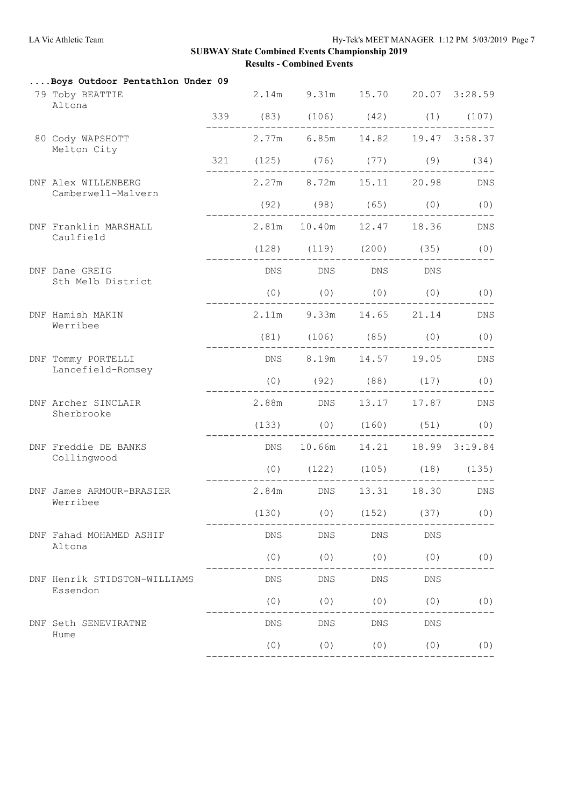|  | Boys Outdoor Pentathlon Under 09          |       |                                      |                               |                |            |
|--|-------------------------------------------|-------|--------------------------------------|-------------------------------|----------------|------------|
|  | 79 Toby BEATTIE<br>Altona                 |       | 2.14m 9.31m 15.70 20.07 3:28.59      |                               |                |            |
|  |                                           |       | 339 (83) (106) (42) (1) (107)        |                               |                |            |
|  | 80 Cody WAPSHOTT<br>Melton City           |       | 2.77m 6.85m 14.82 19.47 3:58.37      |                               |                |            |
|  |                                           |       | 321 (125) (76) (77) (9) (34)         |                               |                |            |
|  | DNF Alex WILLENBERG<br>Camberwell-Malvern |       | 2.27m 8.72m 15.11 20.98              |                               |                | <b>DNS</b> |
|  |                                           |       | $(92)$ $(98)$ $(65)$ $(0)$           |                               |                | (0)        |
|  | DNF Franklin MARSHALL<br>Caulfield        |       | 2.81m  10.40m  12.47  18.36          |                               |                | <b>DNS</b> |
|  |                                           |       | $(128)$ $(119)$ $(200)$ $(35)$       |                               |                | (0)        |
|  | DNF Dane GREIG<br>Sth Melb District       | DNS   | DNS DNS DNS                          |                               |                |            |
|  |                                           | (0)   |                                      | $(0)$ $(0)$ $(0)$             |                | (0)        |
|  | DNF Hamish MAKIN<br>Werribee              |       | 2.11m 9.33m 14.65 21.14 DNS          |                               |                |            |
|  |                                           |       | $(81)$ $(106)$ $(85)$ $(0)$          |                               |                | (0)        |
|  | DNF Tommy PORTELLI<br>Lancefield-Romsey   |       | DNS 8.19m 14.57 19.05 DNS            |                               |                |            |
|  |                                           |       | $(0)$ $(92)$ $(88)$ $(17)$ $(0)$     |                               |                |            |
|  | DNF Archer SINCLAIR<br>Sherbrooke         |       | 2.88m DNS 13.17 17.87 DNS            |                               |                |            |
|  |                                           |       | $(133)$ (0) $(160)$ (51) (0)         |                               |                |            |
|  | DNF Freddie DE BANKS<br>Collingwood       | DNS   |                                      | 10.66m  14.21  18.99  3:19.84 |                |            |
|  |                                           |       | $(0)$ $(122)$ $(105)$ $(18)$ $(135)$ |                               |                |            |
|  | DNF James ARMOUR-BRASIER<br>Werribee      |       | 2.84m DNS 13.31 18.30                |                               |                | <b>DNS</b> |
|  |                                           | (130) | (0)                                  |                               | $(152)$ $(37)$ | (0)        |
|  | DNF Fahad MOHAMED ASHIF<br>Altona         | DNS   | DNS                                  | DNS                           | DNS            |            |
|  |                                           | (0)   | (0)                                  | (0)                           | (0)            | (0)        |
|  | DNF Henrik STIDSTON-WILLIAMS<br>Essendon  | DNS   | <b>DNS</b>                           | DNS                           | DNS            |            |
|  |                                           | (0)   | (0)                                  | (0)                           | (0)            | (0)        |
|  | DNF Seth SENEVIRATNE                      | DNS   | <b>DNS</b>                           | $\mathop{\rm DNS}$            | <b>DNS</b>     |            |
|  | Hume                                      | (0)   | (0)                                  | (0)                           | (0)            | (0)        |
|  |                                           |       |                                      |                               |                |            |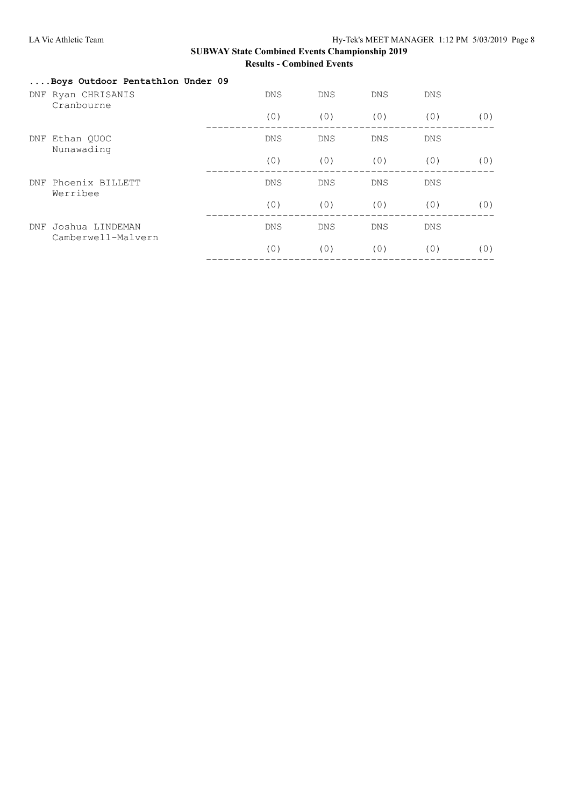|     | Boys Outdoor Pentathlon Under 09 |            |            |            |            |     |
|-----|----------------------------------|------------|------------|------------|------------|-----|
| DNF | Ryan CHRISANIS<br>Cranbourne     | <b>DNS</b> | <b>DNS</b> | <b>DNS</b> | <b>DNS</b> |     |
|     |                                  | (0)        | (0)        | (0)        | (0)        | (0) |
| DNF | Ethan QUOC<br>Nunawading         | <b>DNS</b> | <b>DNS</b> | DNS        | <b>DNS</b> |     |
|     |                                  | (0)        | (0)        | (0)        | (0)        | (0) |
| DNF | Phoenix BILLETT<br>Werribee      | <b>DNS</b> | DNS        | DNS        | <b>DNS</b> |     |
|     |                                  | (0)        | (0)        | (0)        | (0)        | (0) |
| DNF | Joshua LINDEMAN                  | <b>DNS</b> | <b>DNS</b> | <b>DNS</b> | <b>DNS</b> |     |
|     | Camberwell-Malvern               | (0)        | (0)        | (0)        | (0)        | (0) |
|     |                                  |            |            |            |            |     |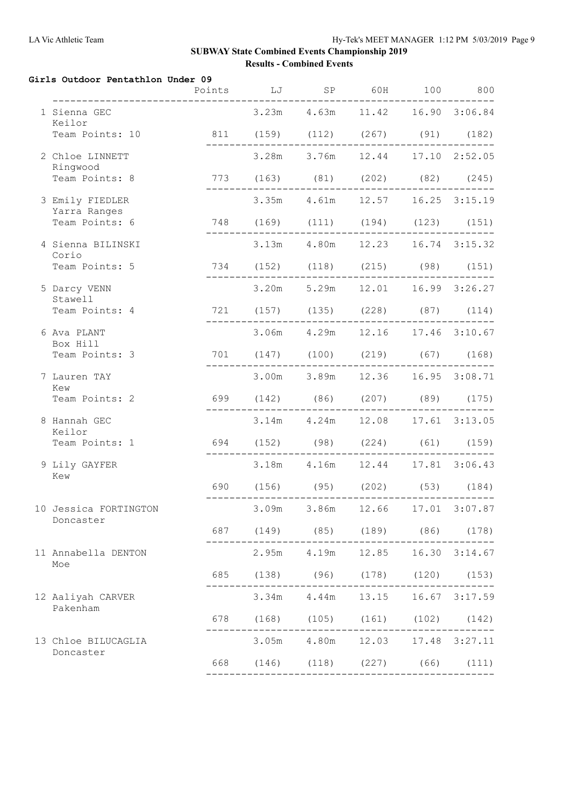#### **Girls Outdoor Pentathlon Under 09**

|                                | Points | LJ                                | SP | 60H                                    | 100 | 800           |
|--------------------------------|--------|-----------------------------------|----|----------------------------------------|-----|---------------|
| 1 Sienna GEC<br>Keilor         |        |                                   |    | 3.23m  4.63m  11.42  16.90  3:06.84    |     |               |
| Team Points: 10                |        | 811 (159) (112) (267) (91) (182)  |    |                                        |     |               |
| 2 Chloe LINNETT<br>Ringwood    |        |                                   |    | 3.28m 3.76m 12.44 17.10 2:52.05        |     |               |
| Team Points: 8                 | 773    |                                   |    | $(163)$ $(81)$ $(202)$ $(82)$ $(245)$  |     |               |
| 3 Emily FIEDLER                |        |                                   |    | 3.35m  4.61m  12.57  16.25  3:15.19    |     |               |
| Yarra Ranges<br>Team Points: 6 |        | 748 (169) (111) (194) (123) (151) |    |                                        |     |               |
| 4 Sienna BILINSKI<br>Corio     |        |                                   |    | 3.13m  4.80m  12.23  16.74  3:15.32    |     |               |
| Team Points: 5                 |        | 734 (152) (118) (215) (98) (151)  |    |                                        |     |               |
| 5 Darcy VENN<br>Stawell        |        |                                   |    | 3.20m 5.29m 12.01 16.99 3:26.27        |     |               |
| Team Points: 4                 |        | 721 (157) (135) (228) (87) (114)  |    | -----------------------------          |     |               |
| 6 Ava PLANT                    |        |                                   |    | 3.06m  4.29m  12.16  17.46  3:10.67    |     |               |
| Box Hill<br>Team Points: 3     |        | 701 (147) (100) (219) (67) (168)  |    |                                        |     |               |
| 7 Lauren TAY<br>Kew            |        |                                   |    | 3.00m 3.89m 12.36 16.95 3:08.71        |     |               |
| Team Points: 2                 |        | 699 (142) (86) (207) (89) (175)   |    |                                        |     |               |
| 8 Hannah GEC<br>Keilor         |        |                                   |    | 3.14m  4.24m  12.08  17.61  3:13.05    |     |               |
| Team Points: 1                 | 694    |                                   |    | $(152)$ (98) $(224)$ (61) $(159)$      |     |               |
| 9 Lily GAYFER                  |        |                                   |    | 3.18m  4.16m  12.44  17.81  3:06.43    |     |               |
| Kew                            |        | 690 (156) (95) (202) (53) (184)   |    |                                        |     |               |
| 10 Jessica FORTINGTON          |        |                                   |    | 3.09m 3.86m 12.66 17.01 3:07.87        |     |               |
| Doncaster                      | 687    |                                   |    | $(149)$ $(85)$ $(189)$ $(86)$          |     | (178)         |
| 11 Annabella DENTON<br>Moe     |        |                                   |    | 2.95m  4.19m  12.85  16.30  3:14.67    |     |               |
|                                | 685    |                                   |    | $(138)$ $(96)$ $(178)$ $(120)$ $(153)$ |     |               |
| 12 Aaliyah CARVER              |        |                                   |    | 3.34m  4.44m  13.15                    |     | 16.67 3:17.59 |
| Pakenham                       |        | 678 (168) (105) (161) (102) (142) |    |                                        |     |               |
| 13 Chloe BILUCAGLIA            |        |                                   |    | 3.05m  4.80m  12.03  17.48  3:27.11    |     |               |
| Doncaster                      |        | 668 (146) (118) (227) (66) (111)  |    |                                        |     |               |
|                                |        |                                   |    |                                        |     |               |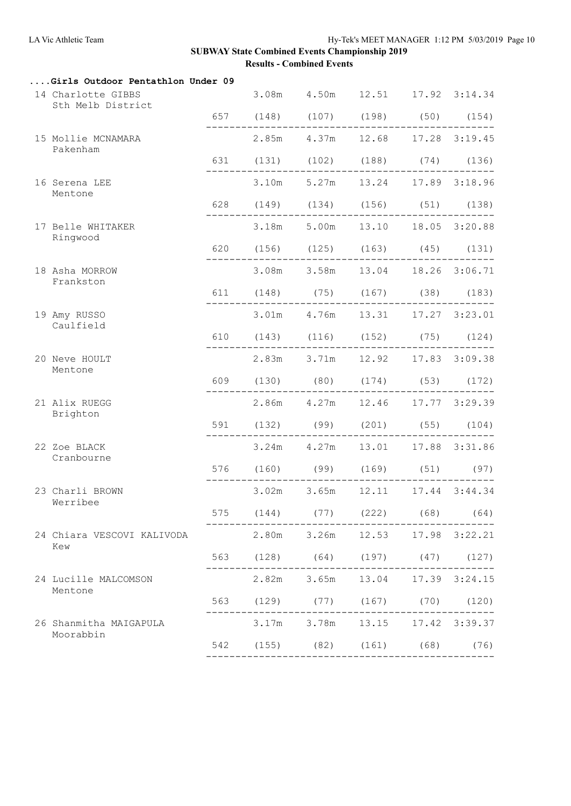| Girls Outdoor Pentathlon Under 09       |  |                                                                     |                                     |  |
|-----------------------------------------|--|---------------------------------------------------------------------|-------------------------------------|--|
| 14 Charlotte GIBBS<br>Sth Melb District |  | 3.08m  4.50m  12.51  17.92  3:14.34                                 |                                     |  |
|                                         |  | 657 (148) (107) (198) (50) (154)<br>------------------------------- |                                     |  |
| 15 Mollie MCNAMARA<br>Pakenham          |  | 2.85m  4.37m  12.68  17.28  3:19.45                                 |                                     |  |
|                                         |  | 631 (131) (102) (188) (74) (136)                                    |                                     |  |
| 16 Serena LEE                           |  | 3.10m 5.27m 13.24 17.89 3:18.96                                     |                                     |  |
| Mentone                                 |  | 628 (149) (134) (156) (51) (138)                                    | . _ _ _ _ _ _ _ _ _ _ _ _ _ _ _ _ _ |  |
| 17 Belle WHITAKER                       |  | 3.18m 5.00m 13.10 18.05 3:20.88                                     |                                     |  |
| Ringwood                                |  | 620 (156) (125) (163) (45) (131)                                    |                                     |  |
| 18 Asha MORROW                          |  | 3.08m 3.58m 13.04 18.26 3:06.71                                     |                                     |  |
| Frankston                               |  | 611 (148) (75) (167) (38) (183)                                     |                                     |  |
| 19 Amy RUSSO                            |  | 3.01m  4.76m  13.31  17.27  3:23.01                                 |                                     |  |
| Caulfield                               |  | 610 (143) (116) (152) (75) (124)                                    |                                     |  |
| 20 Neve HOULT                           |  | 2.83m 3.71m 12.92 17.83 3:09.38                                     |                                     |  |
| Mentone                                 |  | 609 (130) (80) (174) (53) (172)                                     |                                     |  |
| 21 Alix RUEGG                           |  | 2.86m  4.27m  12.46  17.77  3:29.39                                 |                                     |  |
| Brighton                                |  | 591 (132) (99) (201) (55) (104)                                     |                                     |  |
| 22 Zoe BLACK                            |  | ____________________________<br>3.24m  4.27m  13.01  17.88  3:31.86 |                                     |  |
| Cranbourne                              |  | 576 (160) (99) (169) (51) (97)                                      |                                     |  |
| 23 Charli BROWN                         |  | 3.02m 3.65m 12.11 17.44 3:44.34                                     |                                     |  |
| Werribee                                |  | 575 (144) (77) (222) (68) (64)                                      |                                     |  |
| 24 Chiara VESCOVI KALIVODA              |  | 2.80m 3.26m 12.53 17.98 3:22.21                                     |                                     |  |
| Kew                                     |  | 563 (128) (64) (197) (47) (127)                                     |                                     |  |
| 24 Lucille MALCOMSON                    |  | 2.82m 3.65m 13.04 17.39 3:24.15                                     |                                     |  |
| Mentone                                 |  | 563 (129) (77) (167) (70) (120)                                     |                                     |  |
| 26 Shanmitha MAIGAPULA                  |  | 3.17m 3.78m 13.15 17.42 3:39.37                                     | $- - - - - -$                       |  |
| Moorabbin                               |  | 542 (155) (82) (161) (68) (76)                                      |                                     |  |
|                                         |  |                                                                     |                                     |  |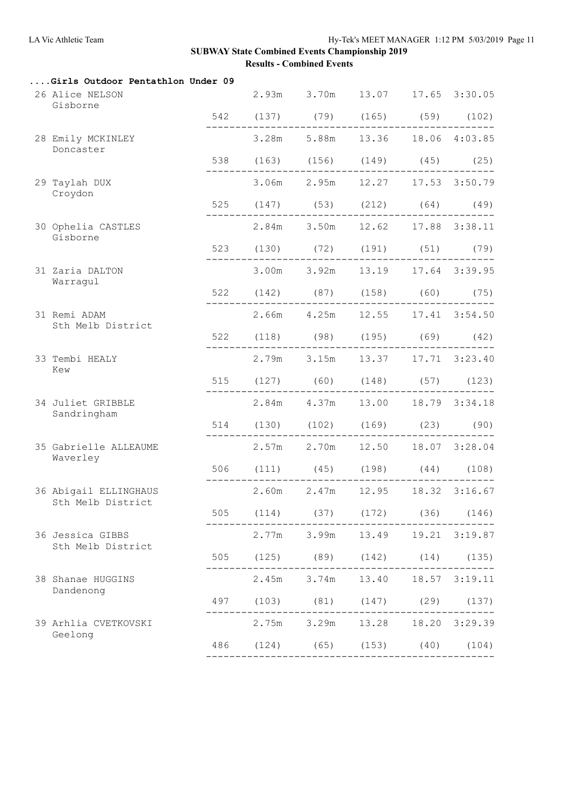|  | Girls Outdoor Pentathlon Under 09 |     |                                                                |  |  |
|--|-----------------------------------|-----|----------------------------------------------------------------|--|--|
|  | 26 Alice NELSON<br>Gisborne       |     | 2.93m 3.70m 13.07 17.65 3:30.05                                |  |  |
|  |                                   |     | 542 (137) (79) (165) (59) (102)                                |  |  |
|  | 28 Emily MCKINLEY<br>Doncaster    |     | 3.28m 5.88m 13.36 18.06 4:03.85                                |  |  |
|  |                                   |     | 538 (163) (156) (149) (45) (25)                                |  |  |
|  | 29 Taylah DUX<br>Croydon          |     | 3.06m 2.95m 12.27 17.53 3:50.79                                |  |  |
|  |                                   |     | 525 (147) (53) (212) (64) (49)<br>____________________________ |  |  |
|  | 30 Ophelia CASTLES<br>Gisborne    |     | 2.84m 3.50m 12.62 17.88 3:38.11                                |  |  |
|  |                                   |     | 523 (130) (72) (191) (51) (79)                                 |  |  |
|  | 31 Zaria DALTON                   |     | 3.00m 3.92m 13.19 17.64 3:39.95                                |  |  |
|  | Warragul                          |     | 522 (142) (87) (158) (60) (75)                                 |  |  |
|  | 31 Remi ADAM<br>Sth Melb District |     | 2.66m  4.25m  12.55  17.41  3:54.50                            |  |  |
|  |                                   |     | 522 (118) (98) (195) (69) (42)                                 |  |  |
|  | 33 Tembi HEALY<br>Kew             |     | 2.79m 3.15m 13.37 17.71 3:23.40                                |  |  |
|  |                                   |     | 515 (127) (60) (148) (57) (123)                                |  |  |
|  | 34 Juliet GRIBBLE                 |     | 2.84m  4.37m  13.00  18.79  3:34.18                            |  |  |
|  | Sandringham                       |     | 514 (130) (102) (169) (23) (90)                                |  |  |
|  | 35 Gabrielle ALLEAUME             |     | 2.57m  2.70m  12.50  18.07  3:28.04                            |  |  |
|  | Waverley                          |     | 506 (111) (45) (198) (44) (108)                                |  |  |
|  | 36 Abigail ELLINGHAUS             |     | 2.60m 2.47m 12.95 18.32 3:16.67                                |  |  |
|  | Sth Melb District                 | 505 | $(114)$ $(37)$ $(172)$ $(36)$ $(146)$                          |  |  |
|  | 36 Jessica GIBBS                  |     | 2.77m 3.99m 13.49 19.21 3:19.87                                |  |  |
|  | Sth Melb District                 | 505 | $(125)$ $(89)$ $(142)$ $(14)$ $(135)$                          |  |  |
|  | 38 Shanae HUGGINS                 |     | 2.45m 3.74m 13.40 18.57 3:19.11                                |  |  |
|  | Dandenong                         |     | 497 (103) (81) (147) (29) (137)                                |  |  |
|  | 39 Arhlia CVETKOVSKI              |     | 2.75m 3.29m 13.28 18.20 3:29.39                                |  |  |
|  | Geelong                           |     | 486 (124) (65) (153) (40) (104)                                |  |  |
|  |                                   |     |                                                                |  |  |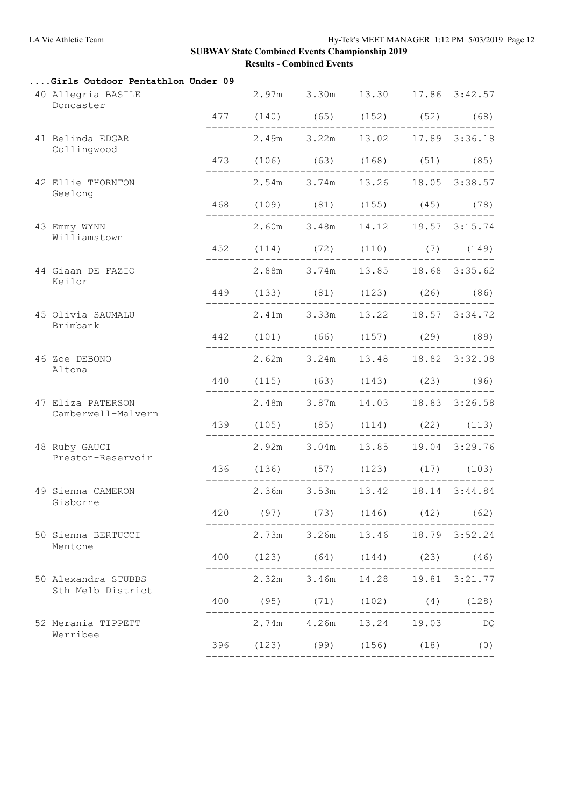| Girls Outdoor Pentathlon Under 09        |  |                                                                  |                     |             |  |
|------------------------------------------|--|------------------------------------------------------------------|---------------------|-------------|--|
| 40 Allegria BASILE<br>Doncaster          |  | 2.97m 3.30m 13.30 17.86 3:42.57                                  |                     |             |  |
|                                          |  | 477 (140) (65) (152) (52) (68)<br>____________________________   |                     |             |  |
| 41 Belinda EDGAR<br>Collingwood          |  | 2.49m 3.22m 13.02 17.89 3:36.18                                  |                     |             |  |
|                                          |  | 473 (106) (63) (168) (51) (85)<br>___________________            |                     | . – – – – – |  |
| 42 Ellie THORNTON<br>Geelong             |  | 2.54m 3.74m 13.26 18.05 3:38.57                                  |                     |             |  |
|                                          |  | 468 (109) (81) (155) (45) (78)<br>-----------------              |                     |             |  |
| 43 Emmy WYNN<br>Williamstown             |  | 2.60m 3.48m 14.12 19.57 3:15.74                                  |                     |             |  |
|                                          |  | 452 (114) (72) (110) (7) (149)                                   | . _ _ _ _ _ _ _ _ _ |             |  |
| 44 Giaan DE FAZIO<br>Keilor              |  | 2.88m 3.74m 13.85 18.68 3:35.62                                  |                     |             |  |
|                                          |  | 449 (133) (81) (123) (26) (86)                                   |                     |             |  |
| 45 Olivia SAUMALU<br>Brimbank            |  | 2.41m 3.33m 13.22 18.57 3:34.72                                  |                     |             |  |
|                                          |  | 442 (101) (66) (157) (29) (89)<br>________________               |                     |             |  |
| 46 Zoe DEBONO<br>Altona                  |  | 2.62m 3.24m 13.48 18.82 3:32.08                                  |                     |             |  |
|                                          |  | 440 (115) (63) (143) (23) (96)                                   |                     |             |  |
| 47 Eliza PATERSON<br>Camberwell-Malvern  |  | 2.48m 3.87m 14.03 18.83 3:26.58                                  |                     |             |  |
|                                          |  | 439 (105) (85) (114) (22) (113)<br>----------------------------- |                     |             |  |
| 48 Ruby GAUCI<br>Preston-Reservoir       |  | 2.92m 3.04m 13.85 19.04 3:29.76                                  |                     |             |  |
|                                          |  | 436 (136) (57) (123) (17) (103)                                  |                     |             |  |
| 49 Sienna CAMERON<br>Gisborne            |  | 2.36m 3.53m 13.42 18.14 3:44.84                                  |                     |             |  |
|                                          |  | 420 (97) (73) (146) (42) (62)                                    |                     |             |  |
| 50 Sienna BERTUCCI<br>Mentone            |  | 2.73m 3.26m 13.46 18.79 3:52.24                                  |                     |             |  |
|                                          |  | 400 (123) (64) (144) (23) (46)                                   |                     |             |  |
| 50 Alexandra STUBBS<br>Sth Melb District |  | 2.32m 3.46m 14.28 19.81 3:21.77                                  |                     |             |  |
|                                          |  | 400 (95) (71) (102) (4) (128)                                    | $- - - - - -$       |             |  |
| 52 Merania TIPPETT<br>Werribee           |  | 2.74m 4.26m 13.24 19.03 DQ                                       |                     |             |  |
|                                          |  | 396 (123) (99) (156) (18) (0)                                    |                     |             |  |
|                                          |  |                                                                  |                     |             |  |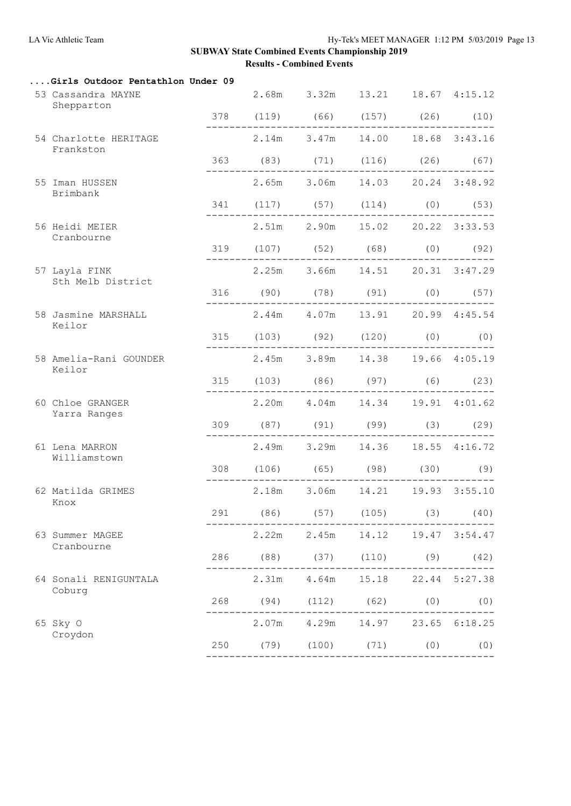| Girls Outdoor Pentathlon Under 09  |  |                                                                |                   |                   |  |
|------------------------------------|--|----------------------------------------------------------------|-------------------|-------------------|--|
| 53 Cassandra MAYNE<br>Shepparton   |  | 2.68m 3.32m 13.21 18.67 4:15.12                                |                   |                   |  |
|                                    |  | 378 (119) (66) (157) (26) (10)<br>---------------------------- |                   |                   |  |
| 54 Charlotte HERITAGE<br>Frankston |  | 2.14m 3.47m 14.00 18.68 3:43.16                                |                   |                   |  |
|                                    |  | 363 (83) (71) (116) (26) (67)                                  | ----------        | . _ _ _ _ _ _ _ _ |  |
| 55 Iman HUSSEN<br>Brimbank         |  | 2.65m 3.06m 14.03 20.24 3:48.92                                |                   |                   |  |
|                                    |  | 341 (117) (57) (114) (0) (53)<br>---------------------------   |                   |                   |  |
| 56 Heidi MEIER<br>Cranbourne       |  | 2.51m  2.90m  15.02  20.22  3:33.53                            |                   |                   |  |
|                                    |  | 319 (107) (52) (68) (0) (92)                                   |                   |                   |  |
| 57 Layla FINK<br>Sth Melb District |  | 2.25m 3.66m 14.51 20.31 3:47.29                                |                   |                   |  |
|                                    |  | 316 (90) (78) (91) (0) (57)                                    |                   |                   |  |
| 58 Jasmine MARSHALL<br>Keilor      |  | 2.44m 4.07m 13.91 20.99 4:45.54                                |                   |                   |  |
|                                    |  | 315 (103) (92) (120) (0) (0)                                   | . _ _ _ _ _ _ _ . |                   |  |
| 58 Amelia-Rani GOUNDER<br>Keilor   |  | 2.45m 3.89m 14.38 19.66 4:05.19                                |                   |                   |  |
|                                    |  | 315 (103) (86) (97) (6) (23)                                   |                   |                   |  |
| 60 Chloe GRANGER<br>Yarra Ranges   |  | 2.20m  4.04m  14.34  19.91  4:01.62                            |                   |                   |  |
|                                    |  | 309 (87) (91) (99) (3) (29)                                    |                   |                   |  |
| 61 Lena MARRON<br>Williamstown     |  | 2.49m 3.29m 14.36 18.55 4:16.72                                |                   |                   |  |
|                                    |  | 308 (106) (65) (98) (30) (9)                                   |                   |                   |  |
| 62 Matilda GRIMES<br>Knox          |  | 2.18m 3.06m 14.21 19.93 3:55.10                                |                   |                   |  |
|                                    |  | 291 (86) (57) (105) (3) (40)                                   |                   |                   |  |
| 63 Summer MAGEE<br>Cranbourne      |  | 2.22m 2.45m 14.12 19.47 3:54.47                                |                   |                   |  |
|                                    |  | 286 (88) (37) (110) (9) (42)                                   |                   |                   |  |
| 64 Sonali RENIGUNTALA<br>Coburg    |  | 2.31m  4.64m  15.18  22.44  5:27.38                            |                   |                   |  |
|                                    |  | 268 (94) (112) (62) (0) (0)                                    |                   |                   |  |
| 65 Sky O<br>Croydon                |  | 2.07m  4.29m  14.97  23.65  6:18.25                            |                   |                   |  |
|                                    |  | 250 (79) (100) (71) (0) (0)                                    |                   |                   |  |
|                                    |  |                                                                |                   |                   |  |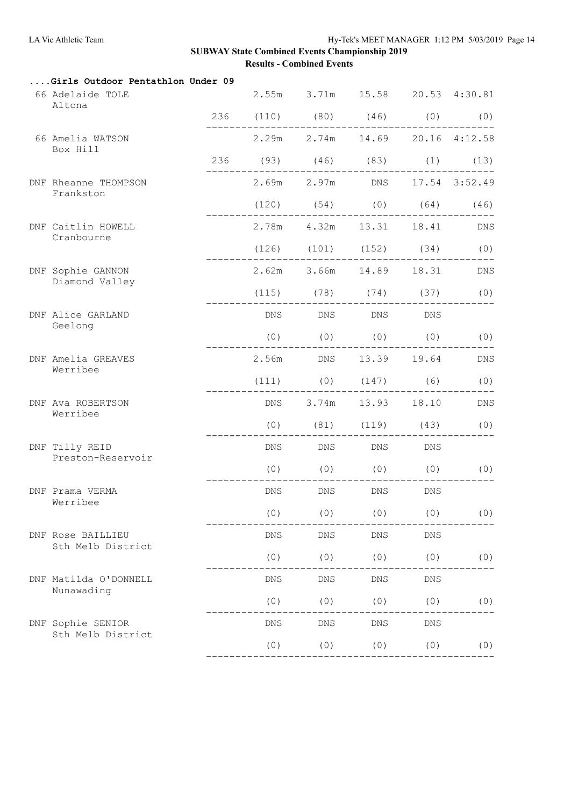|  | Girls Outdoor Pentathlon Under 09      |            |                                      |                                     |                    |     |
|--|----------------------------------------|------------|--------------------------------------|-------------------------------------|--------------------|-----|
|  | 66 Adelaide TOLE<br>Altona             |            | 2.55m 3.71m 15.58 20.53 4:30.81      |                                     |                    |     |
|  |                                        |            | 236 (110) (80) (46) (0) (0)          |                                     |                    |     |
|  | 66 Amelia WATSON<br>Box Hill           |            | 2.29m 2.74m 14.69 20.16 4:12.58      |                                     |                    |     |
|  |                                        |            | 236 (93) (46) (83) (1) (13)          |                                     |                    |     |
|  | DNF Rheanne THOMPSON<br>Frankston      |            | 2.69m 2.97m DNS 17.54 3:52.49        |                                     |                    |     |
|  |                                        |            | $(120)$ $(54)$ $(0)$ $(64)$ $(46)$   |                                     |                    |     |
|  | DNF Caitlin HOWELL<br>Cranbourne       |            | 2.78m  4.32m  13.31  18.41           |                                     |                    | DNS |
|  |                                        |            | $(126)$ $(101)$ $(152)$ $(34)$ $(0)$ | . _ _ _ _ _ _ _ _ _ _ _ _ _ _ _ _ _ |                    |     |
|  | DNF Sophie GANNON<br>Diamond Valley    |            | 2.62m 3.66m 14.89 18.31              |                                     |                    | DNS |
|  |                                        |            | $(115)$ $(78)$ $(74)$ $(37)$ $(0)$   |                                     |                    |     |
|  | DNF Alice GARLAND<br>Geelong           |            | DNS DNS DNS DNS                      |                                     |                    |     |
|  |                                        | (0)        |                                      | $(0)$ $(0)$ $(0)$                   |                    | (0) |
|  | DNF Amelia GREAVES<br>Werribee         |            | 2.56m DNS 13.39 19.64 DNS            |                                     |                    |     |
|  |                                        |            | $(111)$ (0) $(147)$ (6) (0)          |                                     |                    |     |
|  | DNF Ava ROBERTSON<br>Werribee          |            | DNS 3.74m 13.93 18.10 DNS            |                                     |                    |     |
|  |                                        |            | $(0)$ $(81)$ $(119)$ $(43)$ $(0)$    |                                     |                    |     |
|  | DNF Tilly REID<br>Preston-Reservoir    |            | DNS DNS DNS DNS                      |                                     |                    |     |
|  |                                        | (0)        | $(0)$ $(0)$ $(0)$ $(0)$              |                                     |                    |     |
|  | DNF Prama VERMA<br>Werribee            | <b>DNS</b> | DNS                                  | DNS                                 | <b>DNS</b>         |     |
|  |                                        | (0)        | (0)                                  | (0)                                 | (0)                | (0) |
|  | DNF Rose BAILLIEU<br>Sth Melb District | <b>DNS</b> | <b>DNS</b>                           | <b>DNS</b>                          | DNS                |     |
|  |                                        | (0)        | (0)                                  | (0)                                 | (0)                | (0) |
|  | DNF Matilda O'DONNELL<br>Nunawading    | <b>DNS</b> | DNS                                  | DNS                                 | $\mathop{\rm DNS}$ |     |
|  |                                        | (0)        | (0)                                  | (0)                                 | (0)                | (0) |
|  | DNF Sophie SENIOR<br>Sth Melb District | <b>DNS</b> | $\mathop{\rm DNS}$                   | DNS                                 | $\mathop{\rm DNS}$ |     |
|  |                                        | (0)        | (0)                                  | (0)                                 | (0)                | (0) |
|  |                                        |            |                                      |                                     |                    |     |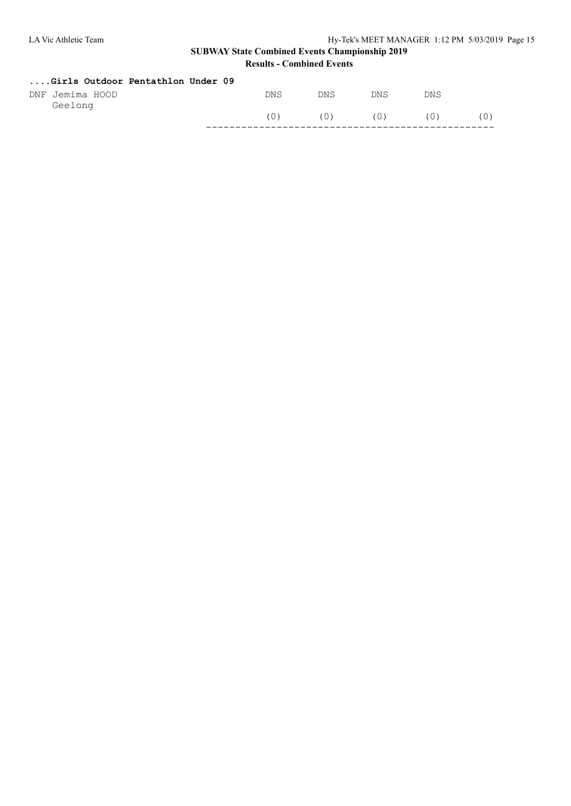| Girls Outdoor Pentathlon Under 09 |      |     |     |            |     |
|-----------------------------------|------|-----|-----|------------|-----|
| DNF Jemima HOOD<br>Geelong        | DNS. | DNS | DNS | <b>DNS</b> |     |
|                                   | (0)  | (0) | (0) | (()        | (0) |
|                                   |      |     |     |            |     |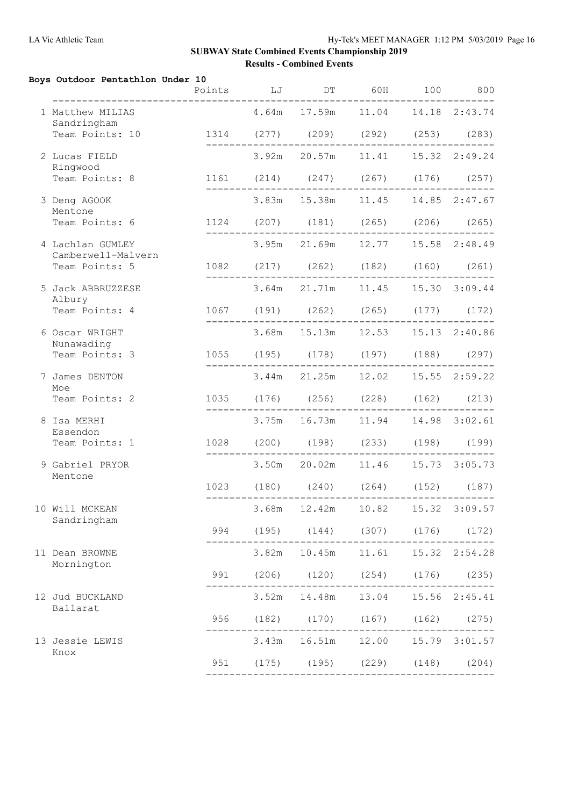991 (206) (120) (254) (176) (235)

 956 (182) (170) (167) (162) (275) -------------------------------------------------

 951 (175) (195) (229) (148) (204) -------------------------------------------------

 $13.04$   $15.56$   $2:45.41$ 

| Boys Outdoor Pentathlon Under 10       |                   |  | Points LJ DT 60H 100 800                                 |  |
|----------------------------------------|-------------------|--|----------------------------------------------------------|--|
| 1 Matthew MILIAS<br>Sandringham        |                   |  | 4.64m 17.59m 11.04 14.18 2:43.74                         |  |
| Team Points: 10                        |                   |  | 1314 (277) (209) (292) (253) (283)<br>__________________ |  |
| 2 Lucas FIELD<br>Ringwood              |                   |  | 3.92m 20.57m 11.41 15.32 2:49.24                         |  |
| Team Points: 8                         |                   |  | 1161 (214) (247) (267) (176) (257)                       |  |
| 3 Deng AGOOK<br>Mentone                |                   |  | 3.83m 15.38m 11.45 14.85 2:47.67                         |  |
| Team Points: 6                         | $- - - - - - - -$ |  | 1124 (207) (181) (265) (206) (265)<br>------------------ |  |
| 4 Lachlan GUMLEY<br>Camberwell-Malvern |                   |  | 3.95m 21.69m 12.77 15.58 2:48.49                         |  |
| Team Points: 5                         |                   |  | 1082 (217) (262) (182) (160) (261)                       |  |
| 5 Jack ABBRUZZESE<br>Albury            |                   |  | 3.64m 21.71m 11.45 15.30 3:09.44                         |  |
| Team Points: 4                         |                   |  | 1067 (191) (262) (265) (177) (172)                       |  |
| 6 Oscar WRIGHT<br>Nunawading           |                   |  | 3.68m 15.13m 12.53 15.13 2:40.86                         |  |
| Team Points: 3                         |                   |  | 1055 (195) (178) (197) (188) (297)                       |  |
| 7 James DENTON<br>Moe                  |                   |  | 3.44m 21.25m 12.02 15.55 2:59.22                         |  |
| Team Points: 2                         |                   |  | 1035 (176) (256) (228) (162) (213)                       |  |
| 8 Isa MERHI<br>Essendon                |                   |  | 3.75m 16.73m 11.94 14.98 3:02.61                         |  |
| Team Points: 1                         |                   |  | 1028 (200) (198) (233) (198) (199)                       |  |
| 9 Gabriel PRYOR<br>Mentone             |                   |  | 3.50m  20.02m  11.46  15.73  3:05.73                     |  |
|                                        |                   |  | 1023 (180) (240) (264) (152) (187)                       |  |
| 10 Will MCKEAN<br>Sandringham          |                   |  | 3.68m 12.42m 10.82 15.32 3:09.57                         |  |
|                                        |                   |  | 994 (195) (144) (307) (176) (172)                        |  |
|                                        |                   |  |                                                          |  |

 11 Dean BROWNE 3.82m 10.45m 11.61 15.32 2:54.28 Mornington

 ------------------------------------------------- Ballarat

13 Jessie LEWIS Knox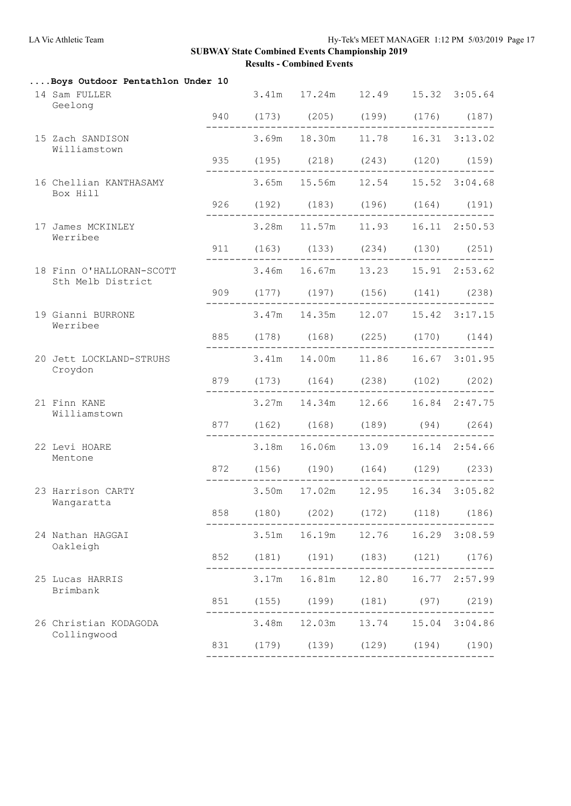| Boys Outdoor Pentathlon Under 10              |     |       |                                         |                               |  |
|-----------------------------------------------|-----|-------|-----------------------------------------|-------------------------------|--|
| 14 Sam FULLER<br>Geelong                      |     |       | 3.41m  17.24m  12.49  15.32  3:05.64    |                               |  |
|                                               | 940 |       | $(173)$ $(205)$ $(199)$ $(176)$ $(187)$ |                               |  |
| 15 Zach SANDISON<br>Williamstown              |     |       | 3.69m 18.30m 11.78 16.31 3:13.02        |                               |  |
|                                               |     |       | 935 (195) (218) (243) (120) (159)       |                               |  |
| 16 Chellian KANTHASAMY<br>Box Hill            |     |       | 3.65m 15.56m 12.54 15.52 3:04.68        |                               |  |
|                                               |     |       | 926 (192) (183) (196) (164) (191)       |                               |  |
| 17 James MCKINLEY<br>Werribee                 |     |       | 3.28m 11.57m 11.93 16.11 2:50.53        |                               |  |
|                                               |     |       | 911 (163) (133) (234) (130) (251)       | ---------------------------   |  |
| 18 Finn O'HALLORAN-SCOTT<br>Sth Melb District |     |       | 3.46m  16.67m  13.23  15.91  2:53.62    |                               |  |
|                                               |     |       | 909 (177) (197) (156) (141) (238)       |                               |  |
| 19 Gianni BURRONE<br>Werribee                 |     |       | 3.47m 14.35m 12.07 15.42 3:17.15        |                               |  |
|                                               |     |       | 885 (178) (168) (225) (170) (144)       |                               |  |
| 20 Jett LOCKLAND-STRUHS                       |     |       | 3.41m 14.00m 11.86 16.67 3:01.95        |                               |  |
| Croydon                                       |     |       | 879 (173) (164) (238) (102) (202)       | __________                    |  |
| 21 Finn KANE                                  |     |       | 3.27m 14.34m 12.66 16.84 2:47.75        |                               |  |
| Williamstown                                  |     |       | 877 (162) (168) (189) (94) (264)        |                               |  |
| 22 Levi HOARE                                 |     |       | 3.18m  16.06m  13.09  16.14  2:54.66    |                               |  |
| Mentone                                       |     |       | 872 (156) (190) (164) (129) (233)       |                               |  |
| 23 Harrison CARTY                             |     |       | 3.50m  17.02m  12.95  16.34  3:05.82    |                               |  |
| Wangaratta                                    |     |       | 858 (180) (202) (172) (118) (186)       |                               |  |
| 24 Nathan HAGGAI                              |     |       | 3.51m  16.19m  12.76  16.29  3:08.59    |                               |  |
| Oakleigh                                      | 852 |       | $(181)$ $(191)$ $(183)$ $(121)$ $(176)$ |                               |  |
| 25 Lucas HARRIS                               |     | 3.17m |                                         | 16.81m  12.80  16.77  2:57.99 |  |
| Brimbank                                      |     |       | 851 (155) (199) (181) (97) (219)        |                               |  |
| 26 Christian KODAGODA                         |     |       | 3.48m 12.03m 13.74 15.04 3:04.86        |                               |  |
| Collingwood                                   |     |       | 831 (179) (139) (129) (194) (190)       |                               |  |
|                                               |     |       |                                         |                               |  |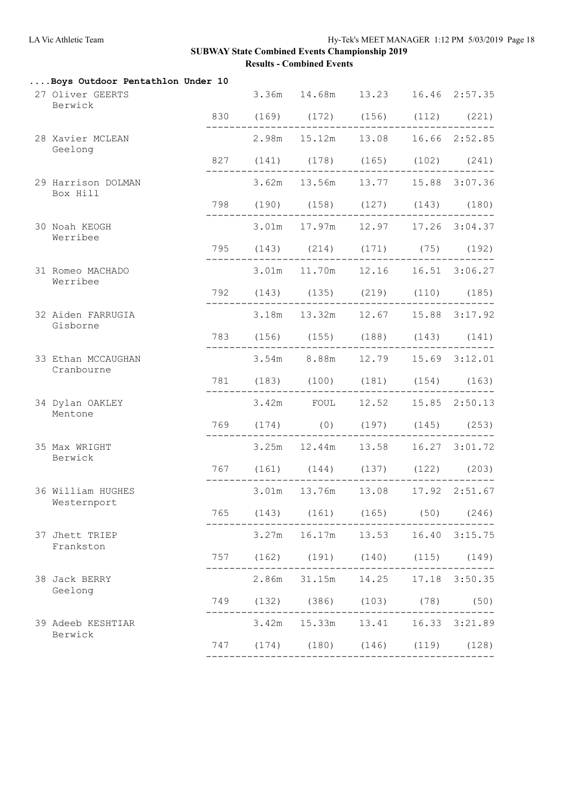| Boys Outdoor Pentathlon Under 10 |       |                                      |                               |  |
|----------------------------------|-------|--------------------------------------|-------------------------------|--|
| 27 Oliver GEERTS<br>Berwick      |       | 3.36m 14.68m 13.23 16.46 2:57.35     |                               |  |
|                                  |       | 830 (169) (172) (156) (112) (221)    | _____________________         |  |
| 28 Xavier MCLEAN<br>Geelong      |       | 2.98m 15.12m 13.08 16.66 2:52.85     |                               |  |
|                                  |       | 827 (141) (178) (165) (102) (241)    |                               |  |
| 29 Harrison DOLMAN<br>Box Hill   |       | 3.62m 13.56m 13.77 15.88 3:07.36     |                               |  |
|                                  |       | 798 (190) (158) (127) (143) (180)    |                               |  |
| 30 Noah KEOGH<br>Werribee        |       | 3.01m  17.97m  12.97  17.26  3:04.37 |                               |  |
|                                  |       | 795 (143) (214) (171) (75) (192)     |                               |  |
| 31 Romeo MACHADO<br>Werribee     |       | 3.01m  11.70m  12.16  16.51  3:06.27 |                               |  |
|                                  |       | 792 (143) (135) (219) (110) (185)    |                               |  |
| 32 Aiden FARRUGIA<br>Gisborne    |       | 3.18m  13.32m  12.67  15.88  3:17.92 |                               |  |
|                                  |       | 783 (156) (155) (188) (143) (141)    |                               |  |
| 33 Ethan MCCAUGHAN<br>Cranbourne |       | 3.54m 8.88m 12.79 15.69 3:12.01      |                               |  |
|                                  |       | 781 (183) (100) (181) (154) (163)    |                               |  |
| 34 Dylan OAKLEY<br>Mentone       |       | 3.42m FOUL 12.52 15.85 2:50.13       |                               |  |
|                                  |       | 769 (174) (0) (197) (145) (253)      |                               |  |
| 35 Max WRIGHT<br>Berwick         |       | 3.25m 12.44m 13.58 16.27 3:01.72     |                               |  |
|                                  |       | 767 (161) (144) (137) (122) (203)    |                               |  |
| 36 William HUGHES<br>Westernport |       | 3.01m 13.76m 13.08 17.92 2:51.67     |                               |  |
|                                  |       | 765 (143) (161) (165) (50) (246)     | __________                    |  |
| 37 Jhett TRIEP<br>Frankston      |       | 3.27m  16.17m  13.53  16.40  3:15.75 |                               |  |
|                                  |       | 757 (162) (191) (140) (115) (149)    |                               |  |
| 38 Jack BERRY<br>Geelong         | 2.86m |                                      | 31.15m  14.25  17.18  3:50.35 |  |
|                                  |       | 749 (132) (386) (103) (78) (50)      |                               |  |
| 39 Adeeb KESHTIAR<br>Berwick     |       | 3.42m 15.33m 13.41 16.33 3:21.89     |                               |  |
|                                  |       | 747 (174) (180) (146) (119) (128)    |                               |  |
|                                  |       |                                      |                               |  |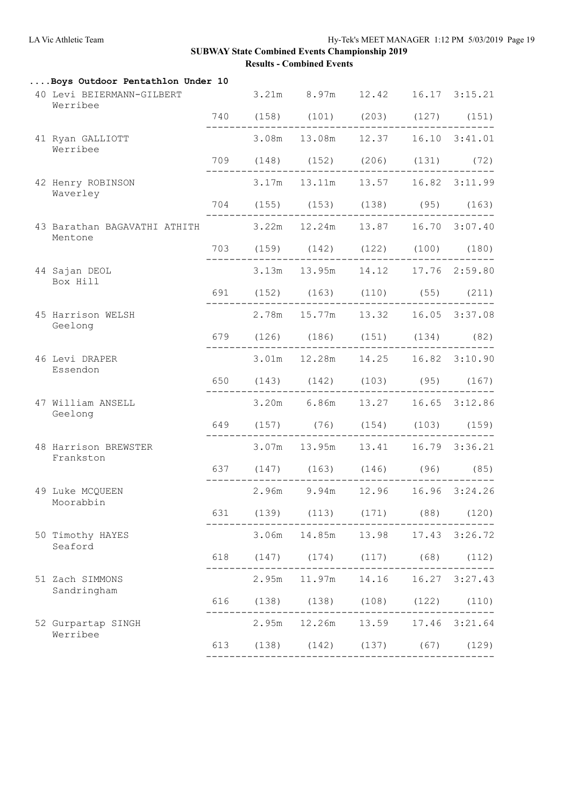| Boys Outdoor Pentathlon Under 10      |     |       |                                                                           |                                |               |
|---------------------------------------|-----|-------|---------------------------------------------------------------------------|--------------------------------|---------------|
| 40 Levi BEIERMANN-GILBERT<br>Werribee |     |       | 3.21m 8.97m 12.42 16.17 3:15.21                                           |                                |               |
|                                       |     |       | 740 (158) (101) (203) (127) (151)<br>------------------------------------ |                                |               |
| 41 Ryan GALLIOTT<br>Werribee          |     |       | 3.08m 13.08m 12.37 16.10 3:41.01                                          |                                |               |
|                                       |     |       | 709 (148) (152) (206) (131) (72)                                          |                                |               |
| 42 Henry ROBINSON<br>Waverley         |     |       | 3.17m  13.11m  13.57  16.82  3:11.99                                      |                                |               |
|                                       |     |       | 704 (155) (153) (138) (95) (163)                                          |                                |               |
| 43 Barathan BAGAVATHI ATHITH          |     |       | 3.22m 12.24m 13.87 16.70 3:07.40                                          |                                |               |
| Mentone                               |     |       | 703 (159) (142) (122) (100) (180)                                         |                                |               |
| 44 Sajan DEOL                         |     |       | 3.13m 13.95m 14.12 17.76 2:59.80                                          |                                |               |
| Box Hill                              |     |       | 691 (152) (163) (110) (55) (211)                                          |                                |               |
| 45 Harrison WELSH                     |     |       | 2.78m 15.77m 13.32 16.05 3:37.08                                          |                                |               |
| Geelong                               |     |       | 679 (126) (186) (151) (134) (82)                                          |                                |               |
| 46 Levi DRAPER                        |     |       | 3.01m  12.28m  14.25  16.82  3:10.90                                      |                                |               |
| Essendon                              |     |       | 650 (143) (142) (103) (95) (167)                                          |                                |               |
| 47 William ANSELL                     |     |       | 3.20m 6.86m 13.27 16.65 3:12.86                                           |                                |               |
| Geelong                               |     |       | 649 (157) (76) (154) (103) (159)                                          |                                |               |
| 48 Harrison BREWSTER                  |     |       | 3.07m 13.95m 13.41 16.79 3:36.21                                          |                                |               |
| Frankston                             |     |       | 637 (147) (163) (146) (96) (85)                                           |                                |               |
| 49 Luke MCQUEEN                       |     | 2.96m | 9.94m 12.96 16.96 3:24.26                                                 |                                |               |
| Moorabbin                             | 631 | (139) |                                                                           | $(113)$ $(171)$ $(88)$ $(120)$ |               |
| 50 Timothy HAYES                      |     | 3.06m |                                                                           | 14.85m  13.98  17.43  3:26.72  |               |
| Seaford                               | 618 |       | $(147)$ $(174)$ $(117)$ $(68)$                                            |                                | (112)         |
| 51 Zach SIMMONS                       |     | 2.95m | 11.97m                                                                    | 14.16                          | 16.27 3:27.43 |
| Sandringham                           | 616 |       | $(138)$ $(138)$ $(108)$ $(122)$ $(110)$                                   |                                |               |
| 52 Gurpartap SINGH                    |     | 2.95m |                                                                           | 12.26m  13.59  17.46  3:21.64  |               |
| Werribee                              |     |       | 613 (138) (142) (137) (67) (129)                                          |                                |               |
|                                       |     |       |                                                                           |                                |               |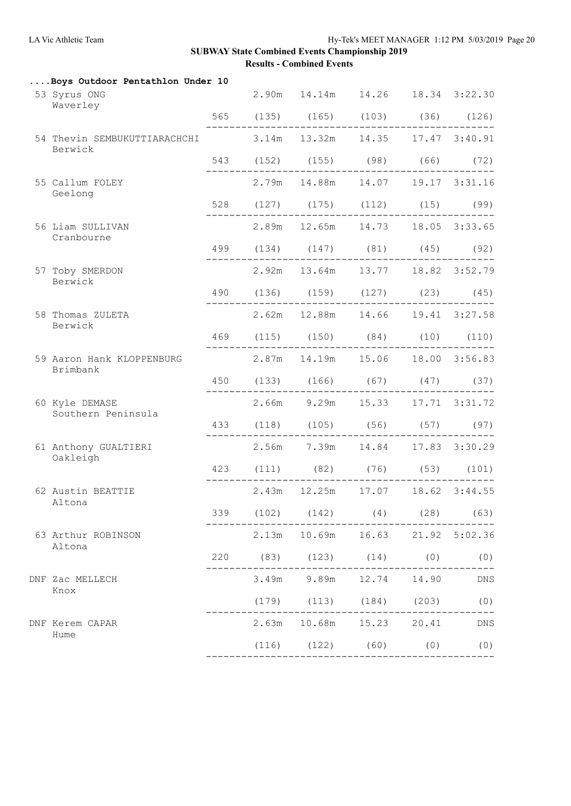|          | Boys Outdoor Pentathlon Under 10        |  |                                       |                     |       |            |
|----------|-----------------------------------------|--|---------------------------------------|---------------------|-------|------------|
|          | 53 Syrus ONG<br>Waverley                |  | 2.90m  14.14m  14.26  18.34  3:22.30  |                     |       |            |
|          |                                         |  | 565 (135) (165) (103) (36) (126)      |                     |       |            |
|          | 54 Thevin SEMBUKUTTIARACHCHI<br>Berwick |  | 3.14m 13.32m 14.35 17.47 3:40.91      |                     |       |            |
|          |                                         |  | 543 (152) (155) (98) (66) (72)        |                     |       |            |
|          | 55 Callum FOLEY                         |  | 2.79m 14.88m 14.07 19.17 3:31.16      |                     |       |            |
|          | Geelong                                 |  | 528 (127) (175) (112) (15) (99)       | ------------------- |       |            |
|          | 56 Liam SULLIVAN                        |  | 2.89m 12.65m 14.73 18.05 3:33.65      |                     |       |            |
|          | Cranbourne                              |  | 499 (134) (147) (81) (45) (92)        |                     |       |            |
|          | 57 Toby SMERDON<br>Berwick              |  | 2.92m 13.64m 13.77 18.82 3:52.79      |                     |       |            |
|          |                                         |  | 490 (136) (159) (127) (23) (45)       |                     |       |            |
|          | 58 Thomas ZULETA<br>Berwick             |  | 2.62m 12.88m 14.66 19.41 3:27.58      |                     |       |            |
|          |                                         |  | 469 (115) (150) (84) (10) (110)       |                     |       |            |
| Brimbank | 59 Aaron Hank KLOPPENBURG               |  | 2.87m 14.19m 15.06 18.00 3:56.83      |                     |       |            |
|          |                                         |  | 450 (133) (166) (67) (47) (37)        |                     |       |            |
|          | 60 Kyle DEMASE                          |  | 2.66m 9.29m 15.33 17.71 3:31.72       |                     |       |            |
|          | Southern Peninsula                      |  | 433 (118) (105) (56) (57) (97)        |                     |       |            |
|          | 61 Anthony GUALTIERI                    |  | 2.56m 7.39m 14.84 17.83 3:30.29       |                     |       |            |
|          | Oakleigh                                |  | 423 (111) (82) (76) (53) (101)        |                     |       |            |
|          | 62 Austin BEATTIE                       |  | 2.43m 12.25m 17.07 18.62 3:44.55      |                     |       |            |
|          | Altona                                  |  | 339 (102) (142) (4) (28) (63)         |                     |       |            |
|          | 63 Arthur ROBINSON                      |  | 2.13m 10.69m 16.63 21.92 5:02.36      |                     |       |            |
|          | Altona                                  |  | 220 (83) (123) (14) (0) (0)           |                     |       |            |
|          | DNF Zac MELLECH                         |  | 3.49m 9.89m 12.74                     |                     | 14.90 | <b>DNS</b> |
|          | Knox                                    |  | $(179)$ $(113)$ $(184)$ $(203)$ $(0)$ |                     |       |            |
|          | DNF Kerem CAPAR                         |  | 2.63m 10.68m 15.23 20.41              |                     |       | DNS        |
|          | Hume                                    |  | $(116)$ $(122)$ $(60)$ $(0)$ $(0)$    |                     |       |            |
|          |                                         |  |                                       |                     |       |            |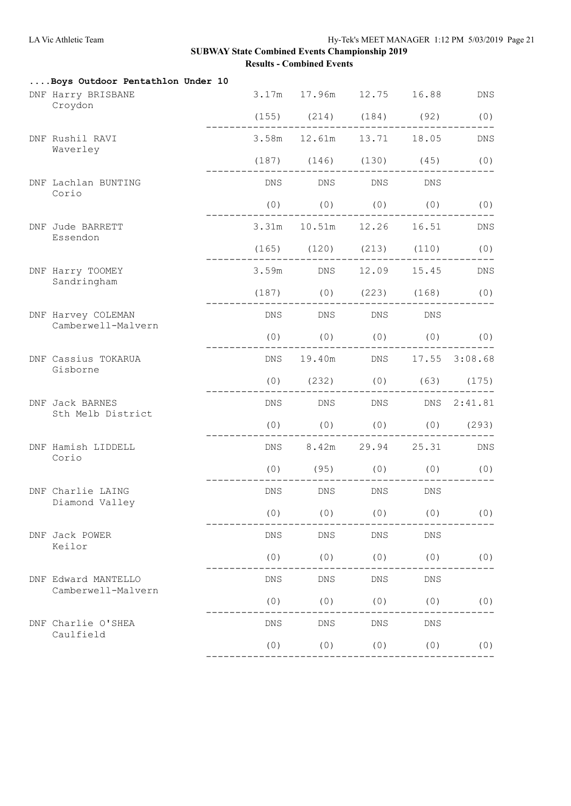| Boys Outdoor Pentathlon Under 10         |            |                                  |                    |                        |     |
|------------------------------------------|------------|----------------------------------|--------------------|------------------------|-----|
| DNF Harry BRISBANE<br>Croydon            |            | 3.17m 17.96m 12.75 16.88         |                    |                        | DNS |
|                                          |            | $(155)$ $(214)$ $(184)$ $(92)$   |                    |                        | (0) |
| DNF Rushil RAVI<br>Waverley              |            | 3.58m  12.61m  13.71  18.05  DNS |                    |                        |     |
|                                          |            | $(187)$ $(146)$ $(130)$ $(45)$   |                    |                        | (0) |
| DNF Lachlan BUNTING<br>Corio             | DNS        | DNS DNS                          |                    | <b>DNS</b>             |     |
|                                          | (0)        |                                  | $(0)$ $(0)$ $(0)$  |                        | (0) |
| DNF Jude BARRETT<br>Essendon             | 3.31m      |                                  |                    | 10.51m  12.26  16.51   | DNS |
|                                          |            | $(165)$ $(120)$ $(213)$ $(110)$  |                    |                        | (0) |
| DNF Harry TOOMEY<br>Sandringham          |            | 3.59m DNS 12.09 15.45 DNS        |                    |                        |     |
|                                          | (187)      |                                  |                    | $(0)$ $(223)$ $(168)$  | (0) |
| DNF Harvey COLEMAN<br>Camberwell-Malvern |            | DNS DNS DNS DNS                  |                    |                        |     |
|                                          | (0)        | (0)                              |                    | $(0)$ $(0)$ $(0)$      |     |
| DNF Cassius TOKARUA<br>Gisborne          |            | DNS 19.40m DNS 17.55 3:08.68     |                    |                        |     |
|                                          | (0)        |                                  |                    | $(232)$ (0) (63) (175) |     |
| DNF Jack BARNES<br>Sth Melb District     | <b>DNS</b> |                                  |                    | DNS DNS DNS 2:41.81    |     |
|                                          | (0)        |                                  |                    | $(0)$ $(0)$ $(293)$    |     |
| DNF Hamish LIDDELL                       | DNS        |                                  |                    | 8.42m 29.94 25.31      | DNS |
| Corio                                    | (0)        | (95)                             | (0)                | (0)                    | (0) |
| DNF Charlie LAING                        | <b>DNS</b> | <b>DNS</b>                       | DNS                | <b>DNS</b>             |     |
| Diamond Valley                           | (0)        | (0)                              | (0)                | (0)                    | (0) |
| DNF Jack POWER                           | <b>DNS</b> | DNS                              | DNS                | DNS                    |     |
| Keilor                                   | (0)        | (0)                              | (0)                | (0)                    | (0) |
| DNF Edward MANTELLO                      | DNS        | <b>DNS</b>                       | $\mathop{\rm DNS}$ | DNS                    |     |
| Camberwell-Malvern                       | (0)        | (0)                              | (0)                | (0)                    | (0) |
| DNF Charlie O'SHEA                       | DNS        | $\mathop{\rm DNS}$               | $\mathop{\rm DNS}$ | DNS                    |     |
| Caulfield                                | (0)        | (0)                              | (0)                | (0)                    | (0) |
|                                          |            |                                  |                    |                        |     |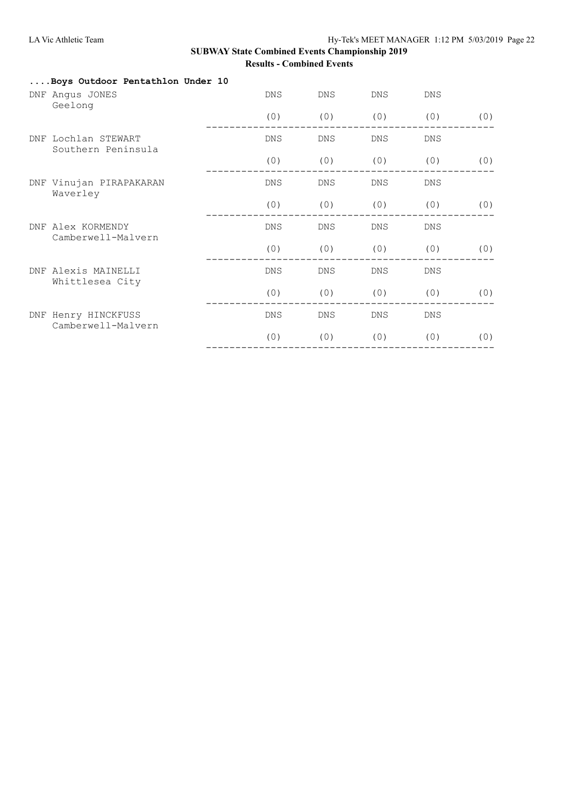| Boys Outdoor Pentathlon Under 10<br>Angus JONES<br><b>DNS</b><br><b>DNS</b><br><b>DNS</b><br><b>DNS</b><br>DNF<br>Geelong<br>(0)<br>(0)<br>(0)<br>(0)<br>(0)<br>Lochlan STEWART<br><b>DNS</b><br><b>DNS</b><br><b>DNS</b><br><b>DNF</b><br><b>DNS</b><br>Southern Peninsula<br>(0)<br>(0)<br>(0)<br>(0)<br>(0)<br>DNF Vinujan PIRAPAKARAN<br><b>DNS</b><br><b>DNS</b><br><b>DNS</b><br><b>DNS</b><br>Waverley<br>(0)<br>(0)<br>(0)<br>(0)<br>(0)<br>Alex KORMENDY<br><b>DNS</b><br><b>DNS</b><br><b>DNS</b><br><b>DNS</b><br><b>DNF</b><br>Camberwell-Malvern<br>(0)<br>(0)<br>(0)<br>(0)<br>(0)<br>DNF Alexis MAINELLI<br><b>DNS</b><br><b>DNS</b><br><b>DNS</b><br><b>DNS</b><br>Whittlesea City<br>(0)<br>(0)<br>(0)<br>(0)<br>(0)<br>Henry HINCKFUSS<br><b>DNS</b><br><b>DNS</b><br><b>DNS</b><br><b>DNS</b><br>DNF<br>Camberwell-Malvern<br>(0)<br>(0)<br>(0)<br>(0)<br>(0) |  |  |  |  |
|----------------------------------------------------------------------------------------------------------------------------------------------------------------------------------------------------------------------------------------------------------------------------------------------------------------------------------------------------------------------------------------------------------------------------------------------------------------------------------------------------------------------------------------------------------------------------------------------------------------------------------------------------------------------------------------------------------------------------------------------------------------------------------------------------------------------------------------------------------------------------------|--|--|--|--|
|                                                                                                                                                                                                                                                                                                                                                                                                                                                                                                                                                                                                                                                                                                                                                                                                                                                                                  |  |  |  |  |
|                                                                                                                                                                                                                                                                                                                                                                                                                                                                                                                                                                                                                                                                                                                                                                                                                                                                                  |  |  |  |  |
|                                                                                                                                                                                                                                                                                                                                                                                                                                                                                                                                                                                                                                                                                                                                                                                                                                                                                  |  |  |  |  |
|                                                                                                                                                                                                                                                                                                                                                                                                                                                                                                                                                                                                                                                                                                                                                                                                                                                                                  |  |  |  |  |
|                                                                                                                                                                                                                                                                                                                                                                                                                                                                                                                                                                                                                                                                                                                                                                                                                                                                                  |  |  |  |  |
|                                                                                                                                                                                                                                                                                                                                                                                                                                                                                                                                                                                                                                                                                                                                                                                                                                                                                  |  |  |  |  |
|                                                                                                                                                                                                                                                                                                                                                                                                                                                                                                                                                                                                                                                                                                                                                                                                                                                                                  |  |  |  |  |
|                                                                                                                                                                                                                                                                                                                                                                                                                                                                                                                                                                                                                                                                                                                                                                                                                                                                                  |  |  |  |  |
|                                                                                                                                                                                                                                                                                                                                                                                                                                                                                                                                                                                                                                                                                                                                                                                                                                                                                  |  |  |  |  |
|                                                                                                                                                                                                                                                                                                                                                                                                                                                                                                                                                                                                                                                                                                                                                                                                                                                                                  |  |  |  |  |
|                                                                                                                                                                                                                                                                                                                                                                                                                                                                                                                                                                                                                                                                                                                                                                                                                                                                                  |  |  |  |  |
|                                                                                                                                                                                                                                                                                                                                                                                                                                                                                                                                                                                                                                                                                                                                                                                                                                                                                  |  |  |  |  |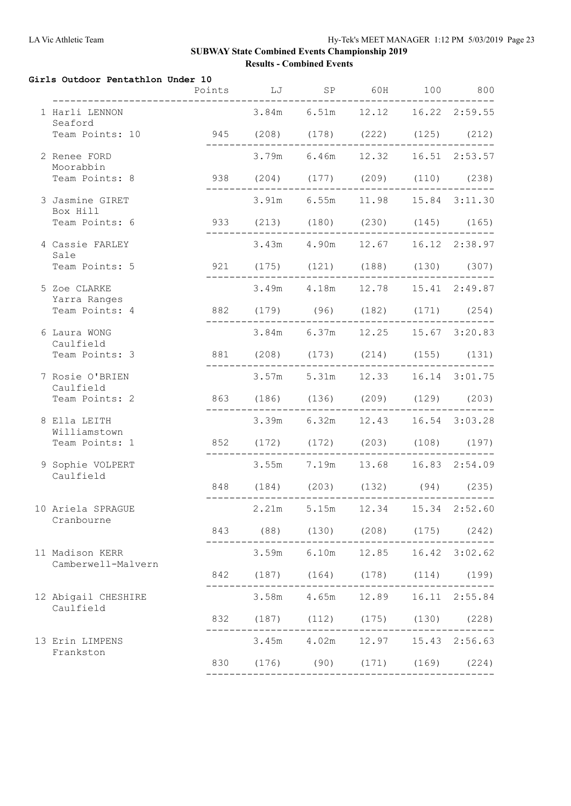#### **Girls Outdoor Pentathlon Under 10**

|                                | Points LJ | SP 60H 100 800                         |  |  |
|--------------------------------|-----------|----------------------------------------|--|--|
| 1 Harli LENNON<br>Seaford      |           | 3.84m 6.51m 12.12 16.22 2:59.55        |  |  |
| Team Points: 10                |           | 945 (208) (178) (222) (125) (212)      |  |  |
| 2 Renee FORD<br>Moorabbin      |           | 3.79m 6.46m 12.32 16.51 2:53.57        |  |  |
| Team Points: 8                 |           | 938 (204) (177) (209) (110) (238)      |  |  |
| 3 Jasmine GIRET<br>Box Hill    |           | 3.91m 6.55m 11.98 15.84 3:11.30        |  |  |
| Team Points: 6                 |           | 933 (213) (180) (230) (145) (165)      |  |  |
| 4 Cassie FARLEY<br>Sale        |           | 3.43m  4.90m  12.67  16.12  2:38.97    |  |  |
| Team Points: 5                 |           | 921 (175) (121) (188) (130) (307)      |  |  |
| 5 Zoe CLARKE<br>Yarra Ranges   |           | 3.49m  4.18m  12.78  15.41  2:49.87    |  |  |
| Team Points: 4                 |           | 882 (179) (96) (182) (171) (254)       |  |  |
| 6 Laura WONG                   |           | 3.84m 6.37m 12.25 15.67 3:20.83        |  |  |
| Caulfield<br>Team Points: 3    |           | 881 (208) (173) (214) (155) (131)      |  |  |
| 7 Rosie O'BRIEN                |           | 3.57m 5.31m 12.33 16.14 3:01.75        |  |  |
| Caulfield<br>Team Points: 2    |           | 863 (186) (136) (209) (129) (203)      |  |  |
| 8 Ella LEITH                   |           | 3.39m 6.32m 12.43 16.54 3:03.28        |  |  |
| Williamstown<br>Team Points: 1 |           | 852 (172) (172) (203) (108) (197)      |  |  |
| 9 Sophie VOLPERT               |           | 3.55m 7.19m 13.68 16.83 2:54.09        |  |  |
| Caulfield                      | 848       | $(184)$ $(203)$ $(132)$ $(94)$ $(235)$ |  |  |
| 10 Ariela SPRAGUE              |           | 2.21m 5.15m 12.34 15.34 2:52.60        |  |  |
| Cranbourne                     |           | 843 (88) (130) (208) (175) (242)       |  |  |
| 11 Madison KERR                |           | 3.59m 6.10m 12.85 16.42 3:02.62        |  |  |
| Camberwell-Malvern             |           | 842 (187) (164) (178) (114) (199)      |  |  |
| 12 Abigail CHESHIRE            |           | 3.58m  4.65m  12.89  16.11  2:55.84    |  |  |
| Caulfield                      |           | 832 (187) (112) (175) (130) (228)      |  |  |
| 13 Erin LIMPENS                |           | 3.45m  4.02m  12.97  15.43  2:56.63    |  |  |
| Frankston                      |           | 830 (176) (90) (171) (169) (224)       |  |  |
|                                |           |                                        |  |  |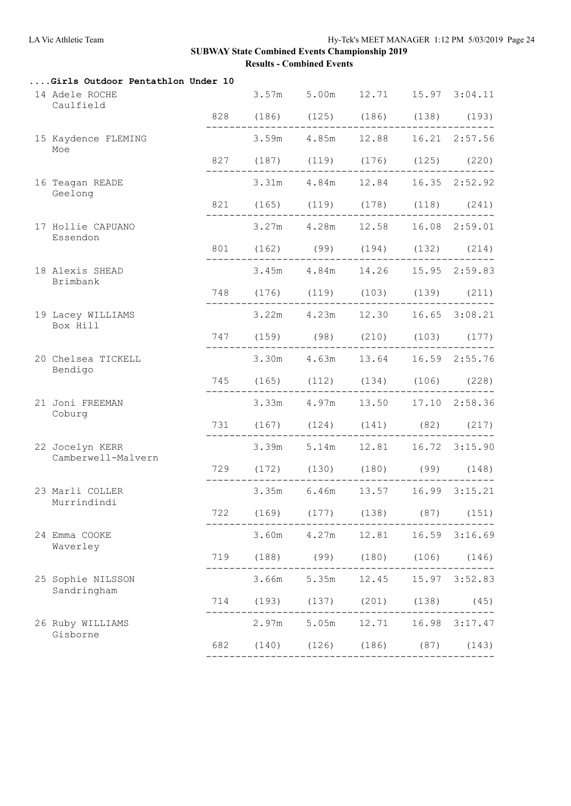| Girls Outdoor Pentathlon Under 10     |     |                                        |              |               |
|---------------------------------------|-----|----------------------------------------|--------------|---------------|
| 14 Adele ROCHE<br>Caulfield           |     | 3.57m 5.00m 12.71 15.97 3:04.11        |              |               |
|                                       |     | 828 (186) (125) (186) (138) (193)      | ------------ |               |
| 15 Kaydence FLEMING<br>Moe            |     | 3.59m  4.85m  12.88  16.21  2:57.56    |              |               |
|                                       |     | 827 (187) (119) (176) (125) (220)      |              |               |
| 16 Teagan READE<br>Geelong            |     | 3.31m  4.84m  12.84  16.35  2:52.92    |              |               |
|                                       |     | 821 (165) (119) (178) (118) (241)      |              |               |
| 17 Hollie CAPUANO<br>Essendon         |     | 3.27m  4.28m  12.58  16.08  2:59.01    |              |               |
|                                       |     | 801 (162) (99) (194) (132) (214)       |              |               |
| 18 Alexis SHEAD<br>Brimbank           |     | 3.45m  4.84m  14.26  15.95  2:59.83    |              |               |
|                                       |     | 748 (176) (119) (103) (139) (211)      |              |               |
| 19 Lacey WILLIAMS<br>Box Hill         |     | 3.22m  4.23m  12.30  16.65  3:08.21    |              |               |
|                                       |     |                                        |              |               |
| 20 Chelsea TICKELL<br>Bendigo         |     | 3.30m  4.63m  13.64  16.59  2:55.76    |              |               |
|                                       |     | 745 (165) (112) (134) (106) (228)      |              |               |
| 21 Joni FREEMAN<br>Coburg             |     | 3.33m  4.97m  13.50  17.10  2:58.36    |              |               |
|                                       |     | 731 (167) (124) (141) (82) (217)       |              |               |
| 22 Jocelyn KERR<br>Camberwell-Malvern |     | 3.39m 5.14m 12.81 16.72 3:15.90        |              |               |
|                                       |     | 729 (172) (130) (180) (99) (148)       |              |               |
| 23 Marli COLLER<br>Murrindindi        |     | 3.35m 6.46m 13.57 16.99 3:15.21        |              |               |
|                                       |     | 722 (169) (177) (138) (87) (151)       |              |               |
| 24 Emma COOKE<br>Waverley             |     | 3.60m  4.27m  12.81  16.59  3:16.69    |              |               |
|                                       |     | 719 (188) (99) (180) (106) (146)       |              |               |
| 25 Sophie NILSSON<br>Sandringham      |     | 3.66m 5.35m 12.45 15.97 3:52.83        |              |               |
|                                       | 714 | $(193)$ $(137)$ $(201)$ $(138)$ $(45)$ |              |               |
| 26 Ruby WILLIAMS<br>Gisborne          |     | 2.97m 5.05m 12.71                      |              | 16.98 3:17.47 |
|                                       |     | 682 (140) (126) (186) (87) (143)       |              |               |
|                                       |     |                                        |              |               |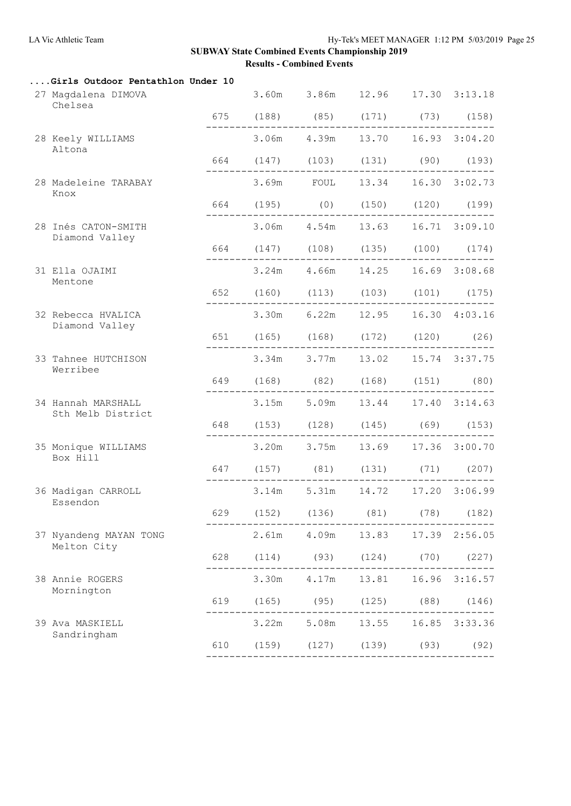|  | Girls Outdoor Pentathlon Under 10       |     |       |                                                                     |       |               |
|--|-----------------------------------------|-----|-------|---------------------------------------------------------------------|-------|---------------|
|  | 27 Magdalena DIMOVA<br>Chelsea          |     |       | 3.60m 3.86m 12.96 17.30 3:13.18                                     |       |               |
|  |                                         |     |       | 675 (188) (85) (171) (73) (158)<br>-----------------------          |       |               |
|  | 28 Keely WILLIAMS<br>Altona             |     |       | 3.06m  4.39m  13.70  16.93  3:04.20                                 |       |               |
|  |                                         |     |       | 664 (147) (103) (131) (90) (193)                                    |       |               |
|  | 28 Madeleine TARABAY<br>Knox            |     |       | 3.69m FOUL 13.34 16.30 3:02.73                                      |       |               |
|  |                                         |     |       | 664 (195) (0) (150) (120) (199)                                     |       |               |
|  | 28 Inés CATON-SMITH<br>Diamond Valley   |     |       | 3.06m  4.54m  13.63  16.71  3:09.10                                 |       |               |
|  |                                         |     |       | 664 (147) (108) (135) (100) (174)                                   |       |               |
|  | 31 Ella OJAIMI<br>Mentone               |     |       | 3.24m  4.66m  14.25  16.69  3:08.68                                 |       |               |
|  |                                         |     |       | 652 (160) (113) (103) (101) (175)                                   |       |               |
|  | 32 Rebecca HVALICA<br>Diamond Valley    |     |       | 3.30m 6.22m 12.95 16.30 4:03.16                                     |       |               |
|  |                                         |     |       | 651 (165) (168) (172) (120) (26)                                    |       |               |
|  | 33 Tahnee HUTCHISON<br>Werribee         |     |       | 3.34m 3.77m 13.02 15.74 3:37.75                                     |       |               |
|  |                                         |     |       | 649 (168) (82) (168) (151) (80)<br>-------------------------------- |       |               |
|  | 34 Hannah MARSHALL<br>Sth Melb District |     |       | 3.15m 5.09m 13.44 17.40 3:14.63                                     |       |               |
|  |                                         |     |       | 648 (153) (128) (145) (69) (153)<br>________________________        |       |               |
|  | 35 Monique WILLIAMS<br>Box Hill         |     |       | 3.20m 3.75m 13.69 17.36 3:00.70                                     |       |               |
|  |                                         | 647 |       | $(157)$ $(81)$ $(131)$ $(71)$ $(207)$                               |       |               |
|  | 36 Madigan CARROLL<br>Essendon          |     |       | 3.14m 5.31m 14.72 17.20 3:06.99                                     |       |               |
|  |                                         | 629 |       | $(152)$ $(136)$ $(81)$ $(78)$                                       |       | (182)         |
|  | 37 Nyandeng MAYAN TONG<br>Melton City   |     |       | 2.61m  4.09m  13.83  17.39  2:56.05                                 |       |               |
|  |                                         | 628 | (114) | $(93)$ $(124)$ $(70)$                                               |       | (227)         |
|  | 38 Annie ROGERS<br>Mornington           |     | 3.30m | 4.17m                                                               | 13.81 | 16.96 3:16.57 |
|  |                                         | 619 |       | $(165)$ $(95)$ $(125)$ $(88)$ $(146)$                               |       |               |
|  | 39 Ava MASKIELL<br>Sandringham          |     |       | 3.22m 5.08m 13.55 16.85 3:33.36                                     |       |               |
|  |                                         |     |       | 610 (159) (127) (139) (93) (92)                                     |       |               |
|  |                                         |     |       |                                                                     |       |               |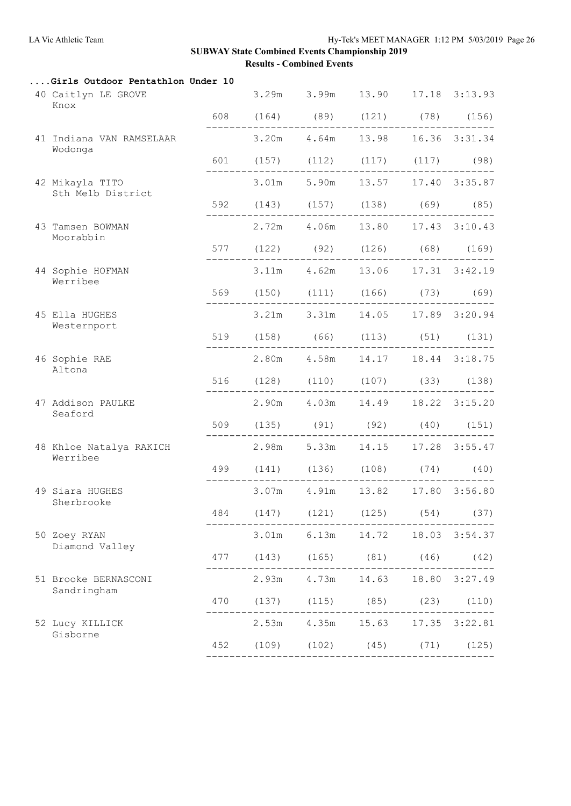|  | Girls Outdoor Pentathlon Under 10    |     |                                                                       |  |  |
|--|--------------------------------------|-----|-----------------------------------------------------------------------|--|--|
|  | 40 Caitlyn LE GROVE<br>Knox          |     | 3.29m 3.99m 13.90 17.18 3:13.93                                       |  |  |
|  |                                      |     | 608 (164) (89) (121) (78) (156)                                       |  |  |
|  | 41 Indiana VAN RAMSELAAR<br>Wodonga  |     | 3.20m  4.64m  13.98  16.36  3:31.34                                   |  |  |
|  |                                      |     | 601 (157) (112) (117) (117) (98)                                      |  |  |
|  | 42 Mikayla TITO<br>Sth Melb District |     | 3.01m 5.90m 13.57 17.40 3:35.87                                       |  |  |
|  |                                      |     | 592 (143) (157) (138) (69) (85)                                       |  |  |
|  | 43 Tamsen BOWMAN<br>Moorabbin        |     | 2.72m  4.06m  13.80  17.43  3:10.43                                   |  |  |
|  |                                      |     | 577 (122) (92) (126) (68) (169)                                       |  |  |
|  | 44 Sophie HOFMAN<br>Werribee         |     | 3.11m  4.62m  13.06  17.31  3:42.19                                   |  |  |
|  |                                      |     | 569 (150) (111) (166) (73) (69)                                       |  |  |
|  | 45 Ella HUGHES<br>Westernport        |     | 3.21m 3.31m 14.05 17.89 3:20.94                                       |  |  |
|  |                                      |     | 519 (158) (66) (113) (51) (131)<br>__________________________________ |  |  |
|  | 46 Sophie RAE<br>Altona              |     | 2.80m  4.58m  14.17  18.44  3:18.75                                   |  |  |
|  |                                      |     | 516 (128) (110) (107) (33) (138)                                      |  |  |
|  | 47 Addison PAULKE<br>Seaford         |     | 2.90m  4.03m  14.49  18.22  3:15.20                                   |  |  |
|  |                                      |     | 509 (135) (91) (92) (40) (151)                                        |  |  |
|  | 48 Khloe Natalya RAKICH<br>Werribee  |     | 2.98m 5.33m 14.15 17.28 3:55.47                                       |  |  |
|  |                                      |     | 499 (141) (136) (108) (74) (40)                                       |  |  |
|  | 49 Siara HUGHES<br>Sherbrooke        |     | 3.07m  4.91m  13.82  17.80  3:56.80                                   |  |  |
|  |                                      |     | 484 (147) (121) (125) (54) (37)                                       |  |  |
|  | 50 Zoey RYAN<br>Diamond Valley       |     | 3.01m 6.13m 14.72 18.03 3:54.37                                       |  |  |
|  |                                      |     | 477 (143) (165) (81) (46) (42)                                        |  |  |
|  | 51 Brooke BERNASCONI<br>Sandringham  |     | 2.93m  4.73m  14.63  18.80  3:27.49                                   |  |  |
|  |                                      |     | 470 (137) (115) (85) (23) (110)                                       |  |  |
|  | 52 Lucy KILLICK<br>Gisborne          |     | 2.53m  4.35m  15.63  17.35  3:22.81                                   |  |  |
|  |                                      | 452 | $(109)$ $(102)$ $(45)$ $(71)$ $(125)$                                 |  |  |
|  |                                      |     |                                                                       |  |  |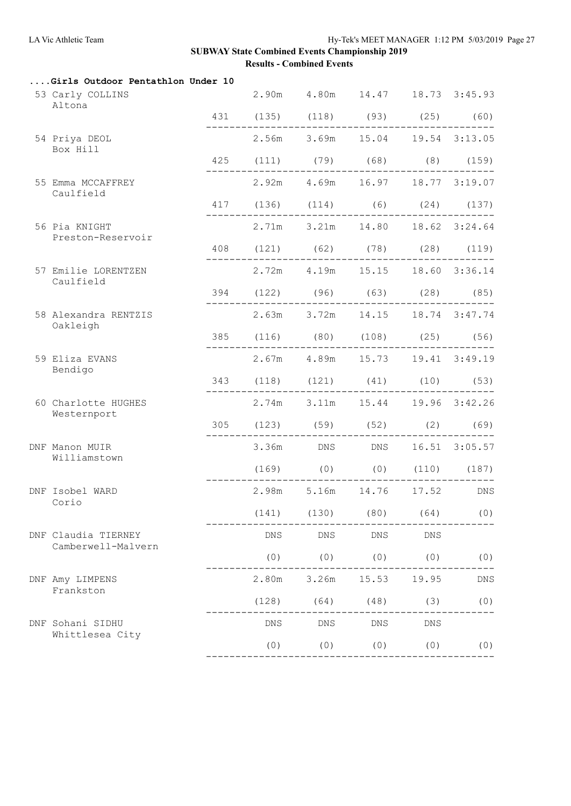|  | Girls Outdoor Pentathlon Under 10         |       |                                                                        |                   |            |             |
|--|-------------------------------------------|-------|------------------------------------------------------------------------|-------------------|------------|-------------|
|  | 53 Carly COLLINS<br>Altona                |       | 2.90m  4.80m  14.47  18.73  3:45.93                                    |                   |            |             |
|  |                                           |       | 431 (135) (118) (93) (25) (60)                                         |                   |            |             |
|  | 54 Priya DEOL<br>Box Hill                 |       | 2.56m 3.69m 15.04 19.54 3:13.05                                        |                   |            |             |
|  |                                           |       | 425 (111) (79) (68) (8) (159)                                          |                   |            |             |
|  | 55 Emma MCCAFFREY<br>Caulfield            |       | 2.92m  4.69m  16.97  18.77  3:19.07                                    |                   |            |             |
|  |                                           |       | 417 (136) (114) (6) (24) (137)                                         |                   |            |             |
|  | 56 Pia KNIGHT<br>Preston-Reservoir        |       | 2.71m 3.21m 14.80 18.62 3:24.64                                        |                   |            |             |
|  |                                           |       | 408 (121) (62) (78) (28) (119)                                         |                   |            |             |
|  | 57 Emilie LORENTZEN<br>Caulfield          |       | 2.72m  4.19m  15.15  18.60  3:36.14                                    |                   |            |             |
|  |                                           |       | 394 (122) (96) (63) (28) (85)                                          |                   |            |             |
|  | 58 Alexandra RENTZIS                      |       | 2.63m 3.72m 14.15 18.74 3:47.74                                        |                   |            |             |
|  | Oakleigh                                  |       | 385 (116) (80) (108) (25) (56)<br>------------------------------------ |                   |            |             |
|  | 59 Eliza EVANS<br>Bendigo                 |       | 2.67m 4.89m 15.73 19.41 3:49.19                                        |                   |            |             |
|  |                                           |       | 343 (118) (121) (41) (10) (53)                                         |                   |            |             |
|  | 60 Charlotte HUGHES<br>Westernport        |       | 2.74m 3.11m 15.44 19.96 3:42.26                                        |                   |            |             |
|  |                                           |       | 305 (123) (59) (52) (2) (69)                                           |                   |            |             |
|  | DNF Manon MUIR<br>Williamstown            |       | 3.36m DNS DNS 16.51 3:05.57                                            |                   |            |             |
|  |                                           |       | $(169)$ (0) (0) $(110)$ $(187)$                                        |                   |            |             |
|  | DNF Isobel WARD                           |       | 2.98m 5.16m 14.76 17.52 DNS                                            |                   |            |             |
|  | Corio                                     | (141) | (130)                                                                  | (80)              | (64)       | (0)         |
|  | DNF Claudia TIERNEY<br>Camberwell-Malvern | DNS   | <b>DNS</b>                                                             | DNS               | DNS        |             |
|  |                                           | (0)   | (0)                                                                    | (0)               | (0)        | (0)         |
|  | DNF Amy LIMPENS<br>Frankston              | 2.80m |                                                                        | 3.26m 15.53 19.95 |            | ${\rm DNS}$ |
|  |                                           | (128) | (64)                                                                   | (48)              | (3)        | (0)         |
|  | DNF Sohani SIDHU<br>Whittlesea City       | DNS   | DNS                                                                    | DNS               | <b>DNS</b> |             |
|  |                                           | (0)   | (0)                                                                    | (0)               | (0)        | (0)         |
|  |                                           |       |                                                                        |                   |            |             |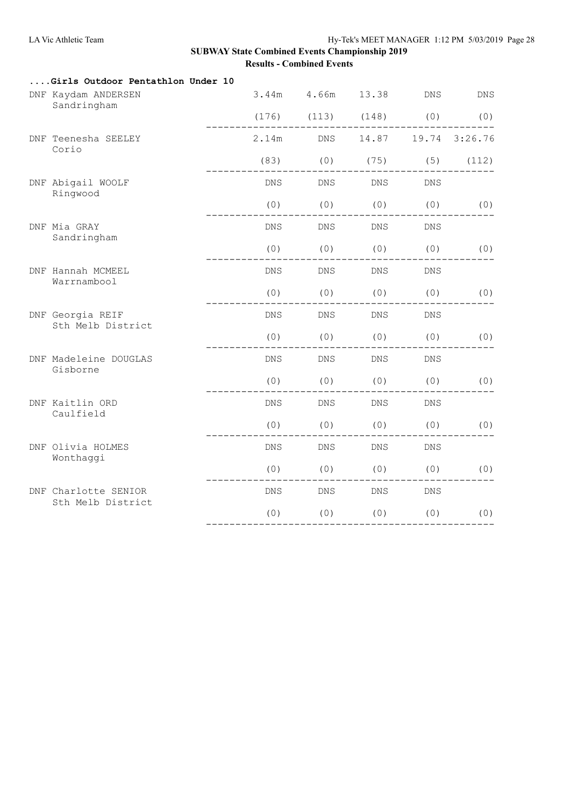|  | Girls Outdoor Pentathlon Under 10 |                      |            |                    |                    |                    |
|--|-----------------------------------|----------------------|------------|--------------------|--------------------|--------------------|
|  | DNF Kaydam ANDERSEN               | 3.44m                | 4.66m      | 13.38              | <b>DNS</b>         | $\mathop{\rm DNS}$ |
|  | Sandringham                       | (176)                | (113)      | (148)              | (0)                | (0)                |
|  | DNF Teenesha SEELEY               | 2.14m                | <b>DNS</b> | 14.87              | 19.74              | 3:26.76            |
|  | Corio                             | (83)                 | (0)        | (75)               | (5)                | (112)              |
|  | DNF Abigail WOOLF<br>Ringwood     | <b>DNS</b>           | <b>DNS</b> | DNS                | $\mathop{\rm DNS}$ |                    |
|  |                                   | (0)                  | (0)        | (0)                | (0)                | (0)                |
|  | DNF Mia GRAY<br>Sandringham       | <b>DNS</b>           | <b>DNS</b> | <b>DNS</b>         | $\mathop{\rm DNS}$ |                    |
|  |                                   | (0)                  | (0)        | (0)                | (0)                | (0)                |
|  | DNF Hannah MCMEEL<br>Warrnambool  | $\mathop{\rm DNS}$   | <b>DNS</b> | DNS                | ${\rm DNS}$        |                    |
|  |                                   | (0)                  | (0)        | (0)                | (0)                | (0)                |
|  | DNF Georgia REIF                  | $\mathop{\rm DNS}$   | <b>DNS</b> | $\mathop{\rm DNS}$ | ${\rm DNS}$        |                    |
|  | Sth Melb District                 | (0)                  | (0)        | (0)                | (0)                | (0)                |
|  | DNF Madeleine DOUGLAS             | $\mathop{\rm DNS}$   | <b>DNS</b> | $\mathop{\rm DNS}$ | $\mathop{\rm DNS}$ |                    |
|  | Gisborne                          | (0)                  | (0)        | (0)                | (0)                | (0)                |
|  | DNF Kaitlin ORD<br>Caulfield      | <b>DNS</b>           | <b>DNS</b> | DNS                | <b>DNS</b>         |                    |
|  |                                   | $\left(\,0\,\right)$ | (0)        | (0)                | (0)                | (0)                |
|  | DNF Olivia HOLMES                 | $\mathop{\rm DNS}$   | <b>DNS</b> | $\mathop{\rm DNS}$ | ${\rm DNS}$        |                    |
|  | Wonthaggi                         | (0)                  | (0)        | (0)                | (0)                | (0)                |
|  | DNF Charlotte SENIOR              | $\mathop{\rm DNS}$   | <b>DNS</b> | $\mathop{\rm DNS}$ | $\mathop{\rm DNS}$ |                    |
|  | Sth Melb District                 | (0)                  | (0)        | (0)                | (0)                | (0)                |
|  |                                   |                      |            |                    |                    |                    |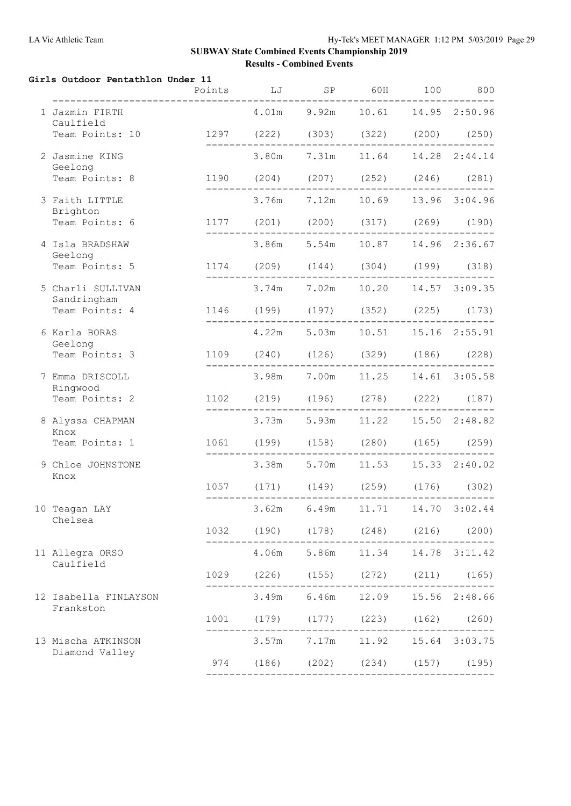#### **Girls Outdoor Pentathlon Under 11**

|                                      | Points | LJ                                 | SP | 60H                                     | 100 | 800           |
|--------------------------------------|--------|------------------------------------|----|-----------------------------------------|-----|---------------|
| 1 Jazmin FIRTH<br>Caulfield          |        |                                    |    | 4.01m 9.92m 10.61 14.95 2:50.96         |     |               |
| Team Points: 10                      |        | 1297 (222) (303) (322) (200) (250) |    |                                         |     |               |
| 2 Jasmine KING<br>Geelong            |        |                                    |    | 3.80m 7.31m 11.64 14.28 2:44.14         |     |               |
| Team Points: 8                       |        | 1190 (204) (207) (252) (246) (281) |    |                                         |     |               |
| 3 Faith LITTLE<br>Brighton           |        |                                    |    | 3.76m 7.12m 10.69 13.96 3:04.96         |     |               |
| Team Points: 6                       |        | 1177 (201) (200) (317) (269) (190) |    |                                         |     |               |
| 4 Isla BRADSHAW<br>Geelong           |        |                                    |    | 3.86m 5.54m 10.87 14.96 2:36.67         |     |               |
| Team Points: 5                       |        | 1174 (209) (144) (304) (199) (318) |    |                                         |     |               |
| 5 Charli SULLIVAN<br>Sandringham     |        |                                    |    | 3.74m 7.02m 10.20 14.57 3:09.35         |     |               |
| Team Points: 4                       |        | 1146 (199) (197) (352) (225) (173) |    |                                         |     |               |
| 6 Karla BORAS<br>Geelong             |        |                                    |    | 4.22m 5.03m 10.51 15.16 2:55.91         |     |               |
| Team Points: 3                       |        | 1109 (240) (126) (329) (186) (228) |    |                                         |     |               |
| 7 Emma DRISCOLL<br>Ringwood          |        |                                    |    | 3.98m 7.00m 11.25 14.61 3:05.58         |     |               |
| Team Points: 2                       |        | 1102 (219) (196) (278) (222) (187) |    |                                         |     |               |
| 8 Alyssa CHAPMAN<br>Knox             |        |                                    |    | 3.73m 5.93m 11.22 15.50 2:48.82         |     |               |
| Team Points: 1                       |        | 1061 (199) (158) (280) (165) (259) |    |                                         |     |               |
| 9 Chloe JOHNSTONE<br>Knox            |        |                                    |    | 3.38m 5.70m 11.53 15.33 2:40.02         |     |               |
|                                      |        | 1057 (171) (149) (259) (176) (302) |    |                                         |     |               |
| 10 Teagan LAY<br>Chelsea             |        |                                    |    | 3.62m 6.49m 11.71                       |     | 14.70 3:02.44 |
|                                      | 1032   |                                    |    | $(190)$ $(178)$ $(248)$ $(216)$ $(200)$ |     |               |
| 11 Allegra ORSO<br>Caulfield         |        |                                    |    | 4.06m 5.86m 11.34                       |     | 14.78 3:11.42 |
|                                      | 1029   |                                    |    | $(226)$ $(155)$ $(272)$ $(211)$ $(165)$ |     |               |
| 12 Isabella FINLAYSON<br>Frankston   |        |                                    |    | 3.49m 6.46m 12.09                       |     | 15.56 2:48.66 |
|                                      |        | 1001 (179) (177) (223) (162) (260) |    |                                         |     |               |
| 13 Mischa ATKINSON<br>Diamond Valley |        |                                    |    | 3.57m 7.17m 11.92 15.64 3:03.75         |     |               |
|                                      | 974    |                                    |    | $(186)$ $(202)$ $(234)$ $(157)$ $(195)$ |     |               |
|                                      |        |                                    |    |                                         |     |               |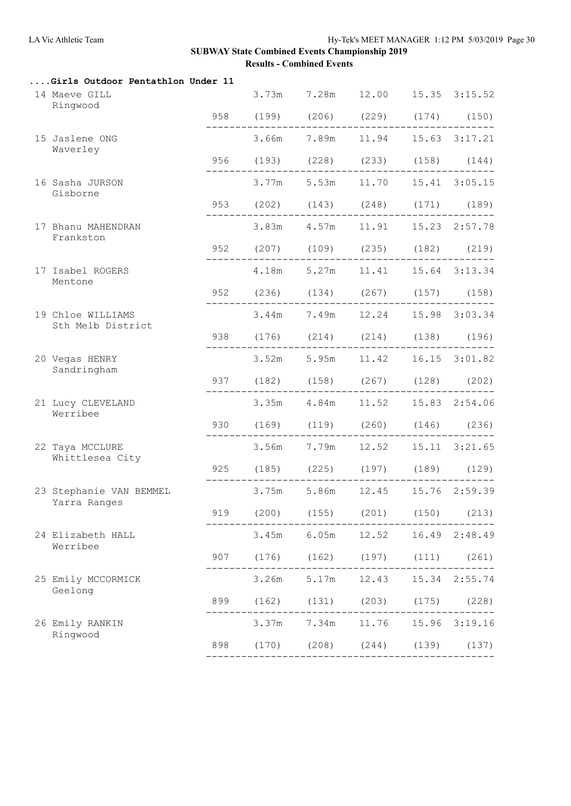|  | Girls Outdoor Pentathlon Under 11       |     |       |                                                                        |             |       |               |
|--|-----------------------------------------|-----|-------|------------------------------------------------------------------------|-------------|-------|---------------|
|  | 14 Maeve GILL<br>Ringwood               |     |       | 3.73m 7.28m 12.00 15.35 3:15.52                                        |             |       |               |
|  |                                         |     |       | 958 (199) (206) (229) (174) (150)                                      |             |       |               |
|  | 15 Jaslene ONG<br>Waverley              |     |       | 3.66m 7.89m 11.94 15.63 3:17.21                                        |             |       |               |
|  |                                         |     |       | 956 (193) (228) (233) (158) (144)<br>--------------------------------- |             |       |               |
|  | 16 Sasha JURSON<br>Gisborne             |     |       | 3.77m 5.53m 11.70 15.41 3:05.15                                        |             |       |               |
|  |                                         |     |       | 953 (202) (143) (248) (171) (189)                                      |             |       |               |
|  | 17 Bhanu MAHENDRAN<br>Frankston         |     |       | 3.83m  4.57m  11.91  15.23  2:57.78                                    |             |       |               |
|  |                                         |     |       | 952 (207) (109) (235) (182) (219)                                      |             |       |               |
|  | 17 Isabel ROGERS<br>Mentone             |     |       | 4.18m 5.27m 11.41 15.64 3:13.34                                        |             |       |               |
|  |                                         |     |       | 952 (236) (134) (267) (157) (158)                                      |             |       |               |
|  | 19 Chloe WILLIAMS<br>Sth Melb District  |     |       | 3.44m 7.49m 12.24 15.98 3:03.34                                        |             |       |               |
|  |                                         |     |       | 938 (176) (214) (214) (138) (196)                                      |             |       |               |
|  | 20 Vegas HENRY<br>Sandringham           |     |       | 3.52m 5.95m 11.42 16.15 3:01.82                                        |             |       |               |
|  |                                         |     |       | 937 (182) (158) (267) (128) (202)                                      |             |       |               |
|  | 21 Lucy CLEVELAND<br>Werribee           |     |       | 3.35m 4.84m 11.52 15.83 2:54.06                                        |             |       |               |
|  |                                         |     |       | 930 (169) (119) (260) (146) (236)                                      |             |       |               |
|  | 22 Taya MCCLURE<br>Whittlesea City      |     |       | 3.56m 7.79m 12.52 15.11 3:21.65                                        |             |       |               |
|  |                                         |     |       | 925 (185) (225) (197) (189) (129)                                      |             |       |               |
|  | 23 Stephanie VAN BEMMEL<br>Yarra Ranges |     |       | 3.75m 5.86m 12.45 15.76 2:59.39                                        |             |       |               |
|  |                                         | 919 |       | $(200)$ $(155)$ $(201)$ $(150)$                                        |             |       | (213)         |
|  | 24 Elizabeth HALL<br>Werribee           |     |       | 3.45m 6.05m 12.52 16.49 2:48.49                                        |             |       |               |
|  |                                         | 907 |       | $(176)$ $(162)$ $(197)$ $(111)$                                        |             |       | (261)         |
|  | 25 Emily MCCORMICK<br>Geelong           |     | 3.26m | 5.17m                                                                  | 12.43       | 15.34 | 2:55.74       |
|  |                                         | 899 |       | $(162)$ $(131)$ $(203)$ $(175)$ $(228)$                                |             |       |               |
|  | 26 Emily RANKIN<br>Ringwood             |     | 3.37m |                                                                        | 7.34m 11.76 |       | 15.96 3:19.16 |
|  |                                         | 898 |       | $(170)$ $(208)$ $(244)$ $(139)$ $(137)$                                |             |       |               |
|  |                                         |     |       |                                                                        |             |       |               |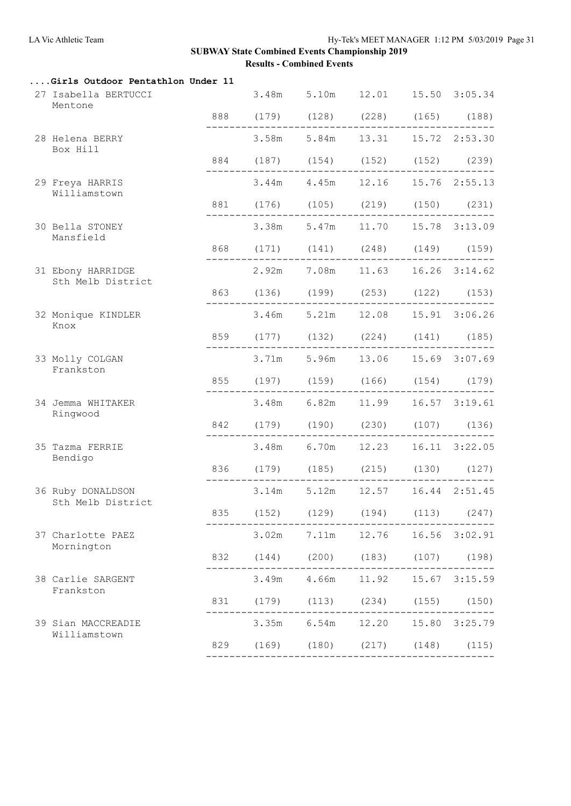#### **....Girls Outdoor Pentathlon Under 11** 27 Isabella BERTUCCI 3.48m 5.10m 12.01 15.50 3:05.34 Mentone 888 (179) (128) (228) (165) (188) ------------------------------------------------- 28 Helena BERRY 3.58m 5.84m 13.31 15.72 2:53.30 Box Hill 884 (187) (154) (152) (152) (239) ------------------------------------------------- 29 Freya HARRIS 3.44m 4.45m 12.16 Williamstown 881 (176) (105) (219) (150) (231) ------------------------------------------------- 30 Bella STONEY 3.38m 5.47m 11.70 15.78 3:13.09 Mansfield 868 (171) (141) (248) (149) (159) ------------------------------------------------- 31 Ebony HARRIDGE 2.92m 7.08m 11.63 16.26 3:14.62 Sth Melb District 863 (136) (199) (253) (122) (153) ------------------------------------------------- 32 Monique KINDLER 3.46m 5.21m 12.08 15.91 3:06.26 Knox 859 (177) (132) (224) (141) (185) ------------------------------------------------- 33 Molly COLGAN 3.71m 5.96m 13.06 15.69 3:07.69 Frankston 855 (197) (159) (166) (154) (179) ------------------------------------------------- 34 Jemma WHITAKER 3.48m 6.82m 11.99 16.57 3:19.61 Ringwood 842 (179) (190) (230) (107) (136) ------------------------------------------------- 35 Tazma FERRIE 3.48m 6.70m 12.23 16.11 3:22.05 Bendigo 836 (179) (185) (215) (130) (127) ------------------------------------------------- 36 Ruby DONALDSON 3.14m 5.12m 12.57 16.44 2:51.45 Sth Melb District 835 (152) (129) (194) (113) (247) ------------------------------------------------- 37 Charlotte PAEZ 3.02m 7.11m 12.76 16.56 3:02.91 Mornington 832 (144) (200) (183) (107) (198) ------------------------------------------------- 38 Carlie SARGENT 3.49m 4.66m 11.92 15.67 3:15.59 Frankston 831 (179) (113) (234) (155) (150) ------------------------------------------------- 39 Sian MACCREADIE 3.35m 6.54m 12.20 15.80 3:25.79 Williamstown 829 (169) (180) (217) (148) (115) -------------------------------------------------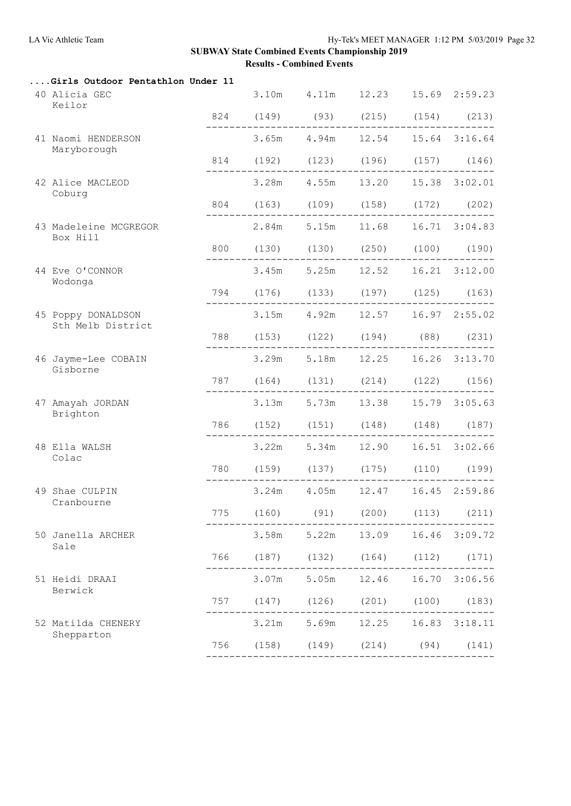| Girls Outdoor Pentathlon Under 11       |  |                                                                           |            |  |
|-----------------------------------------|--|---------------------------------------------------------------------------|------------|--|
| 40 Alicia GEC<br>Keilor                 |  | 3.10m  4.11m  12.23  15.69  2:59.23                                       |            |  |
|                                         |  | 824 (149) (93) (215) (154) (213)                                          |            |  |
| 41 Naomi HENDERSON<br>Maryborough       |  | 3.65m  4.94m  12.54  15.64  3:16.64                                       |            |  |
|                                         |  | 814 (192) (123) (196) (157) (146)                                         |            |  |
| 42 Alice MACLEOD<br>Coburg              |  | 3.28m  4.55m  13.20  15.38  3:02.01                                       |            |  |
|                                         |  | 804 (163) (109) (158) (172) (202)                                         |            |  |
| 43 Madeleine MCGREGOR<br>Box Hill       |  | 2.84m 5.15m 11.68 16.71 3:04.83                                           |            |  |
|                                         |  | 800 (130) (130) (250) (100) (190)<br>------------------------------------ |            |  |
| 44 Eve O'CONNOR<br>Wodonga              |  | 3.45m 5.25m 12.52 16.21 3:12.00                                           |            |  |
|                                         |  | 794 (176) (133) (197) (125) (163)                                         |            |  |
| 45 Poppy DONALDSON<br>Sth Melb District |  | 3.15m  4.92m  12.57  16.97  2:55.02                                       |            |  |
|                                         |  | 788 (153) (122) (194) (88) (231)                                          |            |  |
| 46 Jayme-Lee COBAIN<br>Gisborne         |  | 3.29m 5.18m 12.25 16.26 3:13.70                                           |            |  |
|                                         |  | 787 (164) (131) (214) (122) (156)                                         |            |  |
| 47 Amayah JORDAN<br>Brighton            |  | 3.13m 5.73m 13.38 15.79 3:05.63                                           |            |  |
|                                         |  | 786 (152) (151) (148) (148) (187)                                         |            |  |
| 48 Ella WALSH<br>Colac                  |  | 3.22m 5.34m 12.90 16.51 3:02.66                                           |            |  |
|                                         |  | 780 (159) (137) (175) (110) (199)                                         |            |  |
| 49 Shae CULPIN<br>Cranbourne            |  | 3.24m  4.05m  12.47  16.45  2:59.86                                       |            |  |
|                                         |  | 775 (160) (91) (200) (113) (211)                                          | ---------- |  |
| 50 Janella ARCHER<br>Sale               |  | 3.58m 5.22m 13.09 16.46 3:09.72                                           |            |  |
|                                         |  | 766 (187) (132) (164) (112) (171)                                         |            |  |
| 51 Heidi DRAAI<br>Berwick               |  | 3.07m 5.05m 12.46 16.70 3:06.56                                           |            |  |
|                                         |  | 757 (147) (126) (201) (100) (183)                                         |            |  |
| 52 Matilda CHENERY                      |  | 3.21m 5.69m 12.25 16.83 3:18.11                                           |            |  |
| Shepparton                              |  | 756 (158) (149) (214) (94) (141)                                          |            |  |
|                                         |  |                                                                           |            |  |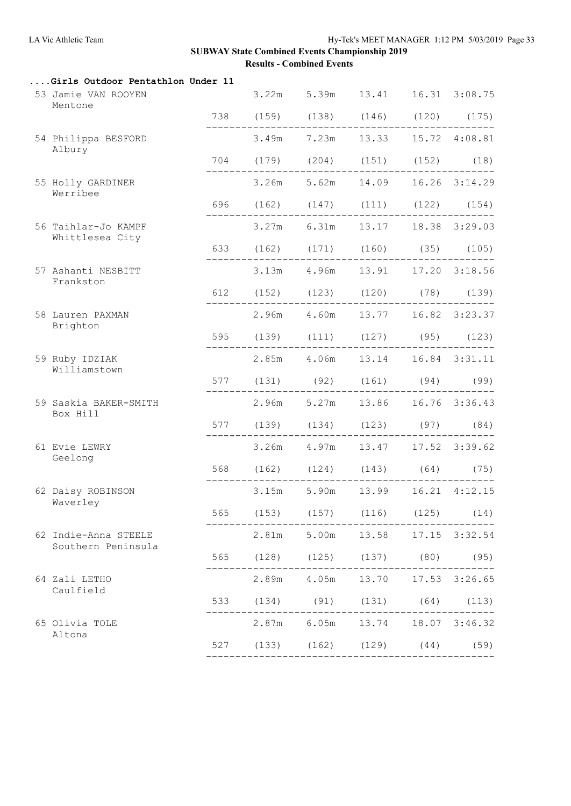| Girls Outdoor Pentathlon Under 11          |  |                                                                     |              |  |
|--------------------------------------------|--|---------------------------------------------------------------------|--------------|--|
| 53 Jamie VAN ROOYEN<br>Mentone             |  | 3.22m 5.39m 13.41 16.31 3:08.75                                     |              |  |
|                                            |  | 738 (159) (138) (146) (120) (175)                                   |              |  |
| 54 Philippa BESFORD<br>Albury              |  | 3.49m 7.23m 13.33 15.72 4:08.81                                     |              |  |
|                                            |  | 704 (179) (204) (151) (152) (18)                                    |              |  |
| 55 Holly GARDINER<br>Werribee              |  | 3.26m 5.62m 14.09 16.26 3:14.29                                     |              |  |
|                                            |  | 696 (162) (147) (111) (122) (154)                                   |              |  |
| 56 Taihlar-Jo KAMPF<br>Whittlesea City     |  | 3.27m 6.31m 13.17 18.38 3:29.03                                     |              |  |
|                                            |  | 633 (162) (171) (160) (35) (105)                                    |              |  |
| 57 Ashanti NESBITT<br>Frankston            |  | 3.13m  4.96m  13.91  17.20  3:18.56                                 |              |  |
|                                            |  | 612 (152) (123) (120) (78) (139)                                    |              |  |
| 58 Lauren PAXMAN<br>Brighton               |  | 2.96m  4.60m  13.77  16.82  3:23.37                                 |              |  |
|                                            |  | 595 (139) (111) (127) (95) (123)<br>------------------------------- |              |  |
| 59 Ruby IDZIAK<br>Williamstown             |  | 2.85m  4.06m  13.14  16.84  3:31.11                                 |              |  |
|                                            |  | 577 (131) (92) (161) (94) (99)                                      | ------------ |  |
| 59 Saskia BAKER-SMITH<br>Box Hill          |  | 2.96m 5.27m 13.86 16.76 3:36.43                                     |              |  |
|                                            |  | 577 (139) (134) (123) (97) (84)                                     |              |  |
| 61 Evie LEWRY<br>Geelong                   |  | 3.26m  4.97m  13.47  17.52  3:39.62                                 |              |  |
|                                            |  | 568 (162) (124) (143) (64) (75)                                     |              |  |
| 62 Daisy ROBINSON<br>Waverley              |  | 3.15m 5.90m 13.99 16.21 4:12.15                                     |              |  |
|                                            |  | 565 (153) (157) (116) (125) (14)                                    |              |  |
| 62 Indie-Anna STEELE<br>Southern Peninsula |  | 2.81m 5.00m 13.58 17.15 3:32.54                                     |              |  |
|                                            |  | 565 (128) (125) (137) (80) (95)                                     |              |  |
| 64 Zali LETHO<br>Caulfield                 |  | 2.89m  4.05m  13.70  17.53  3:26.65                                 |              |  |
|                                            |  | 533 (134) (91) (131) (64) (113)                                     |              |  |
| 65 Olivia TOLE<br>Altona                   |  | 2.87m 6.05m 13.74 18.07 3:46.32                                     |              |  |
|                                            |  | 527 (133) (162) (129) (44) (59)                                     |              |  |
|                                            |  |                                                                     |              |  |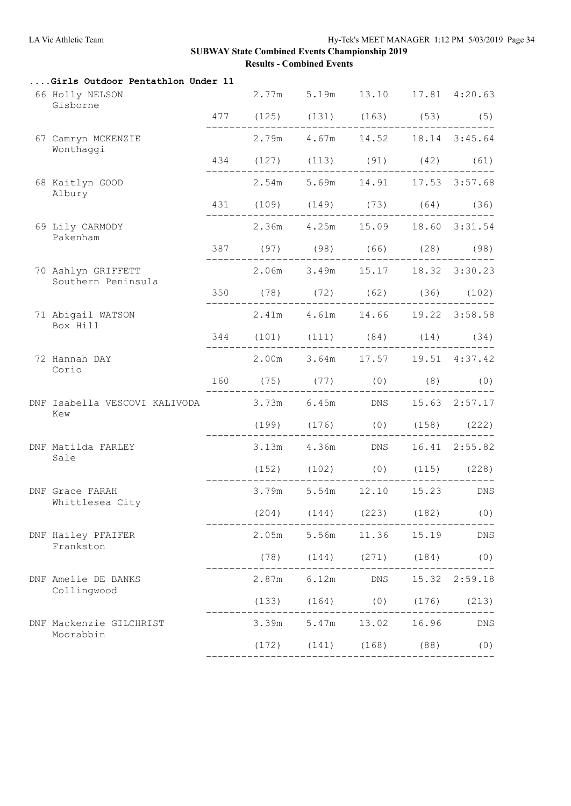|  | Girls Outdoor Pentathlon Under 11 |                               |                                 |                                                                               |  |       |               |
|--|-----------------------------------|-------------------------------|---------------------------------|-------------------------------------------------------------------------------|--|-------|---------------|
|  | 66 Holly NELSON<br>Gisborne       |                               |                                 | 2.77m 5.19m 13.10 17.81 4:20.63                                               |  |       |               |
|  |                                   |                               | 477 (125) (131) (163) (53) (5)  |                                                                               |  |       |               |
|  | 67 Camryn MCKENZIE<br>Wonthaggi   |                               |                                 | 2.79m  4.67m  14.52  18.14  3:45.64                                           |  |       |               |
|  |                                   |                               | 434 (127) (113) (91) (42) (61)  | __________________________________                                            |  |       |               |
|  | 68 Kaitlyn GOOD                   |                               |                                 | 2.54m 5.69m 14.91 17.53 3:57.68                                               |  |       |               |
|  | Albury                            |                               | 431 (109) (149) (73) (64) (36)  |                                                                               |  |       |               |
|  | 69 Lily CARMODY                   |                               |                                 | 2.36m  4.25m  15.09  18.60  3:31.54                                           |  |       |               |
|  | Pakenham                          |                               | 387 (97) (98) (66) (28) (98)    |                                                                               |  |       |               |
|  | 70 Ashlyn GRIFFETT                |                               | 2.06m 3.49m 15.17 18.32 3:30.23 |                                                                               |  |       |               |
|  | Southern Peninsula                |                               | 350 (78) (72) (62) (36) (102)   |                                                                               |  |       |               |
|  | 71 Abigail WATSON<br>Box Hill     |                               |                                 | 2.41m  4.61m  14.66  19.22  3:58.58                                           |  |       |               |
|  |                                   |                               | 344 (101) (111) (84) (14) (34)  |                                                                               |  |       |               |
|  | 72 Hannah DAY                     |                               | 2.00m 3.64m 17.57 19.51 4:37.42 |                                                                               |  |       |               |
|  | Corio                             |                               | 160 (75) (77) (0) (8) (0)       |                                                                               |  |       |               |
|  | DNF Isabella VESCOVI KALIVODA     | 3.73m 6.45m DNS 15.63 2:57.17 |                                 |                                                                               |  |       |               |
|  | Kew                               |                               |                                 | $(199)$ $(176)$ $(0)$ $(158)$ $(222)$<br>------------------------------------ |  |       |               |
|  | DNF Matilda FARLEY                |                               |                                 | 3.13m  4.36m  DNS  16.41  2:55.82                                             |  |       |               |
|  | Sale                              |                               |                                 | $(152)$ $(102)$ $(0)$ $(115)$ $(228)$                                         |  |       |               |
|  | DNF Grace FARAH                   |                               |                                 | 3.79m 5.54m 12.10 15.23 DNS                                                   |  |       |               |
|  | Whittlesea City                   |                               |                                 | $(204)$ $(144)$ $(223)$ $(182)$                                               |  |       | (0)           |
|  | DNF Hailey PFAIFER                |                               |                                 | 2.05m 5.56m 11.36 15.19                                                       |  |       | <b>DNS</b>    |
|  | Frankston                         |                               |                                 | $(78)$ $(144)$ $(271)$ $(184)$                                                |  |       | (0)           |
|  | DNF Amelie DE BANKS               |                               | 2.87m                           | $6.12m$ DNS                                                                   |  |       | 15.32 2:59.18 |
|  | Collingwood                       |                               |                                 | $(133)$ $(164)$ $(0)$ $(176)$ $(213)$                                         |  |       |               |
|  | DNF Mackenzie GILCHRIST           |                               |                                 | $3.39m$ $5.47m$ $13.02$                                                       |  | 16.96 | DNS           |
|  | Moorabbin                         |                               |                                 | $(172)$ $(141)$ $(168)$ $(88)$                                                |  |       | (0)           |
|  |                                   |                               |                                 |                                                                               |  |       |               |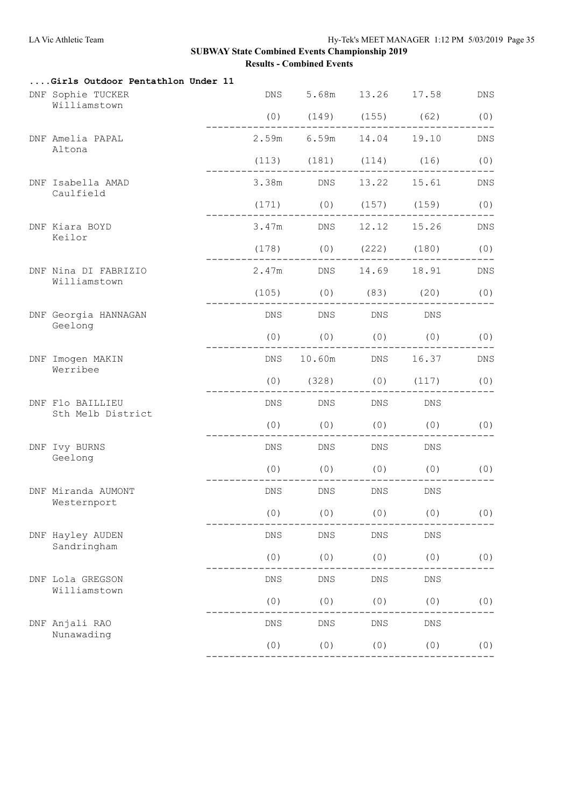|  | Girls Outdoor Pentathlon Under 11    |            |                    |                    |                    |                    |
|--|--------------------------------------|------------|--------------------|--------------------|--------------------|--------------------|
|  | DNF Sophie TUCKER<br>Williamstown    | DNS        |                    | 5.68m 13.26 17.58  |                    | ${\rm DNS}$        |
|  |                                      | (0)        |                    | $(149)$ $(155)$    | (62)               | (0)                |
|  | DNF Amelia PAPAL                     | 2.59m      | 6.59m              | 14.04              | 19.10              | DNS                |
|  | Altona                               | (113)      | (181)              | (114)              | (16)               | (0)                |
|  | DNF Isabella AMAD                    | 3.38m      | DNS                | 13.22              | 15.61              | $\mathop{\rm DNS}$ |
|  | Caulfield                            | (171)      | (0)                | (157)              | (159)              | (0)                |
|  | DNF Kiara BOYD<br>Keilor             | 3.47m      | DNS                | 12.12              | 15.26              | <b>DNS</b>         |
|  |                                      | (178)      | (0)                | (222)              | (180)              | (0)                |
|  | DNF Nina DI FABRIZIO<br>Williamstown | 2.47m      | <b>DNS</b>         | 14.69              | 18.91              | DNS                |
|  |                                      | (105)      | (0)                | (83)               | (20)               | (0)                |
|  | DNF Georgia HANNAGAN                 | <b>DNS</b> | ${\rm DNS}$        | DNS                | $\mathop{\rm DNS}$ |                    |
|  | Geelong                              | (0)        | (0)                | (0)                | (0)                | (0)                |
|  | DNF Imogen MAKIN                     | <b>DNS</b> | 10.60m             | DNS                | 16.37              | DNS                |
|  | Werribee                             | (0)        | (328)              | (0)                | (117)              | (0)                |
|  | DNF Flo BAILLIEU                     | <b>DNS</b> | <b>DNS</b>         | DNS                | <b>DNS</b>         |                    |
|  | Sth Melb District                    | (0)        | (0)                | (0)                | (0)                | (0)                |
|  | DNF Ivy BURNS                        | <b>DNS</b> | ${\rm DNS}$        | $\mathop{\rm DNS}$ | <b>DNS</b>         |                    |
|  | Geelong                              | (0)        | (0)                | (0)                | (0)                | (0)                |
|  | DNF Miranda AUMONT                   | DNS        | $\mathop{\rm DNS}$ | DNS                | DNS                |                    |
|  | Westernport                          | (0)        | (0)                | (0)                | (0)                | (0)                |
|  | DNF Hayley AUDEN                     | <b>DNS</b> | <b>DNS</b>         | DNS                | ${\rm DNS}$        |                    |
|  | Sandringham                          | (0)        | (0)                | (0)                | (0)                | (0)                |
|  | DNF Lola GREGSON                     | <b>DNS</b> | <b>DNS</b>         | ${\tt DNS}$        | ${\rm DNS}$        |                    |
|  | Williamstown                         | (0)        | (0)                | (0)                | (0)                | (0)                |
|  | DNF Anjali RAO                       | <b>DNS</b> | <b>DNS</b>         | $\mathop{\rm DNS}$ | DNS                |                    |
|  | Nunawading                           | $(0)$      | (0)                | (0)                | (0)                | (0)                |
|  |                                      |            |                    |                    |                    |                    |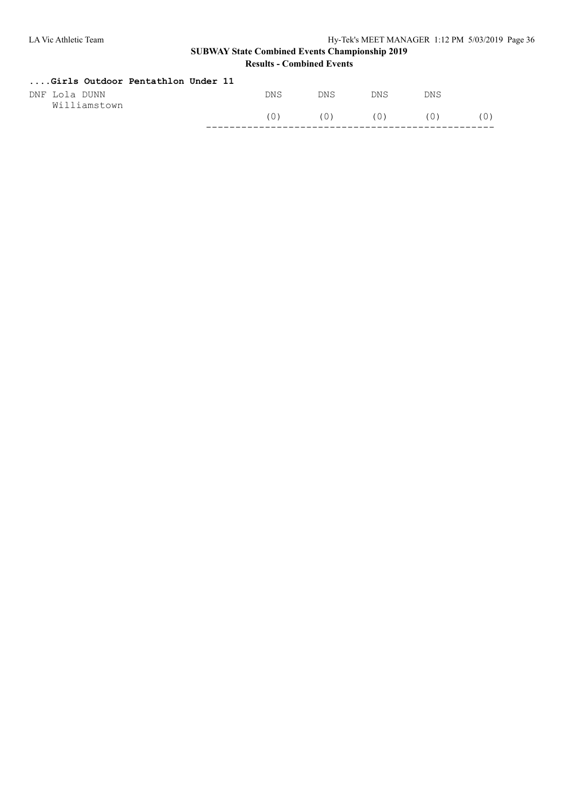|                               | Girls Outdoor Pentathlon Under 11 |     |      |     |     |     |
|-------------------------------|-----------------------------------|-----|------|-----|-----|-----|
| DNF Lola DUNN<br>Williamstown |                                   | DNS | DNS. | DNS | DNS |     |
|                               |                                   | (0) | (0)  | (0) | (0) | (0) |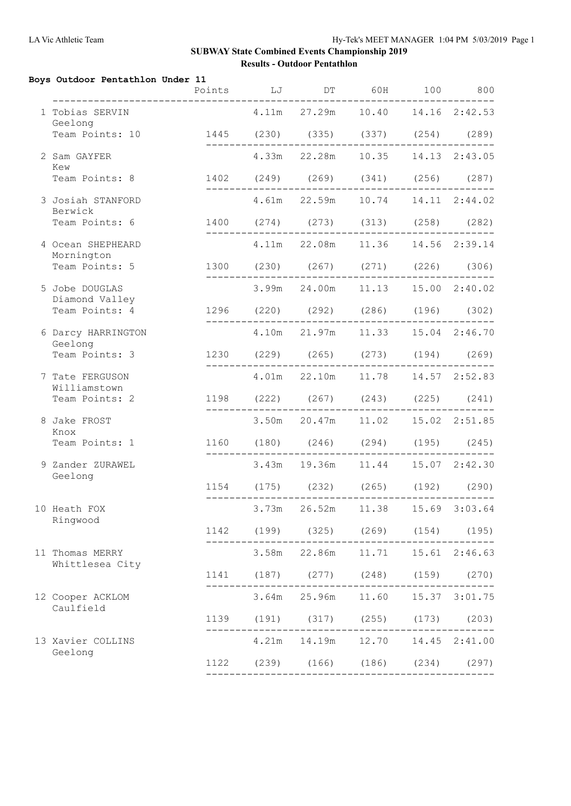| Boys Outdoor Pentathlon Under 11 |                                    | Points LJ DT 60H 100 800           |                                                                           |                   |                               |  |
|----------------------------------|------------------------------------|------------------------------------|---------------------------------------------------------------------------|-------------------|-------------------------------|--|
| 1 Tobias SERVIN<br>Geelong       |                                    |                                    | 4.11m  27.29m  10.40  14.16  2:42.53                                      |                   |                               |  |
| Team Points: 10                  | 1445 (230) (335) (337) (254) (289) |                                    |                                                                           |                   |                               |  |
| 2 Sam GAYFER<br>Kew              |                                    |                                    | 4.33m 22.28m 10.35 14.13 2:43.05                                          |                   |                               |  |
| Team Points: 8                   | 1402 (249) (269) (341) (256) (287) |                                    |                                                                           |                   |                               |  |
| 3 Josiah STANFORD<br>Berwick     |                                    |                                    | 4.61m  22.59m  10.74  14.11  2:44.02                                      |                   |                               |  |
| Team Points: 6                   |                                    | 1400 (274) (273) (313) (258) (282) |                                                                           |                   |                               |  |
| 4 Ocean SHEPHEARD<br>Mornington  |                                    |                                    | 4.11m  22.08m  11.36  14.56  2:39.14                                      |                   |                               |  |
| Team Points: 5                   |                                    | 1300 (230) (267) (271) (226) (306) |                                                                           |                   |                               |  |
| 5 Jobe DOUGLAS                   |                                    |                                    | 3.99m 24.00m 11.13 15.00 2:40.02                                          |                   |                               |  |
| Diamond Valley<br>Team Points: 4 |                                    | 1296 (220) (292) (286) (196) (302) |                                                                           |                   |                               |  |
| 6 Darcy HARRINGTON               |                                    |                                    | 4.10m 21.97m 11.33 15.04 2:46.70                                          |                   |                               |  |
| Geelong<br>Team Points: 3        |                                    | 1230 (229) (265) (273) (194) (269) |                                                                           |                   |                               |  |
| 7 Tate FERGUSON                  |                                    |                                    | 4.01m  22.10m  11.78  14.57  2:52.83                                      |                   |                               |  |
| Williamstown<br>Team Points: 2   |                                    | 1198 (222) (267) (243) (225) (241) |                                                                           | _________________ |                               |  |
| 8 Jake FROST                     |                                    |                                    | 3.50m  20.47m  11.02  15.02  2:51.85                                      |                   |                               |  |
| Knox<br>Team Points: 1           |                                    | 1160 (180) (246) (294) (195) (245) |                                                                           |                   |                               |  |
| 9 Zander ZURAWEL                 |                                    |                                    | 3.43m 19.36m 11.44 15.07 2:42.30                                          |                   |                               |  |
| Geelong                          |                                    | 1154 (175) (232) (265) (192) (290) |                                                                           |                   |                               |  |
| 10 Heath FOX                     |                                    |                                    | 3.73m  26.52m  11.38  15.69  3:03.64                                      |                   |                               |  |
| Ringwood                         |                                    | 1142 (199) (325) (269) (154) (195) |                                                                           |                   |                               |  |
| 11 Thomas MERRY                  |                                    |                                    | _____________________________________<br>3.58m 22.86m 11.71 15.61 2:46.63 |                   |                               |  |
| Whittlesea City                  | 1141                               |                                    | $(187)$ $(277)$ $(248)$ $(159)$ $(270)$                                   |                   |                               |  |
| 12 Cooper ACKLOM<br>Caulfield    |                                    | 3.64m                              |                                                                           |                   | 25.96m  11.60  15.37  3:01.75 |  |
|                                  |                                    | 1139 (191) (317) (255) (173) (203) |                                                                           |                   |                               |  |
| 13 Xavier COLLINS<br>Geelong     |                                    |                                    | 4.21m  14.19m  12.70  14.45  2:41.00                                      |                   |                               |  |
|                                  |                                    | 1122 (239) (166) (186) (234) (297) |                                                                           |                   |                               |  |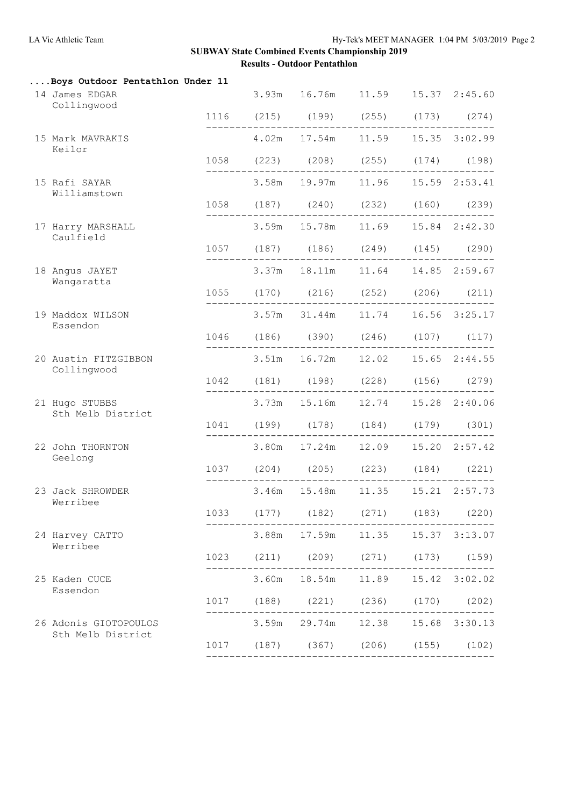|  | Boys Outdoor Pentathlon Under 11           |  |                                                                         |  |  |
|--|--------------------------------------------|--|-------------------------------------------------------------------------|--|--|
|  | 14 James EDGAR<br>Collingwood              |  | 3.93m 16.76m 11.59 15.37 2:45.60                                        |  |  |
|  |                                            |  | 1116 (215) (199) (255) (173) (274)                                      |  |  |
|  | 15 Mark MAVRAKIS<br>Keilor                 |  | 4.02m  17.54m  11.59  15.35  3:02.99                                    |  |  |
|  |                                            |  | 1058 (223) (208) (255) (174) (198)                                      |  |  |
|  | 15 Rafi SAYAR<br>Williamstown              |  | 3.58m 19.97m 11.96 15.59 2:53.41                                        |  |  |
|  |                                            |  | 1058 (187) (240) (232) (160) (239)                                      |  |  |
|  | 17 Harry MARSHALL<br>Caulfield             |  | 3.59m 15.78m 11.69 15.84 2:42.30                                        |  |  |
|  |                                            |  | 1057 (187) (186) (249) (145) (290)                                      |  |  |
|  | 18 Angus JAYET<br>Wangaratta               |  | 3.37m 18.11m 11.64 14.85 2:59.67                                        |  |  |
|  |                                            |  | 1055 (170) (216) (252) (206) (211)                                      |  |  |
|  | 19 Maddox WILSON<br>Essendon               |  | 3.57m 31.44m 11.74 16.56 3:25.17                                        |  |  |
|  |                                            |  | 1046 (186) (390) (246) (107) (117)                                      |  |  |
|  | 20 Austin FITZGIBBON<br>Collingwood        |  | 3.51m  16.72m  12.02  15.65  2:44.55                                    |  |  |
|  |                                            |  | 1042 (181) (198) (228) (156) (279)                                      |  |  |
|  | 21 Hugo STUBBS<br>Sth Melb District        |  | 3.73m 15.16m 12.74 15.28 2:40.06                                        |  |  |
|  |                                            |  | 1041 (199) (178) (184) (179) (301)<br>--------------------------------- |  |  |
|  | 22 John THORNTON<br>Geelong                |  | 3.80m  17.24m  12.09  15.20  2:57.42                                    |  |  |
|  |                                            |  | 1037 (204) (205) (223) (184) (221)                                      |  |  |
|  | 23 Jack SHROWDER<br>Werribee               |  | 3.46m 15.48m 11.35 15.21 2:57.73                                        |  |  |
|  |                                            |  | 1033 (177) (182) (271) (183) (220)                                      |  |  |
|  | 24 Harvey CATTO<br>Werribee                |  | 3.88m 17.59m 11.35 15.37 3:13.07                                        |  |  |
|  |                                            |  | 1023 (211) (209) (271) (173) (159)                                      |  |  |
|  | 25 Kaden CUCE<br>Essendon                  |  | 3.60m  18.54m  11.89  15.42  3:02.02                                    |  |  |
|  |                                            |  | 1017 (188) (221) (236) (170) (202)                                      |  |  |
|  | 26 Adonis GIOTOPOULOS<br>Sth Melb District |  | 3.59m 29.74m 12.38 15.68 3:30.13                                        |  |  |
|  |                                            |  | 1017 (187) (367) (206) (155) (102)                                      |  |  |
|  |                                            |  |                                                                         |  |  |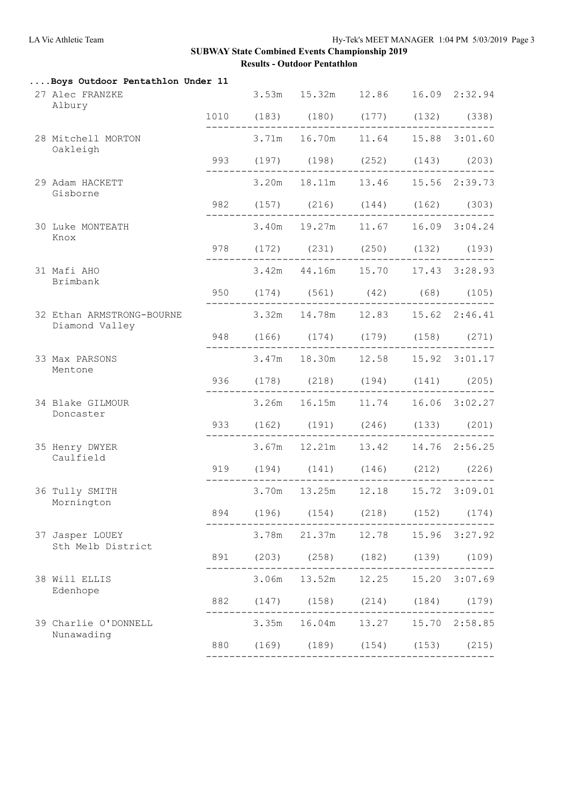|  | Boys Outdoor Pentathlon Under 11            |  |                                                                            |               |  |
|--|---------------------------------------------|--|----------------------------------------------------------------------------|---------------|--|
|  | 27 Alec FRANZKE<br>Albury                   |  | 3.53m 15.32m 12.86 16.09 2:32.94                                           |               |  |
|  |                                             |  | 1010 (183) (180) (177) (132) (338)                                         | ------------- |  |
|  | 28 Mitchell MORTON<br>Oakleigh              |  | 3.71m  16.70m  11.64  15.88  3:01.60                                       |               |  |
|  |                                             |  | 993 (197) (198) (252) (143) (203)                                          |               |  |
|  | 29 Adam HACKETT<br>Gisborne                 |  | 3.20m 18.11m 13.46 15.56 2:39.73                                           |               |  |
|  |                                             |  | 982 (157) (216) (144) (162) (303)                                          |               |  |
|  | 30 Luke MONTEATH<br>Knox                    |  | 3.40m  19.27m  11.67  16.09  3:04.24                                       |               |  |
|  |                                             |  | 978 (172) (231) (250) (132) (193)<br>____________________________________  |               |  |
|  | 31 Mafi AHO<br>Brimbank                     |  | 3.42m 44.16m 15.70 17.43 3:28.93                                           |               |  |
|  |                                             |  | 950 (174) (561) (42) (68) (105)                                            |               |  |
|  | 32 Ethan ARMSTRONG-BOURNE<br>Diamond Valley |  | 3.32m 14.78m 12.83 15.62 2:46.41                                           |               |  |
|  |                                             |  | 948 (166) (174) (179) (158) (271)                                          |               |  |
|  | 33 Max PARSONS<br>Mentone                   |  | 3.47m 18.30m 12.58 15.92 3:01.17                                           |               |  |
|  |                                             |  | 936 (178) (218) (194) (141) (205)                                          |               |  |
|  | 34 Blake GILMOUR<br>Doncaster               |  | 3.26m  16.15m  11.74  16.06  3:02.27                                       |               |  |
|  |                                             |  | 933 (162) (191) (246) (133) (201)                                          |               |  |
|  | 35 Henry DWYER<br>Caulfield                 |  | 3.67m 12.21m 13.42 14.76 2:56.25                                           |               |  |
|  |                                             |  | 919 (194) (141) (146) (212) (226)                                          |               |  |
|  | 36 Tully SMITH<br>Mornington                |  | 3.70m 13.25m 12.18 15.72 3:09.01                                           |               |  |
|  |                                             |  | 894 (196) (154) (218) (152) (174)<br>___________________________________   |               |  |
|  | 37 Jasper LOUEY<br>Sth Melb District        |  | 3.78m 21.37m 12.78 15.96 3:27.92                                           |               |  |
|  |                                             |  | 891 (203) (258) (182) (139) (109)<br>------------------------------------- |               |  |
|  | 38 Will ELLIS<br>Edenhope                   |  | 3.06m 13.52m 12.25 15.20 3:07.69                                           |               |  |
|  |                                             |  | 882 (147) (158) (214) (184) (179)                                          |               |  |
|  | 39 Charlie O'DONNELL<br>Nunawading          |  | 3.35m 16.04m 13.27 15.70 2:58.85                                           |               |  |
|  |                                             |  | 880 (169) (189) (154) (153) (215)                                          |               |  |
|  |                                             |  |                                                                            |               |  |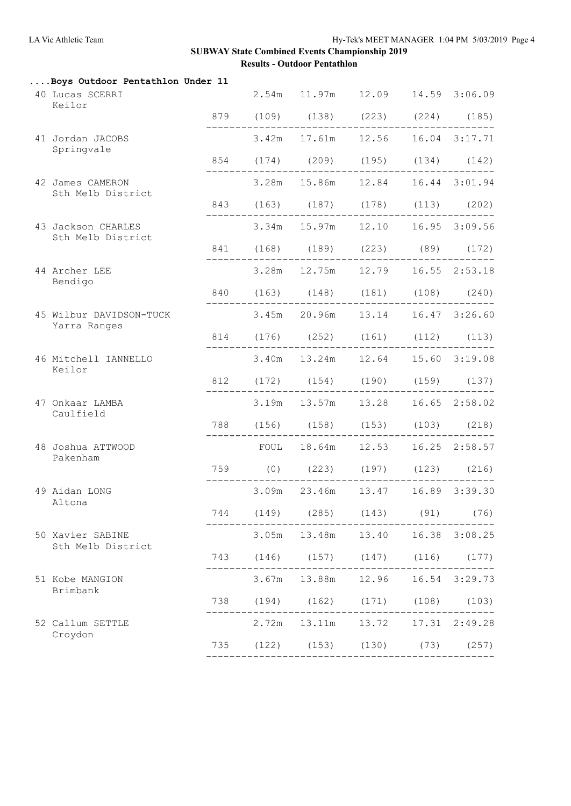| Boys Outdoor Pentathlon Under 11        |       |                                                                           |                               |  |
|-----------------------------------------|-------|---------------------------------------------------------------------------|-------------------------------|--|
| 40 Lucas SCERRI<br>Keilor               |       | 2.54m 11.97m 12.09 14.59 3:06.09                                          |                               |  |
|                                         |       | 879 (109) (138) (223) (224) (185)                                         |                               |  |
| 41 Jordan JACOBS<br>Springvale          |       | 3.42m 17.61m 12.56 16.04 3:17.71                                          |                               |  |
|                                         |       | 854 (174) (209) (195) (134) (142)                                         |                               |  |
| 42 James CAMERON<br>Sth Melb District   |       | 3.28m 15.86m 12.84 16.44 3:01.94                                          |                               |  |
|                                         |       | 843 (163) (187) (178) (113) (202)                                         |                               |  |
| 43 Jackson CHARLES<br>Sth Melb District |       | 3.34m 15.97m 12.10 16.95 3:09.56                                          |                               |  |
|                                         |       | 841 (168) (189) (223) (89) (172)<br>------------------------------------- |                               |  |
| 44 Archer LEE<br>Bendigo                |       | 3.28m 12.75m 12.79 16.55 2:53.18                                          |                               |  |
|                                         |       | 840 (163) (148) (181) (108) (240)                                         |                               |  |
| 45 Wilbur DAVIDSON-TUCK<br>Yarra Ranges |       | 3.45m 20.96m 13.14 16.47 3:26.60                                          |                               |  |
|                                         |       | 814 (176) (252) (161) (112) (113)                                         |                               |  |
| 46 Mitchell IANNELLO<br>Keilor          |       | 3.40m  13.24m  12.64  15.60  3:19.08                                      |                               |  |
|                                         |       | 812 (172) (154) (190) (159) (137)                                         | -------                       |  |
| 47 Onkaar LAMBA<br>Caulfield            |       | 3.19m 13.57m 13.28 16.65 2:58.02                                          |                               |  |
|                                         |       | 788 (156) (158) (153) (103) (218)                                         |                               |  |
| 48 Joshua ATTWOOD<br>Pakenham           |       | FOUL 18.64m 12.53 16.25 2:58.57                                           |                               |  |
|                                         |       | 759 (0) (223) (197) (123) (216)                                           |                               |  |
| 49 Aidan LONG<br>Altona                 |       | 3.09m 23.46m 13.47 16.89 3:39.30                                          |                               |  |
|                                         |       | 744 (149) (285) (143) (91) (76)<br>_________________________________      |                               |  |
| 50 Xavier SABINE<br>Sth Melb District   |       | 3.05m 13.48m 13.40 16.38 3:08.25                                          |                               |  |
|                                         |       | 743 (146) (157) (147) (116) (177)                                         |                               |  |
| 51 Kobe MANGION<br>Brimbank             | 3.67m |                                                                           | 13.88m  12.96  16.54  3:29.73 |  |
|                                         |       | 738 (194) (162) (171) (108) (103)                                         |                               |  |
| 52 Callum SETTLE<br>Croydon             |       | 2.72m 13.11m 13.72 17.31 2:49.28                                          |                               |  |
|                                         |       | 735 (122) (153) (130) (73) (257)                                          |                               |  |
|                                         |       |                                                                           |                               |  |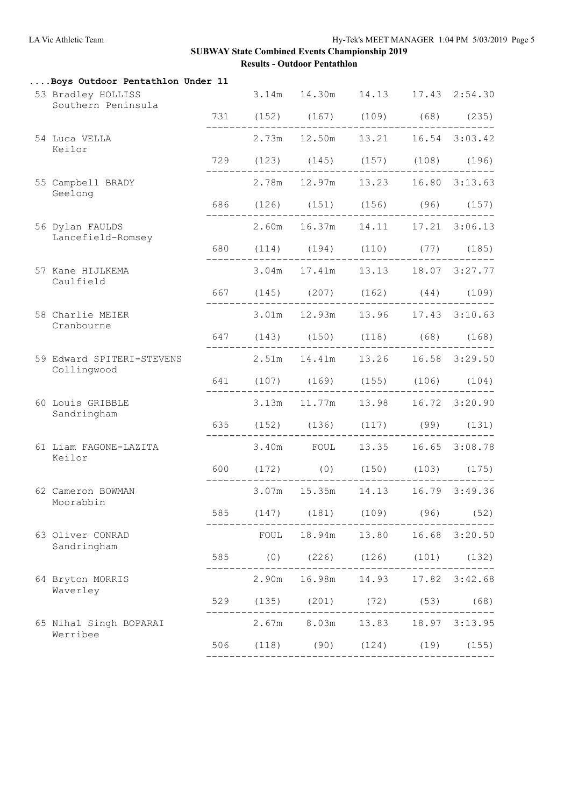| Boys Outdoor Pentathlon Under 11         |     |       |                                                                          |                               |      |
|------------------------------------------|-----|-------|--------------------------------------------------------------------------|-------------------------------|------|
| 53 Bradley HOLLISS<br>Southern Peninsula |     |       | 3.14m  14.30m  14.13  17.43  2:54.30                                     |                               |      |
|                                          |     |       | 731 (152) (167) (109) (68) (235)                                         |                               |      |
| 54 Luca VELLA<br>Keilor                  |     |       | 2.73m 12.50m 13.21 16.54 3:03.42                                         |                               |      |
|                                          |     |       | 729 (123) (145) (157) (108) (196)                                        |                               |      |
| 55 Campbell BRADY<br>Geelong             |     |       | 2.78m 12.97m 13.23 16.80 3:13.63                                         |                               |      |
|                                          |     |       | 686 (126) (151) (156) (96) (157)                                         |                               |      |
| 56 Dylan FAULDS<br>Lancefield-Romsey     |     |       | 2.60m  16.37m  14.11  17.21  3:06.13                                     |                               |      |
|                                          |     |       | 680 (114) (194) (110) (77) (185)                                         |                               |      |
| 57 Kane HIJLKEMA<br>Caulfield            |     |       | 3.04m  17.41m  13.13  18.07  3:27.77                                     |                               |      |
|                                          |     |       | 667 (145) (207) (162) (44) (109)                                         |                               |      |
| 58 Charlie MEIER<br>Cranbourne           |     |       | 3.01m  12.93m  13.96  17.43  3:10.63                                     |                               |      |
|                                          |     |       | 647 (143) (150) (118) (68) (168)                                         |                               |      |
| 59 Edward SPITERI-STEVENS<br>Collingwood |     |       | 2.51m  14.41m  13.26  16.58  3:29.50                                     |                               |      |
|                                          |     |       | 641 (107) (169) (155) (106) (104)                                        |                               |      |
| 60 Louis GRIBBLE<br>Sandringham          |     |       | 3.13m 11.77m 13.98 16.72 3:20.90                                         |                               |      |
|                                          |     |       | 635 (152) (136) (117) (99) (131)                                         |                               |      |
| 61 Liam FAGONE-LAZITA<br>Keilor          |     |       | 3.40m FOUL 13.35 16.65 3:08.78                                           |                               |      |
|                                          | 600 |       | $(172)$ (0) $(150)$ $(103)$ $(175)$<br>--------------------------------- |                               |      |
| 62 Cameron BOWMAN<br>Moorabbin           |     |       | 3.07m 15.35m 14.13 16.79 3:49.36                                         |                               |      |
|                                          |     |       | 585 (147) (181) (109) (96)                                               |                               | (52) |
| 63 Oliver CONRAD<br>Sandringham          |     |       | FOUL 18.94m 13.80 16.68 3:20.50                                          |                               |      |
|                                          |     |       | 585 (0) (226) (126) (101) (132)                                          |                               |      |
| 64 Bryton MORRIS<br>Waverley             |     | 2.90m |                                                                          | 16.98m  14.93  17.82  3:42.68 |      |
|                                          |     |       | 529 (135) (201) (72) (53) (68)                                           |                               |      |
| 65 Nihal Singh BOPARAI                   |     |       | 2.67m 8.03m 13.83 18.97 3:13.95                                          |                               |      |
| Werribee                                 |     |       | 506 (118) (90) (124) (19) (155)                                          |                               |      |
|                                          |     |       |                                                                          |                               |      |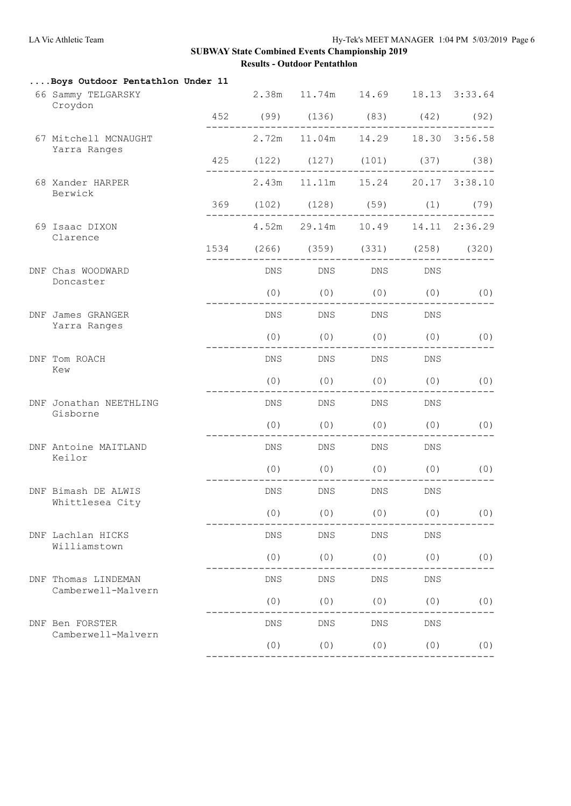|  | Boys Outdoor Pentathlon Under 11          |     |            |                                       |                               |             |     |
|--|-------------------------------------------|-----|------------|---------------------------------------|-------------------------------|-------------|-----|
|  | 66 Sammy TELGARSKY<br>Croydon             |     |            | 2.38m 11.74m 14.69 18.13 3:33.64      |                               |             |     |
|  |                                           |     |            | 452 (99) (136) (83) (42) (92)         |                               |             |     |
|  | 67 Mitchell MCNAUGHT<br>Yarra Ranges      |     |            | 2.72m 11.04m 14.29 18.30 3:56.58      |                               |             |     |
|  |                                           | 425 |            | $(122)$ $(127)$ $(101)$ $(37)$ $(38)$ |                               |             |     |
|  | 68 Xander HARPER<br>Berwick               |     | 2.43m      |                                       | 11.11m  15.24  20.17  3:38.10 |             |     |
|  |                                           |     |            | 369 (102) (128) (59) (1) (79)         |                               |             |     |
|  | 69 Isaac DIXON<br>Clarence                |     |            | 4.52m 29.14m 10.49 14.11 2:36.29      |                               |             |     |
|  |                                           |     |            | 1534 (266) (359) (331) (258) (320)    |                               |             |     |
|  | DNF Chas WOODWARD<br>Doncaster            |     | DNS        |                                       | DNS DNS DNS                   |             |     |
|  |                                           |     | (0)        | (0)                                   | $(0)$ (0)                     |             | (0) |
|  | DNF James GRANGER<br>Yarra Ranges         |     | DNS        |                                       | DNS DNS DNS                   |             |     |
|  |                                           |     | (0)        | (0)                                   | $(0)$ (0)                     |             | (0) |
|  | DNF Tom ROACH<br>Kew                      |     | DNS.       |                                       | DNS DNS                       | DNS         |     |
|  |                                           |     | (0)        | (0)                                   |                               | $(0)$ $(0)$ | (0) |
|  | DNF Jonathan NEETHLING<br>Gisborne        |     | <b>DNS</b> |                                       | DNS DNS                       | DNS         |     |
|  |                                           |     | (0)        |                                       | $(0)$ $(0)$ $(0)$             |             | (0) |
|  | DNF Antoine MAITLAND<br>Keilor            |     | <b>DNS</b> | DNS                                   | <b>DNS</b>                    | <b>DNS</b>  |     |
|  |                                           |     | (0)        | (0)                                   | (0)                           | (0)         | (0) |
|  | DNF Bimash DE ALWIS<br>Whittlesea City    |     | <b>DNS</b> | <b>DNS</b>                            | DNS                           | <b>DNS</b>  |     |
|  |                                           |     | (0)        | (0)                                   | (0)                           | (0)         | (0) |
|  | DNF Lachlan HICKS<br>Williamstown         |     | DNS        | DNS                                   | $\mathop{\rm DNS}$            | DNS         |     |
|  |                                           |     | (0)        | (0)                                   | (0)                           | (0)         | (0) |
|  | DNF Thomas LINDEMAN<br>Camberwell-Malvern |     | DNS        | DNS                                   | $\mathop{\rm DNS}$            | DNS         |     |
|  |                                           |     | (0)        | (0)                                   | (0)                           | (0)         | (0) |
|  | DNF Ben FORSTER<br>Camberwell-Malvern     |     | DNS        | DNS                                   | $\mathop{\rm DNS}$            | DNS         |     |
|  |                                           |     | (0)        | (0)                                   | (0)                           | (0)         | (0) |
|  |                                           |     |            |                                       |                               |             |     |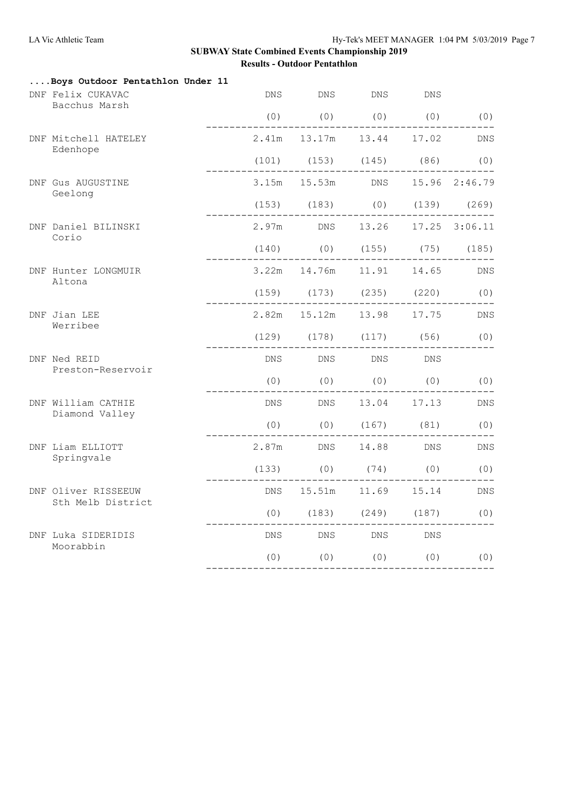|                     | Boys Outdoor Pentathlon Under 11         |            |                                       |                        |                               |         |
|---------------------|------------------------------------------|------------|---------------------------------------|------------------------|-------------------------------|---------|
|                     | DNF Felix CUKAVAC                        | <b>DNS</b> | DNS                                   | <b>DNS</b>             | <b>DNS</b>                    |         |
|                     | Bacchus Marsh                            | (0)        | (0)                                   | (0)                    | (0)                           | (0)     |
|                     | DNF Mitchell HATELEY<br>Edenhope         | 2.41m      |                                       |                        | 13.17m  13.44  17.02          | DNS     |
|                     |                                          |            | $(101)$ $(153)$ $(145)$ $(86)$ $(0)$  |                        |                               |         |
|                     | DNF Gus AUGUSTINE<br>Geelong             |            | 3.15m  15.53m  DNS  15.96  2:46.79    |                        |                               |         |
|                     |                                          |            | $(153)$ $(183)$ $(0)$ $(139)$ $(269)$ |                        |                               |         |
|                     | DNF Daniel BILINSKI<br>Corio             |            | 2.97m DNS                             |                        | 13.26 17.25                   | 3:06.11 |
|                     |                                          | (140)      |                                       |                        | $(0)$ $(155)$ $(75)$          | (185)   |
| DNF Hunter LONGMUIR | Altona                                   |            | 3.22m 14.76m 11.91 14.65 DNS          |                        |                               |         |
|                     |                                          | (159)      |                                       |                        | $(173)$ $(235)$ $(220)$ $(0)$ |         |
|                     | DNF Jian LEE<br>Werribee                 |            | 2.82m 15.12m 13.98 17.75              |                        |                               | DNS     |
|                     |                                          | (129)      |                                       | $(178)$ $(117)$ $(56)$ |                               | (0)     |
|                     | DNF Ned REID<br>Preston-Reservoir        | <b>DNS</b> | DNS                                   | DNS DNS                |                               |         |
|                     |                                          | (0)        | (0)                                   | (0)                    | (0)                           | (0)     |
|                     | DNF William CATHIE<br>Diamond Valley     | <b>DNS</b> |                                       |                        | DNS 13.04 17.13 DNS           |         |
|                     |                                          | (0)        |                                       |                        | $(0)$ $(167)$ $(81)$          | (0)     |
|                     | DNF Liam ELLIOTT<br>Springvale           | 2.87m      | DNS 14.88 DNS                         |                        |                               | DNS     |
|                     |                                          | (133)      |                                       | $(0)$ $(74)$ $(0)$     |                               | (0)     |
|                     | DNF Oliver RISSEEUW<br>Sth Melb District | <b>DNS</b> |                                       |                        | 15.51m  11.69  15.14  DNS     |         |
|                     |                                          | (0)        |                                       |                        | $(183)$ $(249)$ $(187)$       | (0)     |
|                     | DNF Luka SIDERIDIS<br>Moorabbin          | <b>DNS</b> | DNS                                   | DNS                    | <b>DNS</b>                    |         |
|                     |                                          | (0)        | (0)                                   | (0)                    | (0)                           | (0)     |
|                     |                                          |            |                                       |                        |                               |         |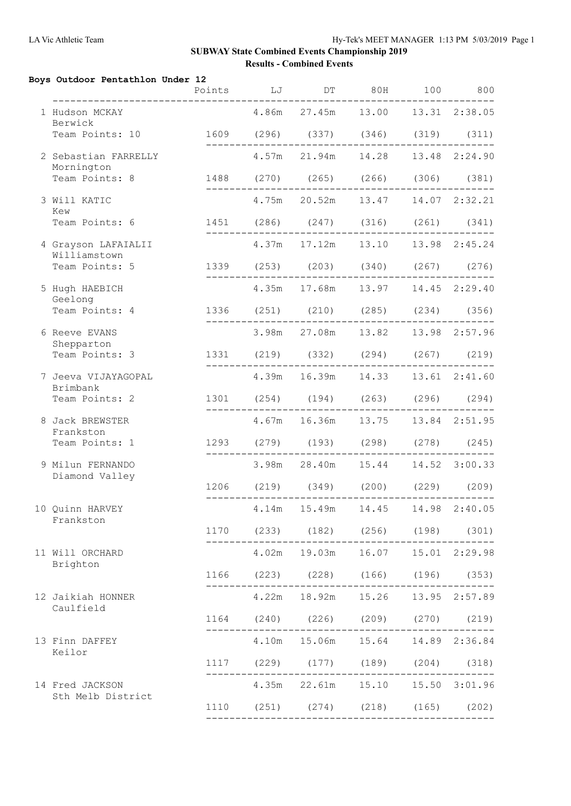| Boys Outdoor Pentathlon Under 12                   | _____________                      | Points LJ DT 80H 100 800             |                         |  |
|----------------------------------------------------|------------------------------------|--------------------------------------|-------------------------|--|
| 1 Hudson MCKAY<br>Berwick                          |                                    | 4.86m  27.45m  13.00  13.31  2:38.05 |                         |  |
| Team Points: 10 1609 (296) (337) (346) (319) (311) |                                    |                                      |                         |  |
| 2 Sebastian FARRELLY<br>Mornington                 |                                    | 4.57m 21.94m 14.28 13.48 2:24.90     |                         |  |
| Team Points: 8                                     | 1488 (270) (265) (266) (306) (381) |                                      |                         |  |
| 3 Will KATIC<br>Kew                                |                                    | 4.75m  20.52m  13.47  14.07  2:32.21 |                         |  |
| Team Points: 6                                     | 1451 (286) (247) (316) (261) (341) |                                      |                         |  |
| 4 Grayson LAFAIALII<br>Williamstown                |                                    | 4.37m 17.12m 13.10 13.98 2:45.24     |                         |  |
| Team Points: 5                                     | 1339 (253) (203) (340) (267) (276) |                                      |                         |  |
| 5 Hugh HAEBICH<br>Geelong                          |                                    | 4.35m  17.68m  13.97  14.45  2:29.40 |                         |  |
| Team Points: 4                                     |                                    | 1336 (251) (210) (285) (234) (356)   |                         |  |
| 6 Reeve EVANS                                      |                                    | 3.98m 27.08m 13.82 13.98 2:57.96     |                         |  |
| Shepparton<br>Team Points: 3                       | 1331 (219) (332) (294) (267) (219) |                                      |                         |  |
| 7 Jeeva VIJAYAGOPAL<br>Brimbank                    |                                    | 4.39m 16.39m 14.33 13.61 2:41.60     |                         |  |
| Team Points: 2                                     |                                    | 1301 (254) (194) (263) (296) (294)   |                         |  |
| 8 Jack BREWSTER<br>Frankston                       |                                    | 4.67m 16.36m 13.75 13.84 2:51.95     |                         |  |
| Team Points: 1                                     |                                    | 1293 (279) (193) (298) (278) (245)   |                         |  |
| 9 Milun FERNANDO<br>Diamond Valley                 |                                    | 3.98m  28.40m  15.44  14.52  3:00.33 |                         |  |
|                                                    |                                    | 1206 (219) (349) (200) (229) (209)   |                         |  |
| 10 Quinn HARVEY<br>Frankston                       |                                    | 4.14m 15.49m 14.45 14.98 2:40.05     |                         |  |
|                                                    |                                    | 1170 (233) (182) (256) (198) (301)   |                         |  |
| 11 Will ORCHARD<br>Brighton                        |                                    | 4.02m 19.03m 16.07 15.01 2:29.98     |                         |  |
|                                                    |                                    | 1166 (223) (228) (166) (196) (353)   | . _ _ _ _ _ _ _ _ _ _ _ |  |
| 12 Jaikiah HONNER<br>Caulfield                     |                                    | 4.22m 18.92m 15.26 13.95 2:57.89     |                         |  |
|                                                    |                                    | 1164 (240) (226) (209) (270) (219)   |                         |  |
| 13 Finn DAFFEY<br>Keilor                           |                                    | 4.10m 15.06m 15.64 14.89 2:36.84     |                         |  |
|                                                    |                                    | 1117 (229) (177) (189) (204) (318)   |                         |  |
| 14 Fred JACKSON<br>Sth Melb District               |                                    | 4.35m 22.61m 15.10 15.50 3:01.96     |                         |  |
|                                                    |                                    | 1110 (251) (274) (218) (165) (202)   |                         |  |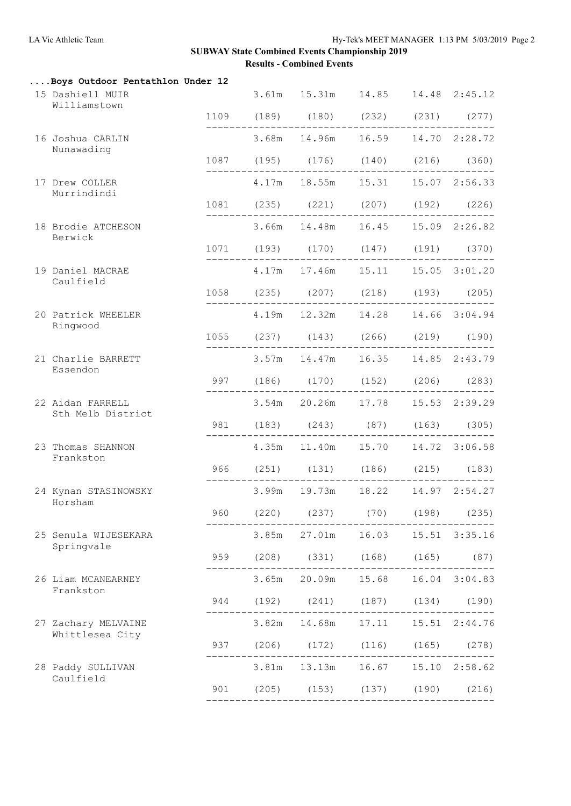| Boys Outdoor Pentathlon Under 12       |  |                                                |                         |             |
|----------------------------------------|--|------------------------------------------------|-------------------------|-------------|
| 15 Dashiell MUIR<br>Williamstown       |  | 3.61m 15.31m 14.85 14.48 2:45.12               |                         |             |
|                                        |  | 1109 (189) (180) (232) (231) (277)             |                         |             |
| 16 Joshua CARLIN                       |  | 3.68m 14.96m 16.59 14.70 2:28.72               |                         |             |
| Nunawading                             |  | 1087 (195) (176) (140) (216) (360)             |                         |             |
| 17 Drew COLLER<br>Murrindindi          |  | 4.17m 18.55m 15.31 15.07 2:56.33               |                         |             |
|                                        |  | 1081 (235) (221) (207) (192) (226)             |                         |             |
| 18 Brodie ATCHESON<br>Berwick          |  | 3.66m 14.48m 16.45 15.09 2:26.82               |                         |             |
|                                        |  | 1071 (193) (170) (147) (191) (370)             | ---------               |             |
| 19 Daniel MACRAE<br>Caulfield          |  | 4.17m  17.46m  15.11  15.05  3:01.20           |                         |             |
|                                        |  | 1058 (235) (207) (218) (193) (205)             |                         |             |
| 20 Patrick WHEELER<br>Ringwood         |  | 4.19m  12.32m  14.28  14.66  3:04.94           |                         |             |
|                                        |  | 1055 (237) (143) (266) (219) (190)             |                         |             |
| 21 Charlie BARRETT<br>Essendon         |  | 3.57m 14.47m 16.35 14.85 2:43.79               |                         |             |
|                                        |  | 997 (186) (170) (152) (206) (283)              | ----------------------- |             |
| 22 Aidan FARRELL<br>Sth Melb District  |  | 3.54m 20.26m 17.78 15.53 2:39.29               |                         |             |
|                                        |  | 981 (183) (243) (87) (163) (305)               |                         |             |
| 23 Thomas SHANNON<br>Frankston         |  | 4.35m 11.40m 15.70 14.72 3:06.58               |                         |             |
|                                        |  | 966 (251) (131) (186) (215) (183)              |                         |             |
| 24 Kynan STASINOWSKY<br>Horsham        |  | 3.99m 19.73m 18.22 14.97 2:54.27               |                         |             |
|                                        |  | 960 (220) (237) (70) (198) (235)               |                         |             |
| 25 Senula WIJESEKARA<br>Springvale     |  | 3.85m 27.01m 16.03 15.51 3:35.16               |                         |             |
|                                        |  | 959 (208) (331) (168) (165) (87)               |                         |             |
| 26 Liam MCANEARNEY<br>Frankston        |  | 3.65m 20.09m 15.68 16.04 3:04.83               |                         |             |
|                                        |  | 944 (192) (241) (187) (134) (190)              |                         |             |
| 27 Zachary MELVAINE<br>Whittlesea City |  | 3.82m 14.68m 17.11 15.51 2:44.76               |                         |             |
|                                        |  | 937 (206) (172) (116) (165) (278)<br>--------- |                         |             |
| 28 Paddy SULLIVAN<br>Caulfield         |  | 3.81m 13.13m 16.67 15.10 2:58.62               |                         |             |
|                                        |  | 901 (205) (153) (137) (190) (216)<br>--------  | __________________      | ----------- |
|                                        |  |                                                |                         |             |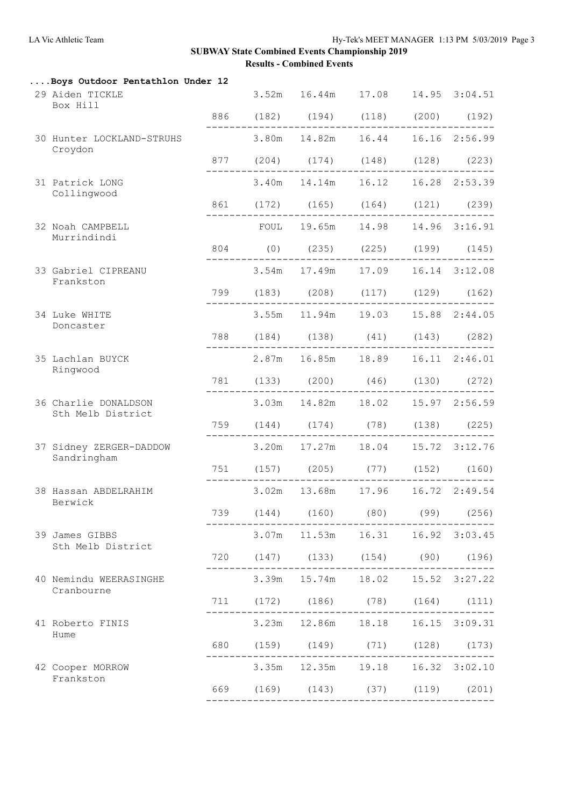| Boys Outdoor Pentathlon Under 12          |     |                                                                            |  |  |
|-------------------------------------------|-----|----------------------------------------------------------------------------|--|--|
| 29 Aiden TICKLE<br>Box Hill               |     | 3.52m 16.44m 17.08 14.95 3:04.51                                           |  |  |
|                                           | 886 | $(182)$ $(194)$ $(118)$ $(200)$ $(192)$                                    |  |  |
| 30 Hunter LOCKLAND-STRUHS<br>Croydon      |     | 3.80m  14.82m  16.44  16.16  2:56.99                                       |  |  |
|                                           |     | 877 (204) (174) (148) (128) (223)<br>------------------------------------- |  |  |
| 31 Patrick LONG<br>Collingwood            |     | 3.40m  14.14m  16.12  16.28  2:53.39                                       |  |  |
|                                           |     | 861 (172) (165) (164) (121) (239)                                          |  |  |
| 32 Noah CAMPBELL<br>Murrindindi           |     | FOUL 19.65m 14.98 14.96 3:16.91                                            |  |  |
|                                           |     | 804 (0) (235) (225) (199) (145)                                            |  |  |
| 33 Gabriel CIPREANU<br>Frankston          |     | 3.54m 17.49m 17.09 16.14 3:12.08                                           |  |  |
|                                           |     | 799 (183) (208) (117) (129) (162)                                          |  |  |
| 34 Luke WHITE                             |     | 3.55m 11.94m 19.03 15.88 2:44.05                                           |  |  |
| Doncaster                                 |     | 788 (184) (138) (41) (143) (282)                                           |  |  |
| 35 Lachlan BUYCK<br>Ringwood              |     | 2.87m 16.85m 18.89 16.11 2:46.01                                           |  |  |
|                                           |     | 781 (133) (200) (46) (130) (272)                                           |  |  |
| 36 Charlie DONALDSON<br>Sth Melb District |     | 3.03m 14.82m 18.02 15.97 2:56.59                                           |  |  |
|                                           |     | 759 (144) (174) (78) (138) (225)                                           |  |  |
| 37 Sidney ZERGER-DADDOW                   |     | 3.20m  17.27m  18.04  15.72  3:12.76                                       |  |  |
| Sandringham                               | 751 | $(157)$ $(205)$ $(77)$ $(152)$ $(160)$                                     |  |  |
| 38 Hassan ABDELRAHIM                      |     | 3.02m 13.68m 17.96 16.72 2:49.54                                           |  |  |
| Berwick                                   |     | 739 (144) (160) (80) (99) (256)<br>------------------------                |  |  |
| 39 James GIBBS<br>Sth Melb District       |     | 3.07m  11.53m  16.31  16.92  3:03.45                                       |  |  |
|                                           |     | 720 (147) (133) (154) (90) (196)<br>------------------------               |  |  |
| 40 Nemindu WEERASINGHE                    |     | 3.39m 15.74m 18.02 15.52 3:27.22                                           |  |  |
| Cranbourne                                |     | 711 (172) (186) (78) (164) (111)                                           |  |  |
| 41 Roberto FINIS                          |     | 3.23m 12.86m 18.18 16.15 3:09.31                                           |  |  |
| Hume                                      |     | 680 (159) (149) (71) (128) (173)                                           |  |  |
| 42 Cooper MORROW                          |     | 3.35m 12.35m 19.18 16.32 3:02.10                                           |  |  |
| Frankston                                 |     | 669 (169) (143) (37) (119) (201)                                           |  |  |
|                                           |     |                                                                            |  |  |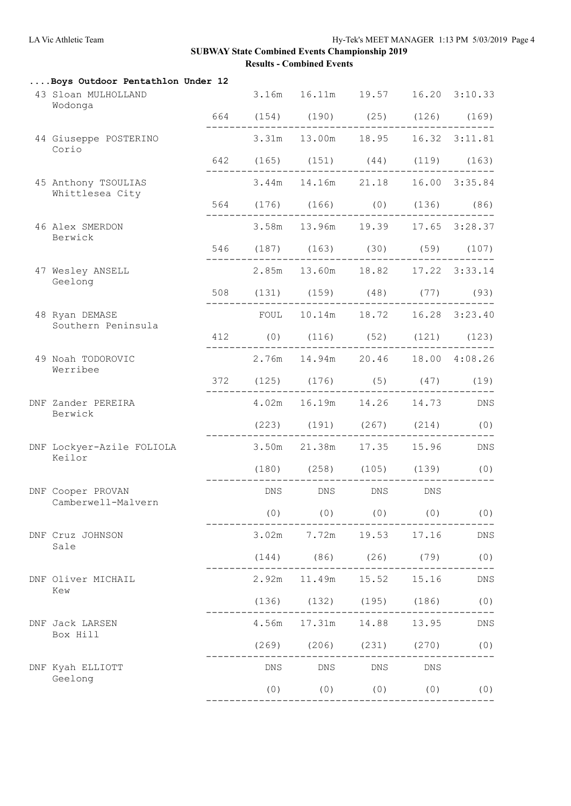|  | Boys Outdoor Pentathlon Under 12     |       |                                       |                     |            |             |
|--|--------------------------------------|-------|---------------------------------------|---------------------|------------|-------------|
|  | 43 Sloan MULHOLLAND<br>Wodonga       |       | 3.16m  16.11m  19.57  16.20  3:10.33  |                     |            |             |
|  |                                      |       | 664 (154) (190) (25) (126) (169)      |                     |            |             |
|  | 44 Giuseppe POSTERINO<br>Corio       |       | 3.31m 13.00m 18.95 16.32 3:11.81      |                     |            |             |
|  |                                      |       | 642 (165) (151) (44) (119) (163)      |                     |            |             |
|  | 45 Anthony TSOULIAS                  |       | 3.44m 14.16m 21.18 16.00 3:35.84      |                     |            |             |
|  | Whittlesea City                      |       | 564 (176) (166) (0) (136) (86)        |                     |            |             |
|  | 46 Alex SMERDON                      |       | 3.58m 13.96m 19.39 17.65 3:28.37      |                     |            |             |
|  | Berwick                              |       | 546 (187) (163) (30) (59) (107)       |                     |            |             |
|  | 47 Wesley ANSELL                     |       | 2.85m 13.60m 18.82 17.22 3:33.14      |                     |            |             |
|  | Geelong                              |       | 508 (131) (159) (48) (77) (93)        |                     |            |             |
|  | 48 Ryan DEMASE<br>Southern Peninsula |       | FOUL 10.14m 18.72 16.28 3:23.40       |                     |            |             |
|  |                                      |       | 412 (0) (116) (52) (121) (123)        |                     |            |             |
|  | 49 Noah TODOROVIC                    |       | 2.76m 14.94m 20.46 18.00 4:08.26      |                     |            |             |
|  | Werribee                             |       | 372 (125) (176) (5) (47) (19)         |                     |            |             |
|  | DNF Zander PEREIRA                   |       | 4.02m  16.19m  14.26  14.73  DNS      |                     |            |             |
|  | Berwick                              |       | $(223)$ $(191)$ $(267)$ $(214)$ $(0)$ | ------------------- |            |             |
|  | DNF Lockyer-Azile FOLIOLA            |       | 3.50m 21.38m 17.35 15.96              |                     |            | <b>DNS</b>  |
|  | Keilor                               |       | $(180)$ $(258)$ $(105)$ $(139)$ $(0)$ |                     |            |             |
|  | DNF Cooper PROVAN                    | DNS   | DNS                                   | DNS                 | <b>DNS</b> |             |
|  | Camberwell-Malvern                   | (0)   | (0)                                   | (0)                 | (0)        | (0)         |
|  | DNF Cruz JOHNSON                     |       | 3.02m 7.72m 19.53 17.16               |                     |            | DNS         |
|  | Sale                                 | (144) | $(86)$ $(26)$ $(79)$                  |                     |            | (0)         |
|  | DNF Oliver MICHAIL                   | 2.92m | 11.49m                                | 15.52               | 15.16      | ${\rm DNS}$ |
|  | Kew                                  |       | $(136)$ $(132)$ $(195)$               |                     | (186)      | (0)         |
|  | DNF Jack LARSEN                      | 4.56m | 17.31m  14.88                         |                     | 13.95      | <b>DNS</b>  |
|  | Box Hill                             |       | $(269)$ $(206)$ $(231)$ $(270)$       |                     |            | (0)         |
|  | DNF Kyah ELLIOTT                     | DNS   | DNS                                   | DNS                 | DNS        |             |
|  | Geelong                              | (0)   | (0)                                   | (0)                 | (0)        | (0)         |
|  |                                      |       |                                       |                     |            |             |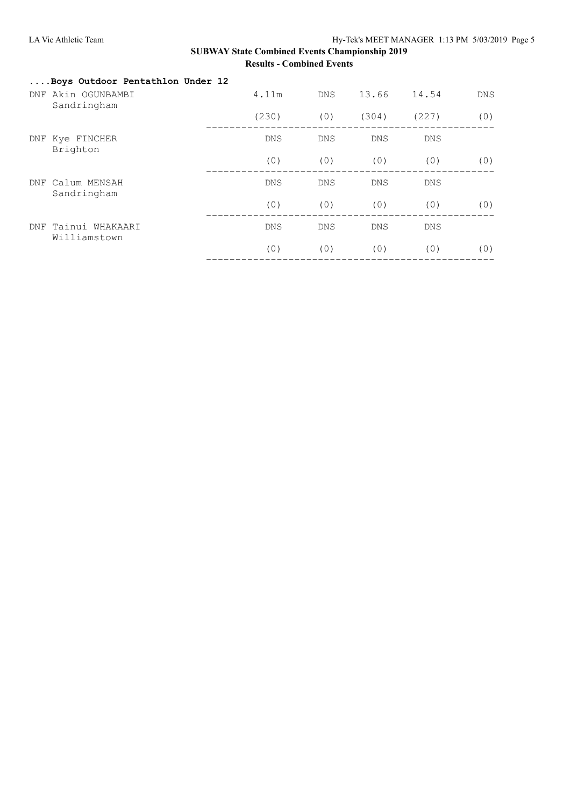|     | Boys Outdoor Pentathlon Under 12 |            |            |            |            |            |
|-----|----------------------------------|------------|------------|------------|------------|------------|
| DNF | Akin OGUNBAMBI<br>Sandringham    | 4.11m      | <b>DNS</b> | 13.66      | 14.54      | <b>DNS</b> |
|     |                                  | (230)      | (0)        | (304)      | (227)      | (0)        |
| DNF | Kye FINCHER<br>Brighton          | <b>DNS</b> | <b>DNS</b> | DNS        | <b>DNS</b> |            |
|     |                                  | (0)        | (0)        | (0)        | (0)        | (0)        |
| DNF | Calum MENSAH                     | <b>DNS</b> | <b>DNS</b> | <b>DNS</b> | <b>DNS</b> |            |
|     | Sandringham                      | (0)        | (0)        | (0)        | (0)        | (0)        |
| DNF | Tainui WHAKAARI<br>Williamstown  | <b>DNS</b> | <b>DNS</b> | <b>DNS</b> | DNS        |            |
|     |                                  | (0)        | (0)        | (0)        | (0)        | (0)        |
|     |                                  |            |            |            |            |            |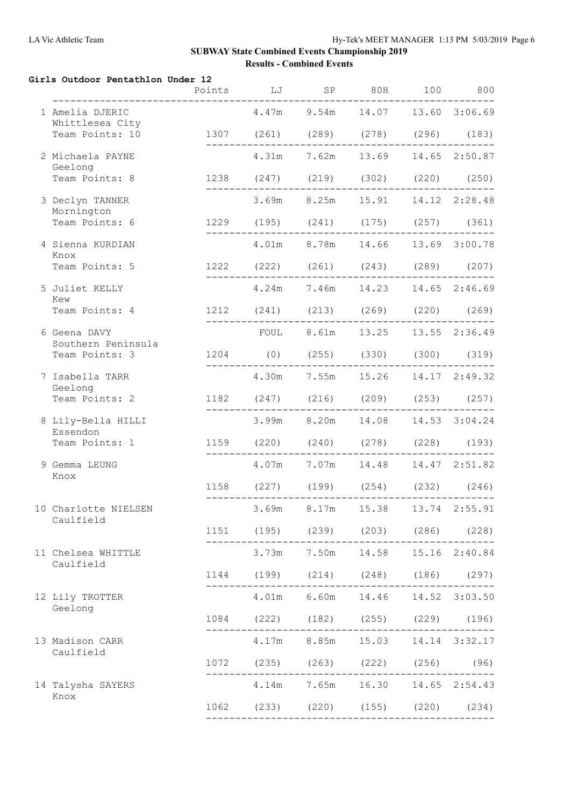#### **Girls Outdoor Pentathlon Under 12**

|                                    | Points | LJ | SP                                 | 80H        | 100 | 800 |
|------------------------------------|--------|----|------------------------------------|------------|-----|-----|
| 1 Amelia DJERIC<br>Whittlesea City |        |    | 4.47m 9.54m 14.07 13.60 3:06.69    |            |     |     |
| Team Points: 10                    |        |    | 1307 (261) (289) (278) (296) (183) |            |     |     |
| 2 Michaela PAYNE<br>Geelong        |        |    | 4.31m 7.62m 13.69 14.65 2:50.87    |            |     |     |
| Team Points: 8                     |        |    | 1238 (247) (219) (302) (220) (250) | ---------- |     |     |
| 3 Declyn TANNER<br>Mornington      |        |    | 3.69m 8.25m 15.91 14.12 2:28.48    |            |     |     |
| Team Points: 6                     |        |    | 1229 (195) (241) (175) (257) (361) |            |     |     |
| 4 Sienna KURDIAN<br>Knox           |        |    | 4.01m 8.78m 14.66 13.69 3:00.78    |            |     |     |
| Team Points: 5                     |        |    | 1222 (222) (261) (243) (289) (207) |            |     |     |
| 5 Juliet KELLY<br>Kew              |        |    | 4.24m 7.46m 14.23 14.65 2:46.69    |            |     |     |
| Team Points: 4                     |        |    | 1212 (241) (213) (269) (220) (269) |            |     |     |
| 6 Geena DAVY<br>Southern Peninsula |        |    | FOUL 8.61m 13.25 13.55 2:36.49     |            |     |     |
| Team Points: 3                     |        |    | 1204 (0) (255) (330) (300) (319)   |            |     |     |
| 7 Isabella TARR<br>Geelong         |        |    | 4.30m 7.55m 15.26 14.17 2:49.32    |            |     |     |
| Team Points: 2                     |        |    | 1182 (247) (216) (209) (253) (257) |            |     |     |
| 8 Lily-Bella HILLI<br>Essendon     |        |    | 3.99m 8.20m 14.08 14.53 3:04.24    |            |     |     |
| Team Points: 1                     |        |    | 1159 (220) (240) (278) (228) (193) |            |     |     |
| 9 Gemma LEUNG<br>Knox              |        |    | 4.07m 7.07m 14.48 14.47 2:51.82    |            |     |     |
|                                    |        |    | 1158 (227) (199) (254) (232) (246) |            |     |     |
| 10 Charlotte NIELSEN<br>Caulfield  |        |    | 3.69m 8.17m 15.38 13.74 2:55.91    |            |     |     |
|                                    |        |    | 1151 (195) (239) (203) (286) (228) |            |     |     |
| 11 Chelsea WHITTLE<br>Caulfield    |        |    | 3.73m 7.50m 14.58 15.16 2:40.84    |            |     |     |
|                                    |        |    | 1144 (199) (214) (248) (186) (297) |            |     |     |
| 12 Lily TROTTER<br>Geelong         |        |    | 4.01m 6.60m 14.46 14.52 3:03.50    |            |     |     |
|                                    |        |    | 1084 (222) (182) (255) (229) (196) |            |     |     |
| 13 Madison CARR<br>Caulfield       |        |    | 4.17m 8.85m 15.03 14.14 3:32.17    |            |     |     |
|                                    |        |    | 1072 (235) (263) (222) (256) (96)  |            |     |     |
| 14 Talysha SAYERS<br>Knox          |        |    | 4.14m 7.65m 16.30 14.65 2:54.43    |            |     |     |
|                                    |        |    | 1062 (233) (220) (155) (220) (234) |            |     |     |
|                                    |        |    |                                    |            |     |     |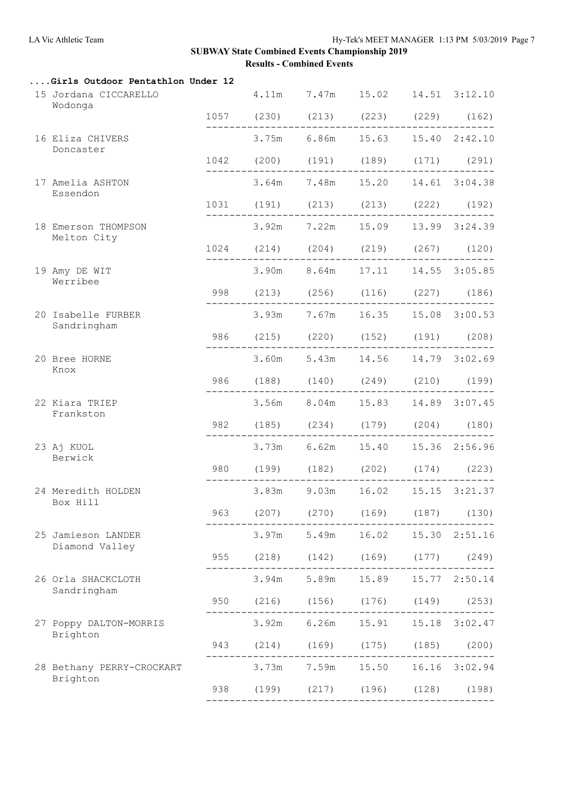| Girls Outdoor Pentathlon Under 12<br>15 Jordana CICCARELLO |     |       | 4.11m 7.47m 15.02 14.51 3:12.10                                         |                                       |       |               |
|------------------------------------------------------------|-----|-------|-------------------------------------------------------------------------|---------------------------------------|-------|---------------|
| Wodonga                                                    |     |       | 1057 (230) (213) (223) (229) (162)                                      |                                       |       |               |
| 16 Eliza CHIVERS                                           |     |       | ------------------------------------<br>3.75m 6.86m 15.63 15.40 2:42.10 |                                       |       |               |
| Doncaster                                                  |     |       |                                                                         |                                       |       |               |
|                                                            |     |       | 1042 (200) (191) (189) (171) (291)                                      |                                       |       |               |
| 17 Amelia ASHTON<br>Essendon                               |     |       | 3.64m 7.48m 15.20 14.61 3:04.38                                         |                                       |       |               |
|                                                            |     |       | 1031 (191) (213) (213) (222) (192)<br>---------------------------       |                                       |       |               |
| 18 Emerson THOMPSON                                        |     |       | 3.92m 7.22m 15.09 13.99 3:24.39                                         |                                       |       |               |
| Melton City                                                |     |       | 1024 (214) (204) (219) (267) (120)                                      |                                       |       |               |
| 19 Amy DE WIT                                              |     |       | 3.90m 8.64m 17.11 14.55 3:05.85                                         |                                       |       |               |
| Werribee                                                   |     |       | 998 (213) (256) (116) (227) (186)                                       |                                       |       |               |
| 20 Isabelle FURBER                                         |     |       | 3.93m 7.67m 16.35 15.08 3:00.53                                         |                                       |       |               |
| Sandringham                                                |     |       | 986 (215) (220) (152) (191) (208)                                       |                                       |       |               |
| 20 Bree HORNE                                              |     |       | 3.60m 5.43m 14.56 14.79 3:02.69                                         |                                       |       |               |
| Knox                                                       |     |       | 986 (188) (140) (249) (210) (199)                                       |                                       |       |               |
| 22 Kiara TRIEP                                             |     |       | 3.56m 8.04m 15.83 14.89 3:07.45                                         |                                       |       |               |
| Frankston                                                  |     |       | 982 (185) (234) (179) (204) (180)<br>____________                       | . _ _ _ _ _ _ _ _ _ _ _ _ _ _ _ _ _ _ |       |               |
| 23 Aj KUOL                                                 |     |       | 3.73m 6.62m 15.40 15.36 2:56.96                                         |                                       |       |               |
| Berwick                                                    |     |       | 980 (199) (182) (202) (174) (223)                                       |                                       |       |               |
| 24 Meredith HOLDEN                                         |     | 3.83m | $9.03m$ $16.02$ $15.15$ $3:21.37$                                       |                                       |       |               |
| Box Hill                                                   | 963 |       | $(207)$ $(270)$ $(169)$ $(187)$ $(130)$                                 |                                       |       |               |
| 25 Jamieson LANDER                                         |     |       | 3.97m 5.49m 16.02 15.30 2:51.16                                         |                                       |       |               |
| Diamond Valley                                             | 955 |       | $(218)$ $(142)$ $(169)$ $(177)$                                         |                                       |       | (249)         |
| 26 Orla SHACKCLOTH                                         |     |       | 3.94m 5.89m 15.89                                                       |                                       |       | 15.77 2:50.14 |
| Sandringham                                                | 950 |       | $(216)$ $(156)$ $(176)$ $(149)$ $(253)$                                 |                                       |       |               |
| 27 Poppy DALTON-MORRIS                                     |     |       | 3.92m 6.26m 15.91 15.18 3:02.47                                         |                                       |       |               |
| Brighton                                                   |     |       | 943 (214) (169) (175) (185) (200)                                       |                                       |       |               |
| 28 Bethany PERRY-CROCKART                                  |     |       | 3.73m 7.59m 15.50 16.16 3:02.94                                         |                                       |       |               |
| Brighton                                                   | 938 |       | $(199)$ $(217)$ $(196)$                                                 |                                       | (128) | (198)         |
|                                                            |     |       |                                                                         |                                       |       |               |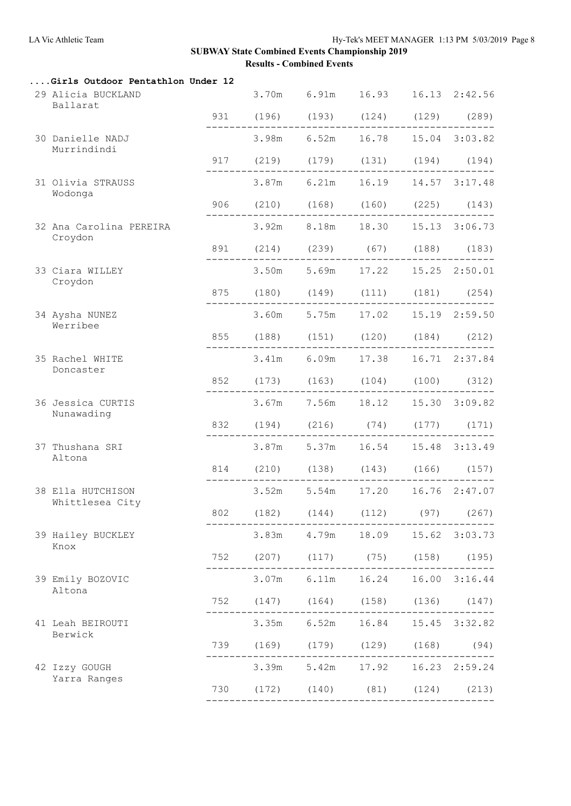| Girls Outdoor Pentathlon Under 12 |     |                                                            |       |       |
|-----------------------------------|-----|------------------------------------------------------------|-------|-------|
| 29 Alicia BUCKLAND<br>Ballarat    |     | 3.70m 6.91m 16.93 16.13 2:42.56                            |       |       |
|                                   |     | 931 (196) (193) (124) (129) (289)                          |       |       |
| 30 Danielle NADJ                  |     | 3.98m 6.52m 16.78 15.04 3:03.82                            |       |       |
| Murrindindi                       |     | 917 (219) (179) (131) (194) (194)                          |       |       |
| 31 Olivia STRAUSS                 |     | 3.87m 6.21m 16.19 14.57 3:17.48                            |       |       |
| Wodonga                           |     | 906 (210) (168) (160) (225) (143)                          |       |       |
| 32 Ana Carolina PEREIRA           |     | 3.92m 8.18m 18.30 15.13 3:06.73                            |       |       |
| Croydon                           |     | 891 (214) (239) (67) (188) (183)                           |       |       |
| 33 Ciara WILLEY                   |     | 3.50m 5.69m 17.22 15.25 2:50.01                            |       |       |
| Croydon                           |     | 875 (180) (149) (111) (181) (254)                          |       |       |
| 34 Aysha NUNEZ                    |     | 3.60m 5.75m 17.02 15.19 2:59.50                            |       |       |
| Werribee                          |     | 855 (188) (151) (120) (184) (212)                          |       |       |
| 35 Rachel WHITE                   |     | 3.41m 6.09m 17.38 16.71 2:37.84                            |       |       |
| Doncaster                         |     | 852 (173) (163) (104) (100) (312)                          |       |       |
| 36 Jessica CURTIS                 |     | 3.67m 7.56m 18.12 15.30 3:09.82                            |       |       |
| Nunawading                        |     | 832 (194) (216) (74) (177) (171)<br>______________________ |       |       |
| 37 Thushana SRI                   |     | 3.87m 5.37m 16.54 15.48 3:13.49                            |       |       |
| Altona                            |     | 814 (210) (138) (143) (166) (157)                          |       |       |
| 38 Ella HUTCHISON                 |     | 3.52m 5.54m 17.20 16.76 2:47.07                            |       |       |
| Whittlesea City                   |     | 802 (182) (144) (112) (97) (267)                           |       |       |
| 39 Hailey BUCKLEY                 |     | 3.83m  4.79m  18.09  15.62  3:03.73                        |       |       |
| Knox                              |     | 752 (207) (117) (75) (158) (195)                           |       |       |
| 39 Emily BOZOVIC                  |     | 3.07m 6.11m 16.24 16.00 3:16.44                            |       |       |
| Altona                            |     | 752 (147) (164) (158) (136) (147)                          |       |       |
| 41 Leah BEIROUTI                  |     | 3.35m 6.52m 16.84 15.45 3:32.82                            |       |       |
| Berwick                           |     | 739 (169) (179) (129) (168) (94)                           |       |       |
| 42 Izzy GOUGH                     |     | 3.39m 5.42m 17.92 16.23 2:59.24                            |       |       |
| Yarra Ranges                      | 730 | $(172)$ $(140)$ $(81)$                                     | (124) | (213) |
|                                   |     |                                                            |       |       |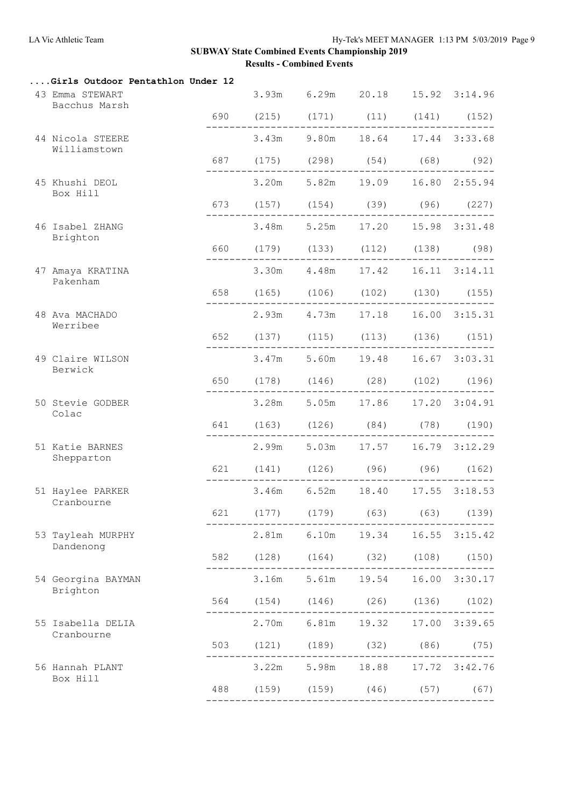| Girls Outdoor Pentathlon Under 12 |  |                                                                          |          |  |
|-----------------------------------|--|--------------------------------------------------------------------------|----------|--|
| 43 Emma STEWART<br>Bacchus Marsh  |  | 3.93m 6.29m 20.18 15.92 3:14.96                                          |          |  |
|                                   |  | 690 (215) (171) (11) (141) (152)                                         |          |  |
| 44 Nicola STEERE<br>Williamstown  |  | 3.43m 9.80m 18.64 17.44 3:33.68                                          |          |  |
|                                   |  | 687 (175) (298) (54) (68) (92)                                           |          |  |
| 45 Khushi DEOL                    |  | 3.20m 5.82m 19.09 16.80 2:55.94                                          |          |  |
| Box Hill                          |  | 673 (157) (154) (39) (96) (227)                                          |          |  |
| 46 Isabel ZHANG                   |  | 3.48m 5.25m 17.20 15.98 3:31.48                                          |          |  |
| Brighton                          |  | 660 (179) (133) (112) (138) (98)<br>------------------------------------ |          |  |
| 47 Amaya KRATINA                  |  | 3.30m  4.48m  17.42  16.11  3:14.11                                      |          |  |
| Pakenham                          |  | 658 (165) (106) (102) (130) (155)                                        |          |  |
| 48 Ava MACHADO                    |  | 2.93m  4.73m  17.18  16.00  3:15.31                                      | -------- |  |
| Werribee                          |  | 652 (137) (115) (113) (136) (151)                                        |          |  |
| 49 Claire WILSON                  |  | 3.47m 5.60m 19.48 16.67 3:03.31                                          |          |  |
| Berwick                           |  | 650 (178) (146) (28) (102) (196)                                         |          |  |
| 50 Stevie GODBER<br>Colac         |  | 3.28m 5.05m 17.86 17.20 3:04.91                                          |          |  |
|                                   |  | 641 (163) (126) (84) (78) (190)                                          |          |  |
| 51 Katie BARNES                   |  | 2.99m 5.03m 17.57 16.79 3:12.29                                          |          |  |
| Shepparton                        |  | 621 (141) (126) (96) (96) (162)                                          |          |  |
| 51 Haylee PARKER                  |  | 3.46m 6.52m 18.40 17.55 3:18.53                                          |          |  |
| Cranbourne                        |  | 621 (177) (179) (63) (63) (139)                                          |          |  |
| 53 Tayleah MURPHY                 |  | 2.81m 6.10m 19.34 16.55 3:15.42                                          |          |  |
| Dandenong                         |  | 582 (128) (164) (32) (108) (150)                                         |          |  |
| 54 Georgina BAYMAN                |  | 3.16m 5.61m 19.54 16.00 3:30.17                                          |          |  |
| Brighton                          |  | 564 (154) (146) (26) (136) (102)                                         |          |  |
| 55 Isabella DELIA                 |  | 2.70m 6.81m 19.32 17.00 3:39.65                                          |          |  |
| Cranbourne                        |  | 503 (121) (189) (32) (86) (75)                                           |          |  |
| 56 Hannah PLANT                   |  | 3.22m 5.98m 18.88 17.72 3:42.76                                          |          |  |
| Box Hill                          |  | 488 (159) (159) (46) (57) (67)                                           |          |  |
|                                   |  |                                                                          |          |  |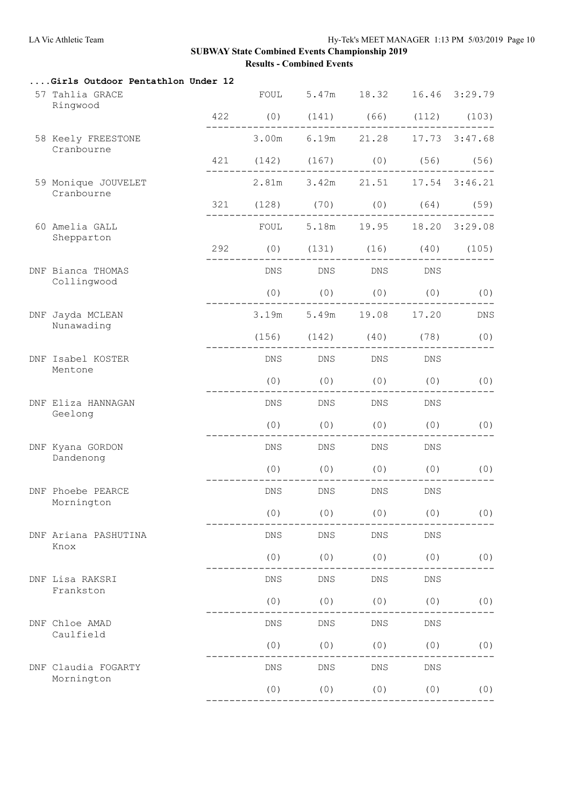|  | Girls Outdoor Pentathlon Under 12 |     |             |                                     |                              |             |     |
|--|-----------------------------------|-----|-------------|-------------------------------------|------------------------------|-------------|-----|
|  | 57 Tahlia GRACE<br>Ringwood       |     | FOUL        |                                     | 5.47m 18.32 16.46 3:29.79    |             |     |
|  |                                   |     |             | 422 (0) (141) (66) (112) (103)      |                              |             |     |
|  | 58 Keely FREESTONE<br>Cranbourne  |     |             | 3.00m 6.19m 21.28 17.73 3:47.68     |                              |             |     |
|  |                                   | 421 |             | $(142)$ $(167)$ $(0)$ $(56)$ $(56)$ |                              |             |     |
|  | 59 Monique JOUVELET               |     | 2.81m       |                                     | 3.42m 21.51 17.54 3:46.21    |             |     |
|  | Cranbourne                        |     | 321 (128)   | $(70)$ (0) $(64)$ (59)              |                              |             |     |
|  | 60 Amelia GALL<br>Shepparton      |     | FOUL        |                                     | 5.18m  19.95  18.20  3:29.08 |             |     |
|  |                                   | 292 |             | (0) $(131)$ $(16)$ $(40)$ $(105)$   |                              |             |     |
|  | DNF Bianca THOMAS<br>Collingwood  |     | DNS         | DNS                                 | <b>DNS</b>                   | <b>DNS</b>  |     |
|  |                                   |     | (0)         | (0)                                 | $(0)$ $(0)$                  |             | (0) |
|  | DNF Jayda MCLEAN<br>Nunawading    |     |             | 3.19m 5.49m 19.08 17.20             |                              |             | DNS |
|  |                                   |     | (156)       | (142)                               | $(40)$ (78)                  |             | (0) |
|  | DNF Isabel KOSTER<br>Mentone      |     | DNS         | DNS                                 | DNS                          | <b>DNS</b>  |     |
|  |                                   |     | (0)         | (0)                                 | $(0)$ $(0)$                  |             | (0) |
|  | DNF Eliza HANNAGAN                |     | ${\rm DNS}$ | <b>DNS</b>                          | DNS DNS                      |             |     |
|  | Geelong                           |     | (0)         | (0)                                 | (0)                          | (0)         | (0) |
|  | DNF Kyana GORDON<br>Dandenong     |     | <b>DNS</b>  | <b>DNS</b>                          | DNS                          | <b>DNS</b>  |     |
|  |                                   |     | (0)         | (0)                                 | (0)                          | (0)         | (0) |
|  | DNF Phoebe PEARCE<br>Mornington   |     | <b>DNS</b>  | <b>DNS</b>                          | $\mathop{\rm DNS}$           | <b>DNS</b>  |     |
|  |                                   |     | (0)         | (0)                                 | (0)                          | (0)         | (0) |
|  | DNF Ariana PASHUTINA<br>Knox      |     | DNS         | $\mathop{\rm DNS}$                  | $\mathop{\rm DNS}$           | ${\rm DNS}$ |     |
|  |                                   |     | (0)         | (0)                                 | (0)                          | (0)         | (0) |
|  | DNF Lisa RAKSRI<br>Frankston      |     | DNS         | ${\rm DNS}$                         | $\mathop{\rm DNS}$           | ${\rm DNS}$ |     |
|  |                                   |     | (0)         | (0)                                 | (0)                          | (0)         | (0) |
|  | DNF Chloe AMAD                    |     | DNS         | $\mathop{\rm DNS}$                  | $\mathop{\rm DNS}$           | ${\rm DNS}$ |     |
|  | Caulfield                         |     | (0)         | (0)                                 | (0)                          | (0)         | (0) |
|  | DNF Claudia FOGARTY               |     | DNS         | <b>DNS</b>                          | $\mathop{\rm DNS}$           | ${\rm DNS}$ |     |
|  | Mornington                        |     | (0)         | (0)                                 | (0)                          | (0)         | (0) |
|  |                                   |     |             |                                     |                              |             |     |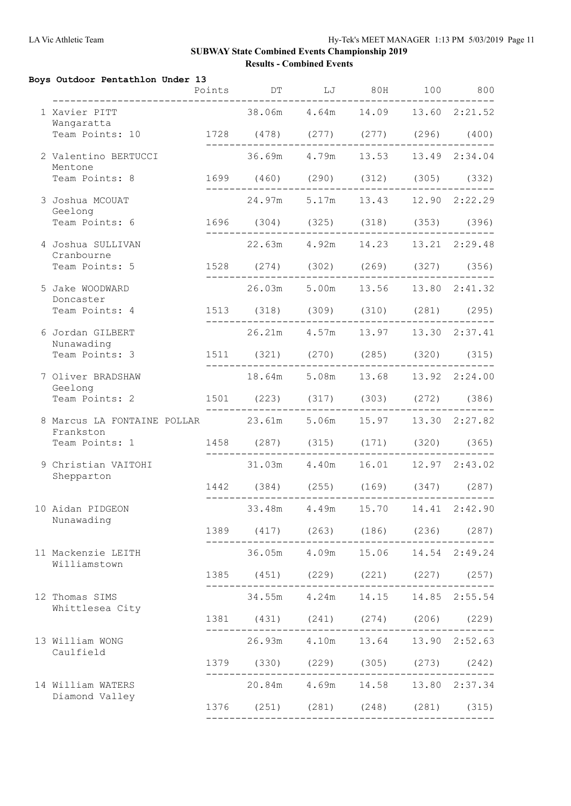| Boys Outdoor Pentathlon Under 13                                          | Points DT LJ 80H 100 800             |                                       |                                      |  |
|---------------------------------------------------------------------------|--------------------------------------|---------------------------------------|--------------------------------------|--|
| 1 Xavier PITT                                                             |                                      |                                       | 38.06m  4.64m  14.09  13.60  2:21.52 |  |
| Wangaratta                                                                |                                      |                                       |                                      |  |
| 2 Valentino BERTUCCI                                                      | 36.69m  4.79m  13.53  13.49  2:34.04 |                                       |                                      |  |
| Mentone<br>Team Points: 8                                                 | 1699 (460) (290) (312) (305) (332)   |                                       |                                      |  |
| 3 Joshua MCOUAT                                                           | 24.97m 5.17m 13.43 12.90 2:22.29     |                                       |                                      |  |
| Geelong<br>Team Points: 6                                                 | 1696 (304) (325) (318) (353) (396)   |                                       |                                      |  |
| 4 Joshua SULLIVAN<br>Cranbourne                                           |                                      |                                       | 22.63m  4.92m  14.23  13.21  2:29.48 |  |
| Team Points: 5                                                            | 1528 (274) (302) (269) (327) (356)   |                                       |                                      |  |
| 5 Jake WOODWARD<br>Doncaster                                              |                                      |                                       | 26.03m 5.00m 13.56 13.80 2:41.32     |  |
| Team Points: 4                                                            | 1513 (318) (309) (310) (281) (295)   |                                       |                                      |  |
| 6 Jordan GILBERT                                                          |                                      |                                       | 26.21m  4.57m  13.97  13.30  2:37.41 |  |
| Nunawading<br>Team Points: 3                                              | 1511 (321) (270) (285) (320) (315)   |                                       |                                      |  |
| 7 Oliver BRADSHAW<br>Geelong                                              |                                      |                                       | 18.64m 5.08m 13.68 13.92 2:24.00     |  |
| Team Points: 2                                                            | 1501 (223) (317) (303) (272) (386)   |                                       |                                      |  |
| 8 Marcus LA FONTAINE POLLAR 23.61m 5.06m 15.97 13.30 2:27.82<br>Frankston |                                      |                                       |                                      |  |
| Team Points: 1 1458 (287) (315) (171) (320) (365)                         |                                      |                                       |                                      |  |
| 9 Christian VAITOHI                                                       | 31.03m  4.40m  16.01  12.97  2:43.02 |                                       |                                      |  |
| Shepparton                                                                | 1442 (384) (255) (169) (347) (287)   |                                       |                                      |  |
| 10 Aidan PIDGEON<br>Nunawading                                            |                                      |                                       | 33.48m  4.49m  15.70  14.41  2:42.90 |  |
|                                                                           | 1389 (417) (263) (186) (236) (287)   | . _ _ _ _ _ _ _ _ _ _ _ _ _ _ _ _ _ _ | . _ _ _ _ _ _ _ _                    |  |
| 11 Mackenzie LEITH<br>Williamstown                                        | 36.05m  4.09m  15.06  14.54  2:49.24 |                                       |                                      |  |
|                                                                           | 1385 (451) (229) (221) (227) (257)   |                                       |                                      |  |
| 12 Thomas SIMS<br>Whittlesea City                                         |                                      |                                       | 34.55m  4.24m  14.15  14.85  2:55.54 |  |
|                                                                           | 1381 (431) (241) (274) (206) (229)   |                                       |                                      |  |
| 13 William WONG<br>Caulfield                                              |                                      |                                       | 26.93m  4.10m  13.64  13.90  2:52.63 |  |
|                                                                           | 1379 (330) (229) (305) (273) (242)   |                                       |                                      |  |
| 14 William WATERS<br>Diamond Valley                                       |                                      |                                       | 20.84m  4.69m  14.58  13.80  2:37.34 |  |
|                                                                           | 1376 (251) (281) (248) (281) (315)   |                                       |                                      |  |
|                                                                           |                                      |                                       |                                      |  |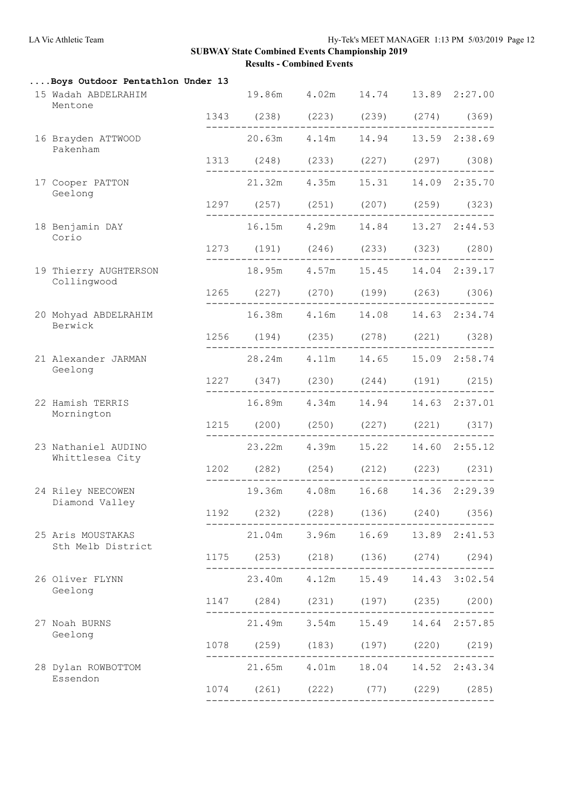| Boys Outdoor Pentathlon Under 13<br>15 Wadah ABDELRAHIM |  | 19.86m  4.02m  14.74  13.89  2:27.00                          |  |  |
|---------------------------------------------------------|--|---------------------------------------------------------------|--|--|
| Mentone                                                 |  | 1343 (238) (223) (239) (274) (369)                            |  |  |
| 16 Brayden ATTWOOD                                      |  | 20.63m  4.14m  14.94  13.59  2:38.69                          |  |  |
| Pakenham                                                |  | 1313 (248) (233) (227) (297) (308)                            |  |  |
| 17 Cooper PATTON                                        |  | 21.32m  4.35m  15.31  14.09  2:35.70                          |  |  |
| Geelong                                                 |  | 1297 (257) (251) (207) (259) (323)                            |  |  |
| 18 Benjamin DAY                                         |  | 16.15m  4.29m  14.84  13.27  2:44.53                          |  |  |
| Corio                                                   |  | 1273 (191) (246) (233) (323) (280)                            |  |  |
| 19 Thierry AUGHTERSON<br>Collingwood                    |  | 18.95m  4.57m  15.45  14.04  2:39.17                          |  |  |
|                                                         |  | 1265 (227) (270) (199) (263) (306)                            |  |  |
| 20 Mohyad ABDELRAHIM<br>Berwick                         |  | 16.38m  4.16m  14.08  14.63  2:34.74                          |  |  |
|                                                         |  | 1256 (194) (235) (278) (221) (328)                            |  |  |
| 21 Alexander JARMAN                                     |  | 28.24m  4.11m  14.65  15.09  2:58.74                          |  |  |
| Geelong                                                 |  | 1227 (347) (230) (244) (191) (215)                            |  |  |
| 22 Hamish TERRIS                                        |  | 16.89m  4.34m  14.94  14.63  2:37.01                          |  |  |
| Mornington                                              |  | 1215 (200) (250) (227) (221) (317)                            |  |  |
| 23 Nathaniel AUDINO<br>Whittlesea City                  |  | 23.22m  4.39m  15.22  14.60  2:55.12                          |  |  |
|                                                         |  | 1202 (282) (254) (212) (223) (231)                            |  |  |
| 24 Riley NEECOWEN<br>Diamond Valley                     |  | 19.36m  4.08m  16.68  14.36  2:29.39                          |  |  |
|                                                         |  | 1192 (232) (228) (136) (240) (356)                            |  |  |
| 25 Aris MOUSTAKAS<br>Sth Melb District                  |  | 21.04m 3.96m 16.69 13.89 2:41.53                              |  |  |
|                                                         |  | 1175 (253) (218) (136) (274) (294)                            |  |  |
| 26 Oliver FLYNN<br>Geelong                              |  | 23.40m  4.12m  15.49  14.43  3:02.54                          |  |  |
|                                                         |  | 1147 (284) (231) (197) (235) (200)<br>_______________________ |  |  |
| 27 Noah BURNS                                           |  | 21.49m 3.54m 15.49 14.64 2:57.85                              |  |  |
| Geelong                                                 |  | 1078 (259) (183) (197) (220) (219)                            |  |  |
| 28 Dylan ROWBOTTOM<br>Essendon                          |  | 21.65m  4.01m  18.04  14.52  2:43.34                          |  |  |
|                                                         |  | 1074 (261) (222) (77) (229) (285)                             |  |  |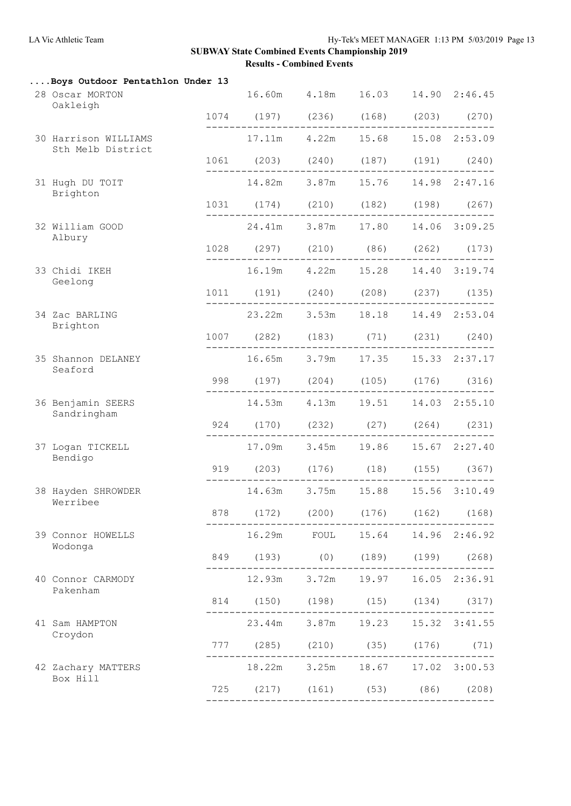| Boys Outdoor Pentathlon Under 13 |                                      |                                      |  |  |
|----------------------------------|--------------------------------------|--------------------------------------|--|--|
| 28 Oscar MORTON<br>Oakleigh      | 16.60m  4.18m  16.03  14.90  2:46.45 |                                      |  |  |
|                                  | 1074 (197) (236) (168) (203) (270)   |                                      |  |  |
| 30 Harrison WILLIAMS             | 17.11m  4.22m  15.68  15.08  2:53.09 |                                      |  |  |
| Sth Melb District                | 1061 (203) (240) (187) (191) (240)   |                                      |  |  |
| 31 Hugh DU TOIT                  | 14.82m 3.87m 15.76 14.98 2:47.16     |                                      |  |  |
| Brighton                         | 1031 (174) (210) (182) (198) (267)   |                                      |  |  |
| 32 William GOOD                  | 24.41m 3.87m 17.80 14.06 3:09.25     |                                      |  |  |
| Albury                           | 1028 (297) (210) (86) (262) (173)    |                                      |  |  |
| 33 Chidi IKEH                    | 16.19m  4.22m  15.28  14.40  3:19.74 |                                      |  |  |
| Geelong                          | 1011 (191) (240) (208) (237) (135)   |                                      |  |  |
| 34 Zac BARLING                   | 23.22m 3.53m 18.18 14.49 2:53.04     |                                      |  |  |
| Brighton                         | 1007 (282) (183) (71) (231) (240)    |                                      |  |  |
| 35 Shannon DELANEY<br>Seaford    | 16.65m 3.79m 17.35 15.33 2:37.17     |                                      |  |  |
|                                  | 998 (197) (204) (105) (176) (316)    |                                      |  |  |
| 36 Benjamin SEERS                |                                      | 14.53m  4.13m  19.51  14.03  2:55.10 |  |  |
| Sandringham                      | 924 (170) (232) (27) (264) (231)     |                                      |  |  |
| 37 Logan TICKELL                 | 17.09m 3.45m 19.86 15.67 2:27.40     |                                      |  |  |
| Bendigo                          |                                      |                                      |  |  |
| 38 Hayden SHROWDER<br>Werribee   |                                      | 14.63m 3.75m 15.88 15.56 3:10.49     |  |  |
|                                  | 878 (172) (200) (176) (162) (168)    |                                      |  |  |
| 39 Connor HOWELLS                |                                      | 16.29m FOUL 15.64 14.96 2:46.92      |  |  |
| Wodonga                          | 849 (193) (0) (189) (199) (268)      |                                      |  |  |
| 40 Connor CARMODY<br>Pakenham    |                                      | 12.93m 3.72m 19.97 16.05 2:36.91     |  |  |
|                                  | 814 (150) (198) (15) (134) (317)     |                                      |  |  |
| 41 Sam HAMPTON                   |                                      | 23.44m 3.87m 19.23 15.32 3:41.55     |  |  |
| Croydon                          | 777 (285) (210) (35) (176) (71)      |                                      |  |  |
| 42 Zachary MATTERS<br>Box Hill   |                                      | 18.22m 3.25m 18.67 17.02 3:00.53     |  |  |
|                                  | 725 (217) (161) (53) (86) (208)      |                                      |  |  |
|                                  |                                      |                                      |  |  |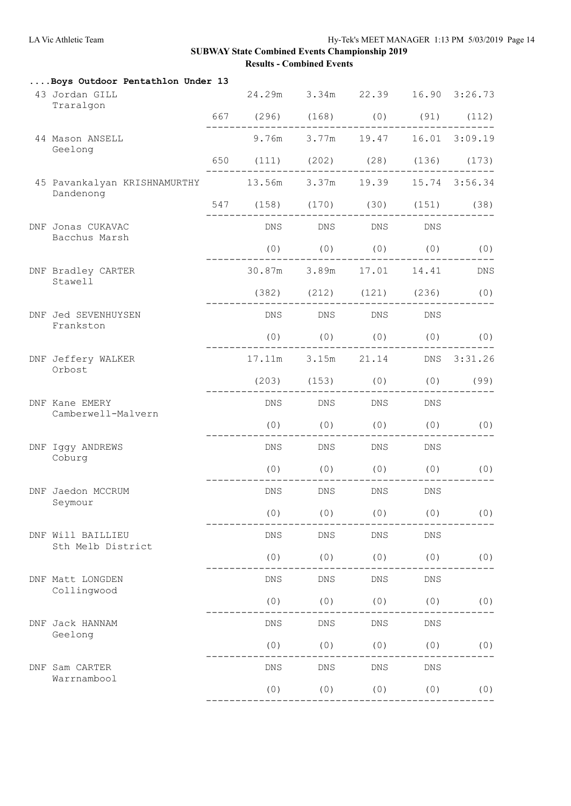| Boys Outdoor Pentathlon Under 13       |     |                            |                                 |                    |                                      |               |
|----------------------------------------|-----|----------------------------|---------------------------------|--------------------|--------------------------------------|---------------|
| 43 Jordan GILL<br>Traralgon            |     |                            |                                 |                    | 24.29m 3.34m 22.39 16.90 3:26.73     |               |
|                                        | 667 |                            |                                 |                    | $(296)$ $(168)$ $(0)$ $(91)$ $(112)$ |               |
| 44 Mason ANSELL                        |     |                            |                                 |                    | 9.76m 3.77m 19.47 16.01 3:09.19      |               |
| Geelong                                | 650 |                            |                                 |                    | $(111)$ $(202)$ $(28)$ $(136)$       | (173)         |
| 45 Pavankalyan KRISHNAMURTHY           |     | 13.56m                     |                                 | $3.37m$ 19.39      |                                      | 15.74 3:56.34 |
| Dandenong                              |     | 547 (158) (170) (30) (151) |                                 |                    |                                      | (38)          |
| DNF Jonas CUKAVAC                      |     | <b>DNS</b>                 | DNS                             | <b>DNS</b>         | DNS                                  |               |
| Bacchus Marsh                          |     | (0)                        | (0)                             |                    | $(0)$ (0)                            | (0)           |
| DNF Bradley CARTER                     |     | 30.87m                     |                                 |                    | 3.89m  17.01  14.41  DNS             |               |
| Stawell                                |     |                            | $(382)$ $(212)$ $(121)$ $(236)$ |                    |                                      | (0)           |
| DNF Jed SEVENHUYSEN<br>Frankston       |     | <b>DNS</b>                 | DNS                             | DNS DNS            |                                      |               |
|                                        |     | (0)                        | (0)                             |                    | $(0)$ $(0)$ $(0)$                    |               |
| DNF Jeffery WALKER<br>Orbost           |     |                            |                                 |                    | 17.11m 3.15m 21.14 DNS 3:31.26       |               |
|                                        |     |                            | $(203)$ $(153)$                 |                    | $(0)$ (0)                            | (99)          |
| DNF Kane EMERY                         |     | <b>DNS</b>                 | DNS                             | <b>DNS</b>         | DNS                                  |               |
| Camberwell-Malvern                     |     | (0)                        | (0)                             | (0)                | (0)                                  | (0)           |
| DNF Iggy ANDREWS                       |     | <b>DNS</b>                 | DNS                             | DNS                | <b>DNS</b>                           |               |
| Coburg                                 |     | (0)                        | (0)                             | (0)                | (0)                                  | (0)           |
| DNF Jaedon MCCRUM                      |     | <b>DNS</b>                 | <b>DNS</b>                      | $\mathop{\rm DNS}$ | <b>DNS</b>                           |               |
| Seymour                                |     | (0)                        | (0)                             | (0)                | (0)                                  | (0)           |
| DNF Will BAILLIEU<br>Sth Melb District |     | DNS                        | <b>DNS</b>                      | $\mathop{\rm DNS}$ | <b>DNS</b>                           |               |
|                                        |     | (0)                        | (0)                             | (0)                | (0)                                  | (0)           |
| DNF Matt LONGDEN                       |     | DNS                        | DNS                             | $\mathop{\rm DNS}$ | $\mathop{\rm DNS}$                   |               |
| Collingwood                            |     | (0)                        | (0)                             | (0)                | (0)                                  | (0)           |
| DNF Jack HANNAM                        |     | DNS                        | $\mathop{\rm DNS}$              | ${\rm DNS}$        | DNS                                  |               |
| Geelong                                |     | (0)                        | (0)                             | (0)                | (0)                                  | (0)           |
| DNF Sam CARTER                         |     | DNS                        | $\mathop{\rm DNS}$              | $\mathop{\rm DNS}$ | DNS                                  |               |
| Warrnambool                            |     | (0)                        | (0)                             | (0)                | (0)                                  | (0)           |
|                                        |     |                            |                                 |                    |                                      |               |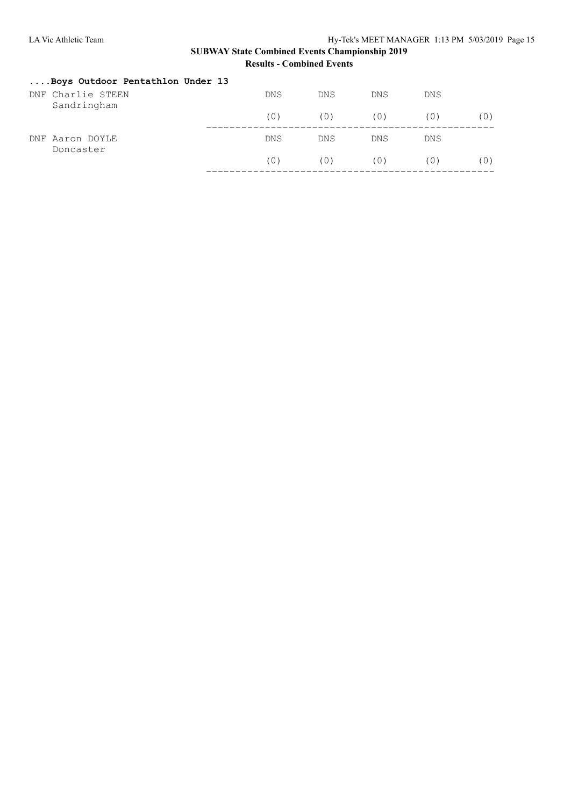| Boys Outdoor Pentathlon Under 13 |            |            |            |            |     |
|----------------------------------|------------|------------|------------|------------|-----|
| DNF Charlie STEEN<br>Sandringham | <b>DNS</b> | <b>DNS</b> | <b>DNS</b> | DNS        |     |
|                                  | (0)        | (0)        | (0)        | (0)        | (0) |
| DNF Aaron DOYLE<br>Doncaster     | <b>DNS</b> | <b>DNS</b> | <b>DNS</b> | <b>DNS</b> |     |
|                                  | (0)        | (0)        | (0)        | (0)        | (0) |
|                                  |            |            |            |            |     |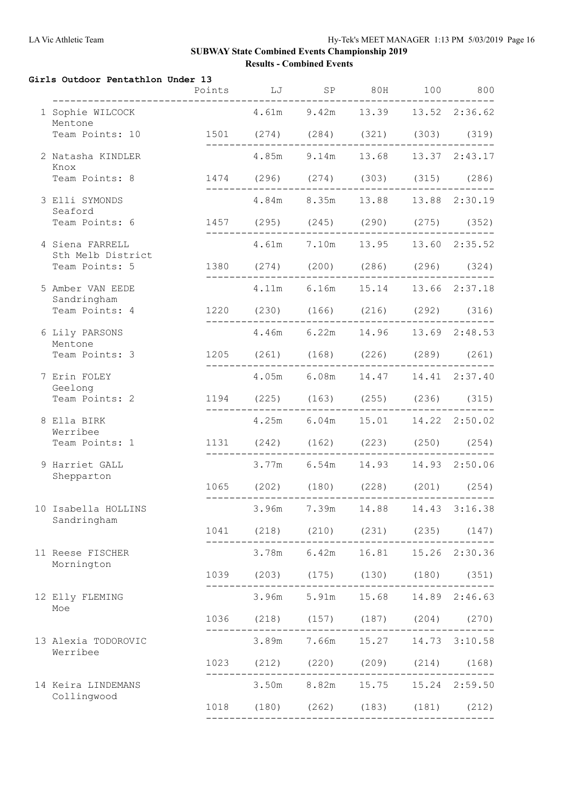#### **Girls Outdoor Pentathlon Under 13**

|                                      | Points | LJ                                 | SP 80H                              | 100 | 800 |
|--------------------------------------|--------|------------------------------------|-------------------------------------|-----|-----|
| 1 Sophie WILCOCK<br>Mentone          |        | 4.61m 9.42m 13.39 13.52 2:36.62    |                                     |     |     |
| Team Points: 10                      |        | 1501 (274) (284) (321) (303) (319) |                                     |     |     |
| 2 Natasha KINDLER<br>Knox            |        |                                    | 4.85m 9.14m 13.68 13.37 2:43.17     |     |     |
| Team Points: 8                       |        | 1474 (296) (274) (303) (315) (286) |                                     |     |     |
| 3 Elli SYMONDS<br>Seaford            |        |                                    | 4.84m 8.35m 13.88 13.88 2:30.19     |     |     |
| Team Points: 6                       |        | 1457 (295) (245) (290) (275) (352) |                                     |     |     |
| 4 Siena FARRELL<br>Sth Melb District |        |                                    | 4.61m 7.10m 13.95 13.60 2:35.52     |     |     |
| Team Points: 5                       |        | 1380 (274) (200) (286) (296) (324) |                                     |     |     |
| 5 Amber VAN EEDE                     |        |                                    | 4.11m  6.16m  15.14  13.66  2:37.18 |     |     |
| Sandringham<br>Team Points: 4        |        | 1220 (230) (166) (216) (292) (316) |                                     |     |     |
| 6 Lily PARSONS                       |        |                                    | 4.46m 6.22m 14.96 13.69 2:48.53     |     |     |
| Mentone<br>Team Points: 3            |        | 1205 (261) (168) (226) (289) (261) |                                     |     |     |
| 7 Erin FOLEY                         |        |                                    | 4.05m 6.08m 14.47 14.41 2:37.40     |     |     |
| Geelong<br>Team Points: 2            |        | 1194 (225) (163) (255) (236) (315) |                                     |     |     |
| 8 Ella BIRK                          |        |                                    | 4.25m 6.04m 15.01 14.22 2:50.02     |     |     |
| Werribee<br>Team Points: 1           |        | 1131 (242) (162) (223) (250) (254) |                                     |     |     |
| 9 Harriet GALL<br>Shepparton         |        |                                    | 3.77m 6.54m 14.93 14.93 2:50.06     |     |     |
|                                      |        | 1065 (202) (180) (228) (201) (254) |                                     |     |     |
| 10 Isabella HOLLINS<br>Sandringham   |        | 3.96m                              | 7.39m  14.88  14.43  3:16.38        |     |     |
|                                      |        | 1041 (218) (210) (231) (235) (147) |                                     |     |     |
| 11 Reese FISCHER<br>Mornington       |        |                                    | 3.78m 6.42m 16.81 15.26 2:30.36     |     |     |
|                                      |        | 1039 (203) (175) (130) (180) (351) | --------------------------------    |     |     |
| 12 Elly FLEMING                      |        |                                    | 3.96m 5.91m 15.68 14.89 2:46.63     |     |     |
| Moe                                  |        | 1036 (218) (157) (187) (204) (270) |                                     |     |     |
| 13 Alexia TODOROVIC                  |        |                                    | 3.89m 7.66m 15.27 14.73 3:10.58     |     |     |
| Werribee                             |        | 1023 (212) (220) (209) (214) (168) |                                     |     |     |
| 14 Keira LINDEMANS                   |        |                                    | 3.50m 8.82m 15.75 15.24 2:59.50     |     |     |
| Collingwood                          |        | 1018 (180) (262) (183) (181) (212) |                                     |     |     |
|                                      |        |                                    |                                     |     |     |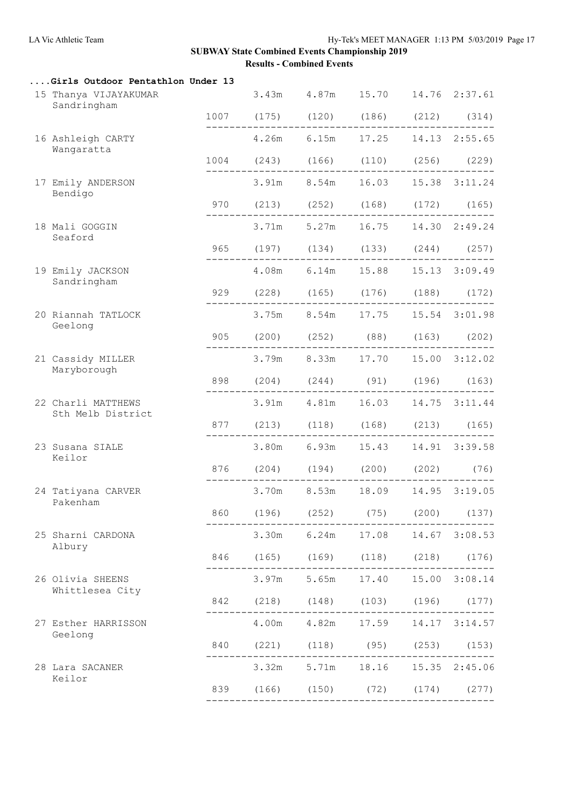| Girls Outdoor Pentathlon Under 13       |     |                                                      |  |       |
|-----------------------------------------|-----|------------------------------------------------------|--|-------|
| 15 Thanya VIJAYAKUMAR<br>Sandringham    |     | 3.43m  4.87m  15.70  14.76  2:37.61                  |  |       |
|                                         |     | 1007 (175) (120) (186) (212) (314)                   |  |       |
| 16 Ashleigh CARTY<br>Wangaratta         |     | 4.26m 6.15m 17.25 14.13 2:55.65                      |  |       |
|                                         |     | 1004 (243) (166) (110) (256) (229)                   |  |       |
| 17 Emily ANDERSON<br>Bendigo            |     | 3.91m 8.54m 16.03 15.38 3:11.24                      |  |       |
|                                         |     | 970 (213) (252) (168) (172) (165)                    |  |       |
| 18 Mali GOGGIN<br>Seaford               |     | 3.71m 5.27m 16.75 14.30 2:49.24                      |  |       |
|                                         |     | 965 (197) (134) (133) (244) (257)                    |  |       |
| 19 Emily JACKSON<br>Sandringham         |     | 4.08m 6.14m 15.88 15.13 3:09.49                      |  |       |
|                                         |     | 929 (228) (165) (176) (188) (172)                    |  |       |
| 20 Riannah TATLOCK<br>Geelong           |     | 3.75m 8.54m 17.75 15.54 3:01.98                      |  |       |
|                                         |     | 905 (200) (252) (88) (163) (202)                     |  |       |
| 21 Cassidy MILLER<br>Maryborough        |     | 3.79m 8.33m 17.70 15.00 3:12.02                      |  |       |
|                                         |     | 898 (204) (244) (91) (196) (163)                     |  |       |
| 22 Charli MATTHEWS<br>Sth Melb District |     | 3.91m  4.81m  16.03  14.75  3:11.44                  |  |       |
|                                         | 877 | $(213)$ $(118)$ $(168)$ $(213)$ $(165)$              |  |       |
| 23 Susana SIALE<br>Keilor               |     | 3.80m 6.93m 15.43 14.91 3:39.58                      |  |       |
|                                         |     | 876 (204) (194) (200) (202) (76)                     |  |       |
| 24 Tatiyana CARVER<br>Pakenham          |     | 3.70m 8.53m 18.09 14.95 3:19.05                      |  |       |
|                                         |     | 860 (196) (252) (75) (200) (137)                     |  |       |
| 25 Sharni CARDONA<br>Albury             |     | 3.30m 6.24m 17.08 14.67 3:08.53                      |  |       |
|                                         | 846 | $(165)$ $(169)$ $(118)$ $(218)$ $(176)$<br>--------- |  |       |
| 26 Olivia SHEENS<br>Whittlesea City     |     | 3.97m 5.65m 17.40 15.00 3:08.14                      |  |       |
|                                         |     | 842 (218) (148) (103) (196) (177)                    |  |       |
| 27 Esther HARRISSON<br>Geelong          |     | 4.00m  4.82m  17.59  14.17  3:14.57                  |  |       |
|                                         |     | 840 (221) (118) (95) (253) (153)                     |  |       |
| 28 Lara SACANER<br>Keilor               |     | 3.32m 5.71m 18.16 15.35 2:45.06                      |  |       |
|                                         | 839 | $(166)$ $(150)$ $(72)$ $(174)$                       |  | (277) |
|                                         |     |                                                      |  |       |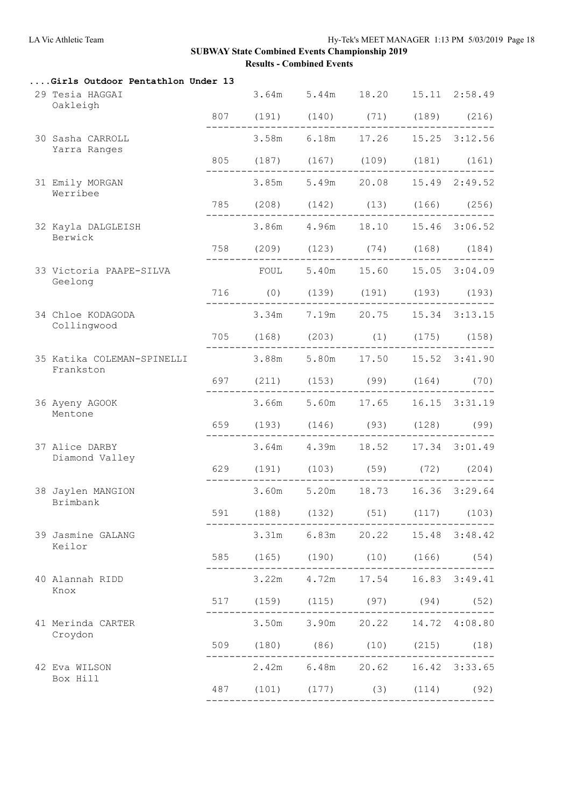| Girls Outdoor Pentathlon Under 13 |  |                                                        |  |  |
|-----------------------------------|--|--------------------------------------------------------|--|--|
| 29 Tesia HAGGAI<br>Oakleigh       |  | 3.64m 5.44m 18.20 15.11 2:58.49                        |  |  |
|                                   |  | 807 (191) (140) (71) (189) (216)                       |  |  |
| 30 Sasha CARROLL<br>Yarra Ranges  |  | 3.58m 6.18m 17.26 15.25 3:12.56                        |  |  |
|                                   |  | 805 (187) (167) (109) (181) (161)                      |  |  |
| 31 Emily MORGAN<br>Werribee       |  | 3.85m 5.49m 20.08 15.49 2:49.52                        |  |  |
|                                   |  | 785 (208) (142) (13) (166) (256)                       |  |  |
| 32 Kayla DALGLEISH                |  | 3.86m  4.96m  18.10  15.46  3:06.52                    |  |  |
| Berwick                           |  | 758 (209) (123) (74) (168) (184)                       |  |  |
| 33 Victoria PAAPE-SILVA           |  | FOUL 5.40m 15.60 15.05 3:04.09                         |  |  |
| Geelong                           |  | 716 (0) (139) (191) (193) (193)                        |  |  |
| 34 Chloe KODAGODA                 |  | 3.34m 7.19m 20.75 15.34 3:13.15                        |  |  |
| Collingwood                       |  | 705 (168) (203) (1) (175) (158)                        |  |  |
| 35 Katika COLEMAN-SPINELLI        |  | 3.88m 5.80m 17.50 15.52 3:41.90                        |  |  |
| Frankston                         |  | 697 (211) (153) (99) (164) (70)                        |  |  |
| 36 Ayeny AGOOK                    |  | 3.66m 5.60m 17.65 16.15 3:31.19                        |  |  |
| Mentone                           |  | 659 (193) (146) (93) (128) (99)                        |  |  |
| 37 Alice DARBY                    |  | 3.64m  4.39m  18.52  17.34  3:01.49                    |  |  |
| Diamond Valley                    |  | 629 (191) (103) (59) (72) (204)                        |  |  |
| 38 Jaylen MANGION                 |  | ----------<br>3.60m 5.20m 18.73 16.36 3:29.64          |  |  |
| Brimbank                          |  | 591 (188) (132) (51) (117) (103)                       |  |  |
| 39 Jasmine GALANG                 |  | 3.31m 6.83m 20.22 15.48 3:48.42                        |  |  |
| Keilor                            |  | 585 (165) (190) (10) (166) (54)                        |  |  |
| 40 Alannah RIDD                   |  | 3.22m  4.72m  17.54  16.83  3:49.41                    |  |  |
| Knox                              |  | 517 (159) (115) (97) (94) (52)                         |  |  |
| 41 Merinda CARTER                 |  | . _ _ _ _ _ _ _ _ _<br>3.50m 3.90m 20.22 14.72 4:08.80 |  |  |
| Croydon                           |  | 509 (180) (86) (10) (215) (18)                         |  |  |
| 42 Eva WILSON                     |  | 2.42m 6.48m 20.62 16.42 3:33.65                        |  |  |
| Box Hill                          |  | 487 (101) (177) (3) (114) (92)                         |  |  |
|                                   |  |                                                        |  |  |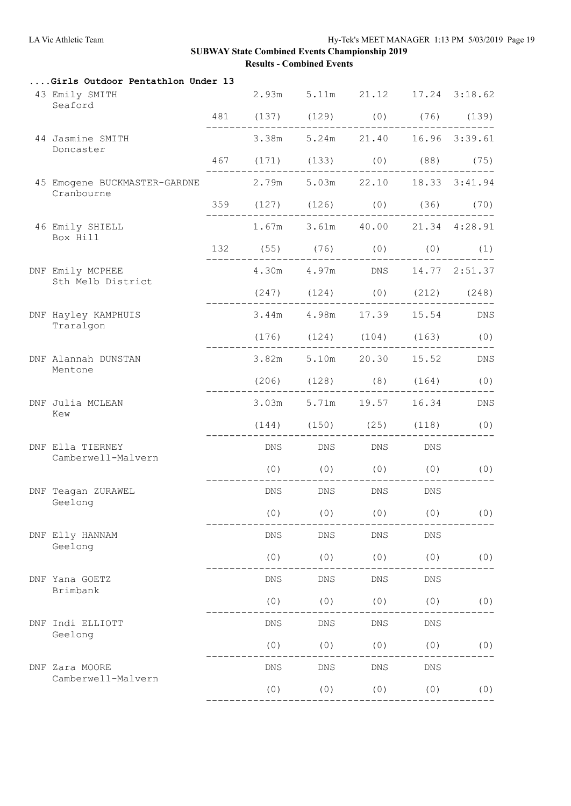| Girls Outdoor Pentathlon Under 13          |     |            |                                       |                    |                    |     |
|--------------------------------------------|-----|------------|---------------------------------------|--------------------|--------------------|-----|
| 43 Emily SMITH<br>Seaford                  |     |            | 2.93m 5.11m 21.12 17.24 3:18.62       |                    |                    |     |
|                                            |     |            | 481 (137) (129) (0) (76) (139)        |                    |                    |     |
| 44 Jasmine SMITH<br>Doncaster              |     |            | 3.38m 5.24m 21.40 16.96 3:39.61       |                    |                    |     |
|                                            | 467 |            | $(171)$ $(133)$ $(0)$ $(88)$ $(75)$   |                    |                    |     |
| 45 Emogene BUCKMASTER-GARDNE<br>Cranbourne |     |            | 2.79m 5.03m 22.10 18.33 3:41.94       |                    |                    |     |
|                                            |     |            | 359 (127) (126) (0) (36) (70)         | ---------          |                    |     |
| 46 Emily SHIELL<br>Box Hill                |     |            | 1.67m 3.61m 40.00 21.34 4:28.91       |                    |                    |     |
|                                            |     |            | 132 (55) (76) (0) (0) (1)             |                    |                    |     |
| DNF Emily MCPHEE<br>Sth Melb District      |     |            | 4.30m  4.97m  DNS  14.77  2:51.37     |                    |                    |     |
|                                            |     |            | $(247)$ $(124)$ $(0)$ $(212)$ $(248)$ |                    |                    |     |
| DNF Hayley KAMPHUIS<br>Traralgon           |     |            | 3.44m 4.98m 17.39 15.54 DNS           |                    |                    |     |
|                                            |     |            | $(176)$ $(124)$ $(104)$ $(163)$ $(0)$ |                    |                    |     |
| DNF Alannah DUNSTAN<br>Mentone             |     |            | 3.82m 5.10m 20.30 15.52 DNS           |                    |                    |     |
|                                            |     |            | $(206)$ $(128)$ $(8)$ $(164)$ $(0)$   |                    |                    |     |
| DNF Julia MCLEAN<br>Kew                    |     |            | 3.03m 5.71m 19.57 16.34 DNS           |                    |                    |     |
|                                            |     |            | $(144)$ $(150)$ $(25)$ $(118)$ $(0)$  |                    |                    |     |
| DNF Ella TIERNEY<br>Camberwell-Malvern     |     | DNS        | DNS DNS DNS                           |                    |                    |     |
|                                            |     | (0)        | $(0)$ $(0)$ $(0)$                     |                    |                    | (0) |
| DNF Teagan ZURAWEL<br>Geelong              |     | <b>DNS</b> | DNS                                   | DNS                | <b>DNS</b>         |     |
|                                            |     | (0)        | (0)                                   | (0)                | (0)                | (0) |
| DNF Elly HANNAM<br>Geelong                 |     | <b>DNS</b> | <b>DNS</b>                            | DNS                | <b>DNS</b>         |     |
|                                            |     | (0)        | (0)                                   | (0)                | (0)                | (0) |
| DNF Yana GOETZ<br>Brimbank                 |     | DNS        | $\mathop{\rm DNS}$                    | $\mathop{\rm DNS}$ | $\mathop{\rm DNS}$ |     |
|                                            |     | (0)        | (0)                                   | (0)                | (0)                | (0) |
| DNF Indi ELLIOTT<br>Geelong                |     | DNS        | $\mathop{\rm DNS}$                    | $\mathop{\rm DNS}$ | $\mathop{\rm DNS}$ |     |
|                                            |     | (0)        | (0)                                   | (0)                | (0)                | (0) |
| DNF Zara MOORE<br>Camberwell-Malvern       |     | DNS        | $\mathop{\rm DNS}$                    | $\mathop{\rm DNS}$ | $\mathop{\rm DNS}$ |     |
|                                            |     | (0)        | (0)                                   | (0)                | (0)                | (0) |
|                                            |     |            |                                       |                    |                    |     |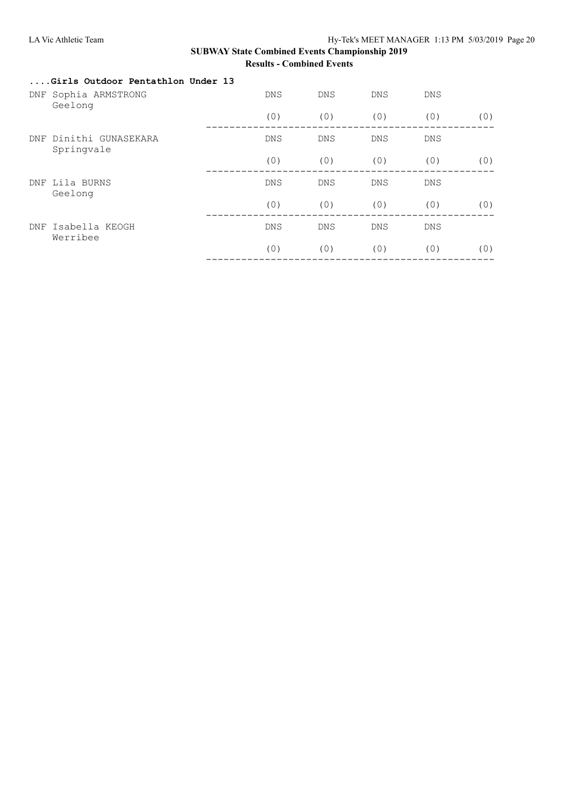|     | Girls Outdoor Pentathlon Under 13 |            |            |            |            |     |
|-----|-----------------------------------|------------|------------|------------|------------|-----|
| DNF | Sophia ARMSTRONG<br>Geelong       | <b>DNS</b> | <b>DNS</b> | <b>DNS</b> | <b>DNS</b> |     |
|     |                                   | (0)        | (0)        | (0)        | (0)        | (0) |
| DNF | Dinithi GUNASEKARA<br>Springvale  | <b>DNS</b> | DNS        | <b>DNS</b> | <b>DNS</b> |     |
|     |                                   | (0)        | (0)        | (0)        | (0)        | (0) |
|     | DNF Lila BURNS<br>Geelong         | <b>DNS</b> | <b>DNS</b> | <b>DNS</b> | <b>DNS</b> |     |
|     |                                   | (0)        | (0)        | (0)        | (0)        | (0) |
| DNF | Isabella KEOGH                    | <b>DNS</b> | <b>DNS</b> | <b>DNS</b> | <b>DNS</b> |     |
|     | Werribee                          | (0)        | (0)        | (0)        | (0)        | (0) |
|     |                                   |            |            |            |            |     |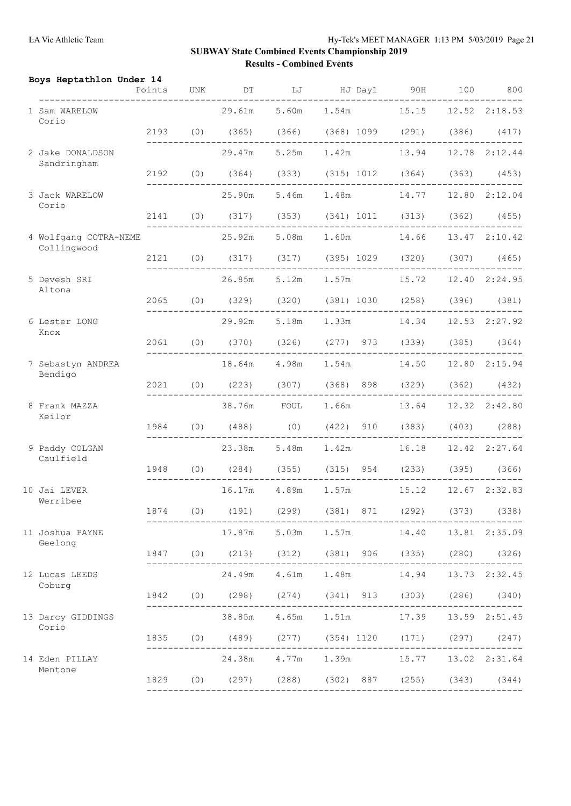| Boys Heptathlon Under 14             | ----------------- |                         | Points UNK DT LJ HJ Day1 90H 100 800              |                      | ---------- |                                              |  |
|--------------------------------------|-------------------|-------------------------|---------------------------------------------------|----------------------|------------|----------------------------------------------|--|
| 1 Sam WARELOW                        |                   |                         |                                                   |                      |            | 29.61m 5.60m 1.54m 15.15 12.52 2:18.53       |  |
| Corio                                |                   |                         | 2193 (0) (365) (366) (368) 1099 (291) (386) (417) |                      |            |                                              |  |
| 2 Jake DONALDSON                     |                   |                         |                                                   |                      |            | 29.47m 5.25m 1.42m 13.94 12.78 2:12.44       |  |
| Sandringham                          |                   |                         | 2192 (0) (364) (333) (315) 1012 (364) (363) (453) |                      |            |                                              |  |
| 3 Jack WARELOW<br>Corio              |                   |                         |                                                   |                      |            | 25.90m 5.46m 1.48m 14.77 12.80 2:12.04       |  |
|                                      |                   |                         | 2141 (0) (317) (353) (341) 1011 (313) (362) (455) |                      |            |                                              |  |
| 4 Wolfgang COTRA-NEME<br>Collingwood |                   |                         |                                                   |                      |            | 25.92m 5.08m 1.60m 14.66 13.47 2:10.42       |  |
|                                      |                   |                         | 2121 (0) (317) (317) (395) 1029 (320) (307) (465) |                      |            |                                              |  |
| 5 Devesh SRI<br>Altona               |                   |                         |                                                   |                      |            | 26.85m 5.12m 1.57m 15.72 12.40 2:24.95       |  |
|                                      |                   | ---------------         | 2065 (0) (329) (320) (381) 1030 (258) (396) (381) |                      |            |                                              |  |
| 6 Lester LONG<br>Knox                |                   |                         |                                                   |                      |            | 29.92m 5.18m 1.33m 14.34 12.53 2:27.92       |  |
|                                      |                   | <u> Liberalis India</u> | 2061 (0) (370) (326) (277) 973 (339) (385) (364)  |                      |            |                                              |  |
| 7 Sebastyn ANDREA<br>Bendigo         |                   |                         |                                                   |                      |            | 18.64m  4.98m  1.54m  14.50  12.80  2:15.94  |  |
|                                      |                   |                         | 2021 (0) (223) (307) (368) 898 (329) (362) (432)  |                      |            |                                              |  |
| 8 Frank MAZZA<br>Keilor              |                   |                         |                                                   |                      |            | 38.76m FOUL 1.66m 13.64 12.32 2:42.80        |  |
|                                      |                   |                         | 1984 (0) (488) (0) (422) 910 (383) (403) (288)    |                      |            |                                              |  |
| 9 Paddy COLGAN<br>Caulfield          |                   |                         |                                                   |                      |            | 23.38m 5.48m 1.42m 16.18 12.42 2:27.64       |  |
|                                      |                   |                         | 1948 (0) (284) (355) (315) 954 (233) (395) (366)  |                      |            |                                              |  |
| 10 Jai LEVER<br>Werribee             |                   |                         |                                                   | 16.17m  4.89m  1.57m |            | 15.12 12.67 2:32.83                          |  |
|                                      |                   |                         | 1874 (0) (191) (299) (381) 871 (292) (373) (338)  |                      |            |                                              |  |
| 11 Joshua PAYNE                      |                   |                         |                                                   |                      |            | 17.87m 5.03m 1.57m 14.40 13.81 2:35.09       |  |
| Geelong                              |                   |                         | 1847 (0) (213) (312) (381) 906 (335) (280) (326)  |                      |            |                                              |  |
| 12 Lucas LEEDS<br>Coburg             |                   |                         |                                                   |                      |            | 24.49m  4.61m  1.48m  14.94  13.73  2:32.45  |  |
|                                      |                   |                         | 1842 (0) (298) (274) (341) 913 (303) (286) (340)  |                      |            |                                              |  |
| 13 Darcy GIDDINGS<br>Corio           |                   |                         |                                                   |                      |            | 38.85m  4.65m  1.51m   17.39  13.59  2:51.45 |  |
|                                      | --------          |                         | 1835 (0) (489) (277) (354) 1120 (171) (297) (247) |                      |            |                                              |  |
| 14 Eden PILLAY<br>Mentone            |                   |                         |                                                   |                      |            | 24.38m  4.77m  1.39m  15.77  13.02  2:31.64  |  |
|                                      |                   |                         | 1829 (0) (297) (288) (302) 887 (255) (343) (344)  |                      |            |                                              |  |
|                                      |                   |                         |                                                   |                      |            |                                              |  |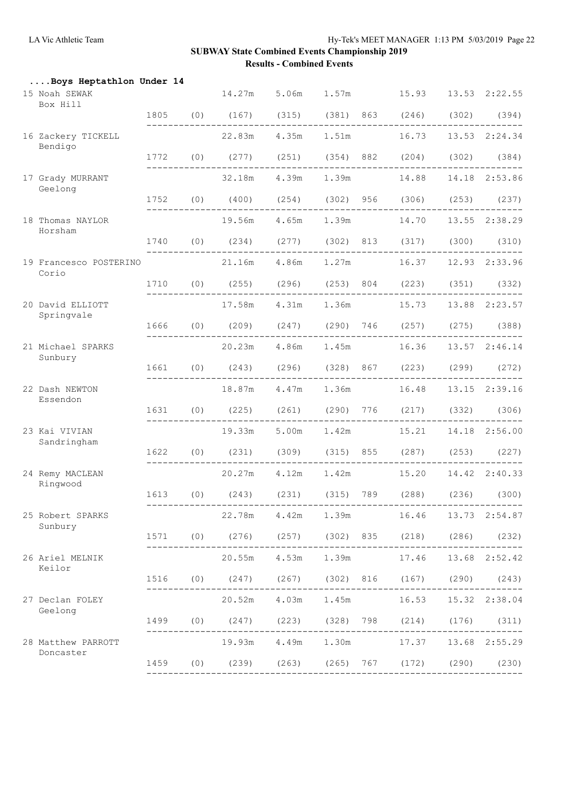| Boys Heptathlon Under 14        |            |                       |        |       |             |                                                  |               |
|---------------------------------|------------|-----------------------|--------|-------|-------------|--------------------------------------------------|---------------|
| 15 Noah SEWAK<br>Box Hill       |            |                       |        |       |             | 14.27m 5.06m 1.57m 15.93                         | 13.53 2:22.55 |
|                                 |            |                       |        |       |             | 1805 (0) (167) (315) (381) 863 (246) (302) (394) |               |
| 16 Zackery TICKELL              |            |                       | 22.83m | 4.35m |             | 1.51m 16.73                                      | 13.53 2:24.34 |
| Bendigo                         |            |                       |        |       |             | 1772 (0) (277) (251) (354) 882 (204) (302) (384) |               |
| 17 Grady MURRANT                | ---------- |                       |        |       |             | 32.18m  4.39m  1.39m  14.88  14.18  2:53.86      |               |
| Geelong                         |            | . _ _ _ _ _ _ _ _ _ _ |        |       |             | 1752 (0) (400) (254) (302) 956 (306) (253) (237) |               |
| 18 Thomas NAYLOR<br>Horsham     |            |                       |        |       |             | 19.56m  4.65m  1.39m  14.70  13.55  2:38.29      |               |
|                                 |            |                       |        |       |             | 1740 (0) (234) (277) (302) 813 (317) (300) (310) |               |
| 19 Francesco POSTERINO<br>Corio |            |                       | 21.16m |       |             | 4.86m 1.27m 16.37 12.93 2:33.96                  |               |
|                                 |            |                       |        |       |             | 1710 (0) (255) (296) (253) 804 (223) (351) (332) |               |
| 20 David ELLIOTT                |            |                       |        |       |             | 17.58m  4.31m  1.36m  15.73  13.88  2:23.57      |               |
| Springvale                      |            | ___________           |        |       |             | 1666 (0) (209) (247) (290) 746 (257) (275) (388) |               |
| 21 Michael SPARKS               |            |                       |        |       |             | 20.23m  4.86m  1.45m   16.36  13.57  2:46.14     |               |
| Sunbury                         |            |                       |        |       |             | 1661 (0) (243) (296) (328) 867 (223) (299) (272) |               |
| 22 Dash NEWTON                  |            |                       | 18.87m |       | 4.47m 1.36m | 16.48 13.15 2:39.16                              |               |
| Essendon                        |            |                       |        |       |             | 1631 (0) (225) (261) (290) 776 (217) (332) (306) |               |
| 23 Kai VIVIAN                   |            |                       |        |       |             | 19.33m 5.00m 1.42m 15.21                         | 14.18 2:56.00 |
| Sandringham                     |            | <u>_____________</u>  |        |       |             | 1622 (0) (231) (309) (315) 855 (287) (253) (227) |               |
| 24 Remy MACLEAN<br>Ringwood     |            |                       |        |       |             | 20.27m  4.12m  1.42m  15.20  14.42  2:40.33      |               |
|                                 |            |                       |        |       |             | 1613 (0) (243) (231) (315) 789 (288) (236) (300) |               |
| 25 Robert SPARKS                |            |                       |        |       |             | 22.78m  4.42m  1.39m  16.46  13.73  2:54.87      |               |
| Sunbury                         |            |                       |        |       |             | 1571 (0) (276) (257) (302) 835 (218) (286) (232) |               |
| 26 Ariel MELNIK<br>Keilor       |            |                       |        |       |             | 20.55m  4.53m  1.39m  17.46  13.68  2:52.42      |               |
|                                 |            |                       |        |       |             | 1516 (0) (247) (267) (302) 816 (167) (290) (243) |               |
| 27 Declan FOLEY                 |            |                       |        |       |             | 20.52m  4.03m  1.45m  16.53  15.32  2:38.04      |               |
| Geelong                         |            | ------------          |        |       |             | 1499 (0) (247) (223) (328) 798 (214) (176) (311) |               |
| 28 Matthew PARROTT              |            |                       |        |       |             | 19.93m  4.49m  1.30m  17.37  13.68  2:55.29      |               |
| Doncaster                       |            |                       |        |       |             | 1459 (0) (239) (263) (265) 767 (172) (290) (230) |               |
|                                 |            |                       |        |       |             |                                                  |               |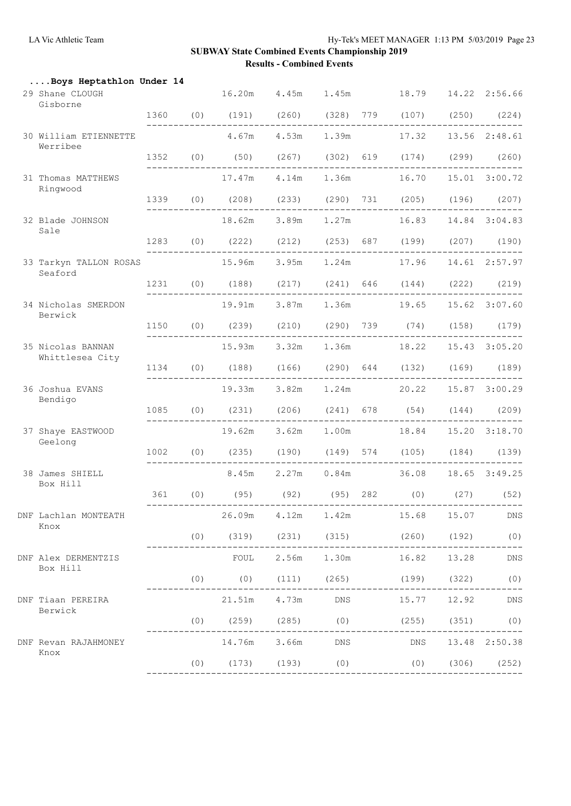### **....Boys Heptathlon Under 14**

| 29 Shane CLOUGH<br>Gisborne       |                   |          | 16.20m                      | 4.45m              | 1.45m |                         | 18.79                                                                     |              | 14.22 2:56.66         |
|-----------------------------------|-------------------|----------|-----------------------------|--------------------|-------|-------------------------|---------------------------------------------------------------------------|--------------|-----------------------|
|                                   |                   |          |                             |                    |       |                         | 1360 (0) (191) (260) (328) 779 (107) (250) (224)<br>_____________________ |              |                       |
| 30 William ETIENNETTE<br>Werribee |                   |          |                             |                    |       |                         | 4.67m 4.53m 1.39m 17.32 13.56 2:48.61                                     |              |                       |
|                                   | $1352$ (0)        |          | $(50)$ $(267)$ $(302)$      |                    |       |                         | 619 (174) (299) (260)                                                     |              |                       |
| 31 Thomas MATTHEWS<br>Ringwood    |                   |          | 17.47m                      | 4.14m              | 1.36m |                         | 16.70                                                                     |              | 15.01 3:00.72         |
|                                   | $- - - - - - - -$ |          |                             |                    |       |                         | 1339 (0) (208) (233) (290) 731 (205) (196) (207)                          |              |                       |
| 32 Blade JOHNSON<br>Sale          |                   |          | 18.62m                      |                    |       |                         | 3.89m 1.27m 16.83                                                         |              | 14.84 3:04.83         |
|                                   |                   |          |                             |                    |       |                         | 1283 (0) (222) (212) (253) 687 (199) (207) (190)                          |              |                       |
| 33 Tarkyn TALLON ROSAS            |                   |          |                             |                    |       |                         | 15.96m 3.95m 1.24m 17.96 14.61 2:57.97                                    |              |                       |
| Seaford                           |                   |          |                             |                    |       |                         | 1231 (0) (188) (217) (241) 646 (144) (222) (219)                          |              |                       |
| 34 Nicholas SMERDON               |                   |          | 19.91m                      | 3.87m              |       |                         | 1.36m 19.65                                                               |              | 15.62 3:07.60         |
| Berwick                           | ---------         |          |                             |                    |       |                         | 1150 (0) (239) (210) (290) 739 (74) (158) (179)                           | ------------ |                       |
| 35 Nicolas BANNAN                 |                   |          | 15.93m                      |                    |       |                         | $3.32m$ $1.36m$ $18.22$                                                   |              | 15.43 3:05.20         |
| Whittlesea City                   |                   |          |                             |                    |       |                         | 1134 (0) (188) (166) (290) 644 (132) (169) (189)                          |              |                       |
| 36 Joshua EVANS                   |                   |          |                             |                    |       |                         | 19.33m 3.82m 1.24m 20.22 15.87 3:00.29                                    |              |                       |
| Bendigo                           |                   |          |                             |                    |       |                         | 1085 (0) (231) (206) (241) 678 (54) (144) (209)                           |              |                       |
| 37 Shaye EASTWOOD                 |                   |          | 19.62m                      | 3.62m              |       |                         | 1.00m 18.84                                                               |              | 15.20 3:18.70         |
| Geelong                           | ----------        | 1002 (0) |                             |                    |       | . _ _ _ _ _ _ _ _ _ _ _ | (235) (190) (149) 574 (105) (184)<br>.                                    |              | (139)                 |
| 38 James SHIELL                   |                   |          | 8.45m                       |                    |       |                         | 2.27m 0.84m 36.08                                                         |              | 18.65 3:49.25         |
| Box Hill                          |                   |          |                             |                    |       |                         | 361 (0) (95) (92) (95) 282 (0) (27) (52)                                  |              |                       |
| DNF Lachlan MONTEATH              |                   |          |                             |                    |       |                         | 26.09m  4.12m  1.42m  15.68  15.07  DNS                                   |              |                       |
| Knox                              |                   |          |                             |                    |       |                         | (0) (319) (231) (315) (260) (192) (0)                                     |              |                       |
| DNF Alex DERMENTZIS               |                   |          |                             |                    |       |                         | FOUL 2.56m 1.30m 16.82 13.28 DNS                                          |              |                       |
| Box Hill                          |                   |          | $(0)$ (0)                   |                    |       |                         | $(111)$ $(265)$ $(199)$ $(322)$ $(0)$                                     |              |                       |
| DNF Tiaan PEREIRA                 |                   |          |                             | 21.51m  4.73m  DNS |       |                         | 15.77                                                                     |              | 12.92 DNS             |
| Berwick                           |                   |          | $(0)$ $(259)$ $(285)$ $(0)$ |                    |       |                         | $(255)$ $(351)$ $(0)$                                                     |              |                       |
| DNF Revan RAJAHMONEY              |                   |          |                             | 14.76m 3.66m DNS   |       |                         | DNS                                                                       |              | 13.48 2:50.38         |
| Knox                              |                   |          | $(0)$ $(173)$ $(193)$ $(0)$ |                    |       |                         |                                                                           |              | $(0)$ $(306)$ $(252)$ |
|                                   |                   |          |                             |                    |       |                         |                                                                           |              |                       |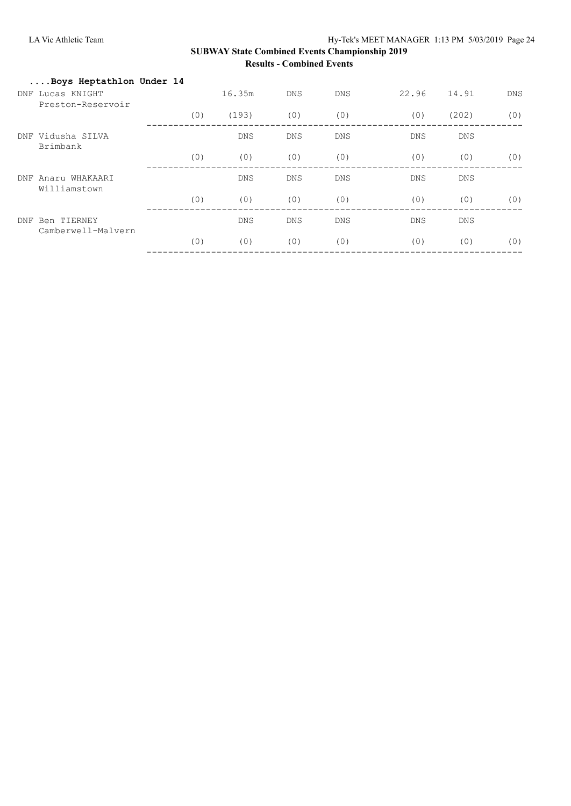|     | Boys Heptathlon Under 14                                            |     |            |            |            |            |            |            |
|-----|---------------------------------------------------------------------|-----|------------|------------|------------|------------|------------|------------|
| DNF | Lucas KNIGHT                                                        |     | 16.35m     | <b>DNS</b> | <b>DNS</b> | 22.96      | 14.91      | <b>DNS</b> |
|     | Preston-Reservoir                                                   | (0) | (193)      | (0)        | (0)        | (0)        | (202)      | (0)        |
| DNF | Vidusha SILVA<br>Brimbank                                           |     | <b>DNS</b> | <b>DNS</b> | DNS        | DNS        | DNS        |            |
|     |                                                                     | (0) | (0)        | (0)        | (0)        | (0)        | (0)        | (0)        |
| DNF | Anaru WHAKAARI<br>Williamstown<br>Ben TIERNEY<br>Camberwell-Malvern |     | <b>DNS</b> | <b>DNS</b> | <b>DNS</b> | <b>DNS</b> | <b>DNS</b> |            |
|     |                                                                     | (0) | (0)        | (0)        | (0)        | (0)        | (0)        | (0)        |
| DNF |                                                                     |     | <b>DNS</b> | <b>DNS</b> | DNS        | DNS        | DNS        |            |
|     |                                                                     | (0) | (0)        | (0)        | (0)        | (0)        | (0)        | (0)        |
|     |                                                                     |     |            |            |            |            |            |            |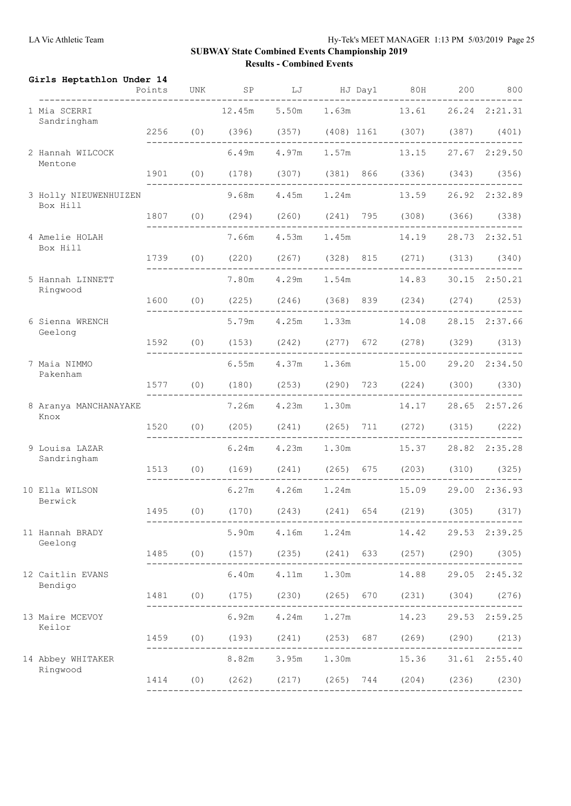| Girls Heptathlon Under 14         | Points                                                                                                                                                                                                                                                                                                                                                                                                                                                                                 | UNK      | SP                         | LJ                      |       | HJ Day1 80H                                         | 200   | 800           |
|-----------------------------------|----------------------------------------------------------------------------------------------------------------------------------------------------------------------------------------------------------------------------------------------------------------------------------------------------------------------------------------------------------------------------------------------------------------------------------------------------------------------------------------|----------|----------------------------|-------------------------|-------|-----------------------------------------------------|-------|---------------|
| 1 Mia SCERRI<br>Sandringham       |                                                                                                                                                                                                                                                                                                                                                                                                                                                                                        |          |                            |                         |       | 12.45m 5.50m 1.63m 13.61                            |       | 26.24 2:21.31 |
|                                   | $\begin{array}{cccccccccc} \multicolumn{2}{c}{} & \multicolumn{2}{c}{} & \multicolumn{2}{c}{} & \multicolumn{2}{c}{} & \multicolumn{2}{c}{} & \multicolumn{2}{c}{} & \multicolumn{2}{c}{} & \multicolumn{2}{c}{} & \multicolumn{2}{c}{} & \multicolumn{2}{c}{} & \multicolumn{2}{c}{} & \multicolumn{2}{c}{} & \multicolumn{2}{c}{} & \multicolumn{2}{c}{} & \multicolumn{2}{c}{} & \multicolumn{2}{c}{} & \multicolumn{2}{c}{} & \multicolumn{2}{c}{} & \multicolumn{2}{c}{} & \mult$ |          |                            |                         |       | 2256 (0) (396) (357) (408) 1161 (307) (387) (401)   |       |               |
| 2 Hannah WILCOCK                  |                                                                                                                                                                                                                                                                                                                                                                                                                                                                                        |          |                            | $6.49m$ $4.97m$         |       | $1.57m$ $13.15$                                     |       | 27.67 2:29.50 |
| Mentone                           |                                                                                                                                                                                                                                                                                                                                                                                                                                                                                        |          |                            |                         |       | 1901 (0) (178) (307) (381) 866 (336) (343) (356)    |       |               |
| 3 Holly NIEUWENHUIZEN<br>Box Hill |                                                                                                                                                                                                                                                                                                                                                                                                                                                                                        |          |                            |                         |       | 9.68m  4.45m  1.24m  13.59  26.92  2:32.89          |       |               |
|                                   |                                                                                                                                                                                                                                                                                                                                                                                                                                                                                        |          |                            |                         |       | 1807 (0) (294) (260) (241) 795 (308) (366) (338)    |       |               |
| 4 Amelie HOLAH<br>Box Hill        |                                                                                                                                                                                                                                                                                                                                                                                                                                                                                        |          | 7.66m                      | 4.53m                   |       | 1.45m 14.19                                         |       | 28.73 2:32.51 |
|                                   |                                                                                                                                                                                                                                                                                                                                                                                                                                                                                        |          |                            |                         |       | 1739 (0) (220) (267) (328) 815 (271) (313) (340)    |       |               |
| 5 Hannah LINNETT                  |                                                                                                                                                                                                                                                                                                                                                                                                                                                                                        |          |                            |                         |       | 7.80m  4.29m  1.54m  14.83                          |       | 30.15 2:50.21 |
| Ringwood                          |                                                                                                                                                                                                                                                                                                                                                                                                                                                                                        |          |                            |                         |       | 1600 (0) (225) (246) (368) 839 (234) (274) (253)    |       |               |
| 6 Sienna WRENCH                   |                                                                                                                                                                                                                                                                                                                                                                                                                                                                                        |          |                            |                         |       | 5.79m  4.25m  1.33m  14.08  28.15  2:37.66          |       |               |
| Geelong                           |                                                                                                                                                                                                                                                                                                                                                                                                                                                                                        |          | 1592 (0) (153) (242) (277) |                         |       | 672 (278) (329) (313)                               |       |               |
| 7 Maia NIMMO<br>Pakenham          |                                                                                                                                                                                                                                                                                                                                                                                                                                                                                        |          | 6.55m                      | 4.37m                   | 1.36m | 15.00                                               |       | 29.20 2:34.50 |
|                                   |                                                                                                                                                                                                                                                                                                                                                                                                                                                                                        |          |                            |                         |       | 1577 (0) (180) (253) (290) 723 (224) (300) (330)    |       |               |
| 8 Aranya MANCHANAYAKE             |                                                                                                                                                                                                                                                                                                                                                                                                                                                                                        |          | 7.26m                      | 4.23m                   |       | 1.30m 14.17                                         |       | 28.65 2:57.26 |
| Knox                              |                                                                                                                                                                                                                                                                                                                                                                                                                                                                                        |          |                            |                         |       | 1520 (0) (205) (241) (265) 711 (272) (315)          |       | (222)         |
| 9 Louisa LAZAR<br>Sandringham     |                                                                                                                                                                                                                                                                                                                                                                                                                                                                                        |          |                            | $6.24m$ $4.23m$ $1.30m$ |       | 15.37                                               |       | 28.82 2:35.28 |
|                                   | 1513                                                                                                                                                                                                                                                                                                                                                                                                                                                                                   | (0)      |                            | $(169)$ $(241)$ $(265)$ |       | 675 (203)                                           | (310) | (325)         |
| 10 Ella WILSON<br>Berwick         |                                                                                                                                                                                                                                                                                                                                                                                                                                                                                        |          | 6.27m                      | 4.26m                   | 1.24m | 15.09                                               |       | 29.00 2:36.93 |
|                                   |                                                                                                                                                                                                                                                                                                                                                                                                                                                                                        | 1495 (0) | (170)                      |                         |       | $(243)$ $(241)$ 654 $(219)$ $(305)$                 |       | (317)         |
| 11 Hannah BRADY<br>Geelong        |                                                                                                                                                                                                                                                                                                                                                                                                                                                                                        |          | 5.90m                      | 4.16m                   |       | 1.24m 14.42                                         |       | 29.53 2:39.25 |
|                                   | $1485$ (0)                                                                                                                                                                                                                                                                                                                                                                                                                                                                             |          |                            |                         |       | $(157)$ $(235)$ $(241)$ 633 $(257)$ $(290)$ $(305)$ |       |               |
| 12 Caitlin EVANS<br>Bendigo       |                                                                                                                                                                                                                                                                                                                                                                                                                                                                                        |          |                            |                         |       | 6.40m  4.11m  1.30m  14.88                          |       | 29.05 2:45.32 |
|                                   |                                                                                                                                                                                                                                                                                                                                                                                                                                                                                        |          |                            |                         |       | 1481 (0) (175) (230) (265) 670 (231) (304) (276)    |       |               |
| 13 Maire MCEVOY<br>Keilor         |                                                                                                                                                                                                                                                                                                                                                                                                                                                                                        |          |                            |                         |       | 6.92m  4.24m  1.27m  14.23  29.53  2:59.25          |       |               |
|                                   |                                                                                                                                                                                                                                                                                                                                                                                                                                                                                        |          |                            |                         |       | 1459 (0) (193) (241) (253) 687 (269) (290) (213)    |       |               |
| 14 Abbey WHITAKER<br>Ringwood     |                                                                                                                                                                                                                                                                                                                                                                                                                                                                                        |          | 8.82m                      | 3.95m                   |       | 1.30m 15.36                                         |       | 31.61 2:55.40 |
|                                   |                                                                                                                                                                                                                                                                                                                                                                                                                                                                                        |          |                            |                         |       | 1414 (0) (262) (217) (265) 744 (204) (236) (230)    |       |               |
|                                   |                                                                                                                                                                                                                                                                                                                                                                                                                                                                                        |          |                            |                         |       |                                                     |       |               |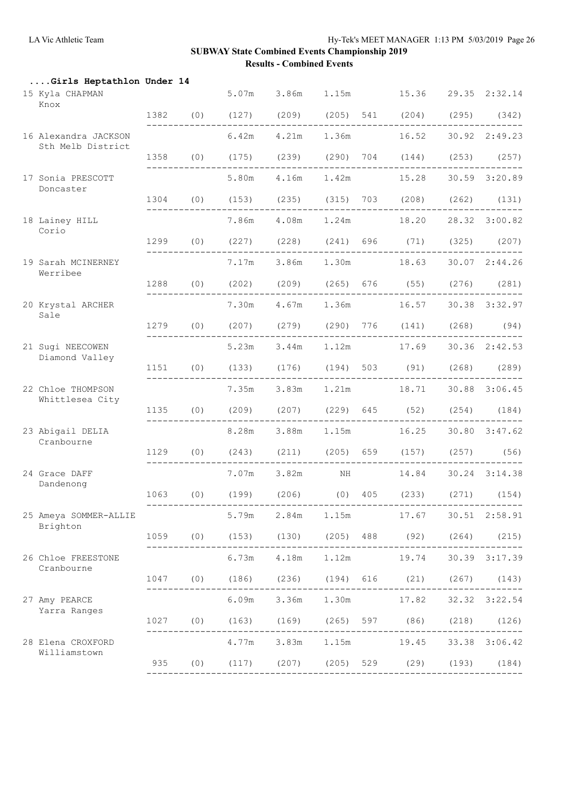#### **....Girls Heptathlon Under 14** 15 Kyla CHAPMAN 5.07m 3.86m 1.15m 15.36 29.35 2:32.14 Knox 1382 (0) (127) (209) (205) 541 (204) (295) (342) ---------------------------------------------------------------------- 16 Alexandra JACKSON 6.42m 4.21m 1.36m 16.52 30.92 2:49.23 Sth Melb District 1358 (0) (175) (239) (290) 704 (144) (253) (257) ---------------------------------------------------------------------- 17 Sonia PRESCOTT 5.80m 4.16m 1.42m 15.28 30.59 3:20.89 Doncaster 1304 (0) (153) (235) (315) 703 (208) (262) (131) ---------------------------------------------------------------------- 18 Lainey HILL 7.86m 4.08m 1.24m 18.20 28.32 3:00.82 Corio 1299 (0) (227) (228) (241) 696 (71) (325) (207) ---------------------------------------------------------------------- 19 Sarah MCINERNEY 7.17m 3.86m 1.30m 18.63 30.07 2:44.26 Werribee 1288 (0) (202) (209) (265) 676 (55) (276) (281) ---------------------------------------------------------------------- 20 Krystal ARCHER 7.30m 4.67m 1.36m 16.57 30.38 3:32.97 Sale 1279 (0) (207) (279) (290) 776 (141) (268) (94) ---------------------------------------------------------------------- 21 Sugi NEECOWEN 5.23m 3.44m 1.12m 17.69 30.36 2:42.53 Diamond Valley 1151 (0) (133) (176) (194) 503 (91) (268) (289) ---------------------------------------------------------------------- 22 Chloe THOMPSON 7.35m 3.83m 1.21m 18.71 30.88 3:06.45 Whittlesea City 1135 (0) (209) (207) (229) 645 (52) (254) (184) ---------------------------------------------------------------------- 23 Abigail DELIA 8.28m 3.88m 1.15m 16.25 30.80 3:47.62 Cranbourne 1129 (0) (243) (211) (205) 659 (157) (257) (56) ---------------------------------------------------------------------- 24 Grace DAFF 7.07m 3.82m NH 14.84 30.24 3:14.38 Dandenong 1063 (0) (199) (206) (0) 405 (233) (271) (154) ---------------------------------------------------------------------- 25 Ameya SOMMER-ALLIE 5.79m 2.84m 1.15m 17.67 30.51 2:58.91 Brighton 1059 (0) (153) (130) (205) 488 (92) (264) (215) ---------------------------------------------------------------------- 26 Chloe FREESTONE 6.73m 4.18m 1.12m 19.74 30.39 3:17.39 Cranbourne 1047 (0) (186) (236) (194) 616 (21) (267) (143) ---------------------------------------------------------------------- 27 Amy PEARCE 6.09m 3.36m 1.30m 17.82 32.32 3:22.54 Yarra Ranges 1027 (0) (163) (169) (265) 597 (86) (218) (126) ---------------------------------------------------------------------- 28 Elena CROXFORD 4.77m 3.83m 1.15m 19.45 33.38 3:06.42 Williamstown 935 (0) (117) (207) (205) 529 (29) (193) (184)

----------------------------------------------------------------------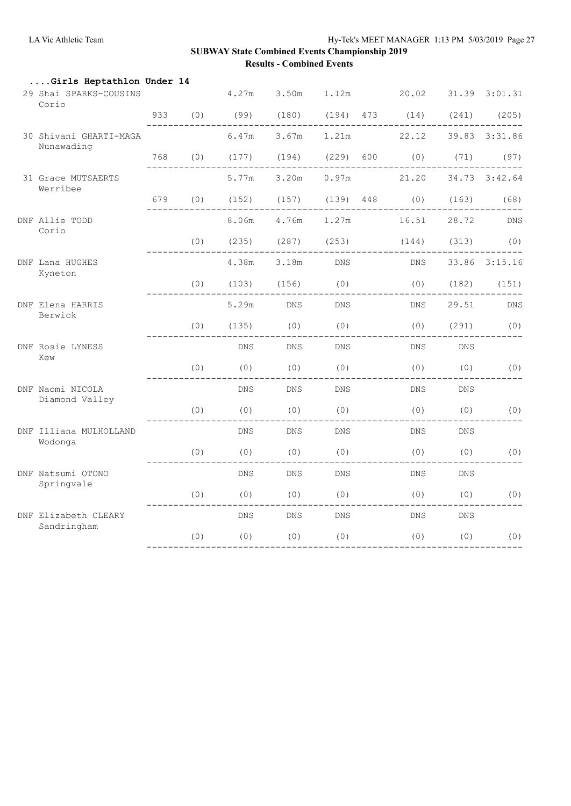### **....Girls Heptathlon Under 14**

| 29 Shai SPARKS-COUSINS<br>Corio |     |     | 4.27m              | 3.50m      | 1.12m              |     | 20.02      | 31.39      | 3:01.31    |
|---------------------------------|-----|-----|--------------------|------------|--------------------|-----|------------|------------|------------|
|                                 | 933 | (0) | (99)               | (180)      | (194)              | 473 | (14)       | (241)      | (205)      |
| 30 Shivani GHARTI-MAGA          |     |     | 6.47m              | 3.67m      | 1.21m              |     | 22.12      | 39.83      | 3:31.86    |
| Nunawading                      | 768 | (0) | (177)              | (194)      | (229)              | 600 | (0)        | (71)       | (97)       |
| 31 Grace MUTSAERTS              |     |     | 5.77m              | 3.20m      | 0.97m              |     | 21.20      | 34.73      | 3:42.64    |
| Werribee                        | 679 | (0) | (152)              | (157)      | (139)              | 448 | (0)        | (163)      | (68)       |
| DNF Allie TODD<br>Corio         |     |     | 8.06m              | 4.76m      | 1.27m              |     | 16.51      | 28.72      | <b>DNS</b> |
|                                 |     | (0) | (235)              | (287)      | (253)              |     | (144)      | (313)      | (0)        |
| DNF Lana HUGHES                 |     |     | 4.38m              | 3.18m      | $\mathop{\rm DNS}$ |     | <b>DNS</b> | 33.86      | 3:15.16    |
| Kyneton                         |     | (0) | (103)              | (156)      | (0)                |     | (0)        | (182)      | (151)      |
| DNF Elena HARRIS<br>Berwick     |     |     | 5.29m              | <b>DNS</b> | <b>DNS</b>         |     | <b>DNS</b> | 29.51      | <b>DNS</b> |
|                                 |     | (0) | (135)              | (0)        | (0)                |     | (0)        | (291)      | (0)        |
| DNF Rosie LYNESS<br>Kew         |     |     | <b>DNS</b>         | <b>DNS</b> | <b>DNS</b>         |     | <b>DNS</b> | DNS        |            |
|                                 |     | (0) | (0)                | (0)        | (0)                |     | (0)        | (0)        | (0)        |
| DNF Naomi NICOLA                |     |     | <b>DNS</b>         | <b>DNS</b> | <b>DNS</b>         |     | <b>DNS</b> | <b>DNS</b> |            |
| Diamond Valley                  |     | (0) | (0)                | (0)        | (0)                |     | (0)        | (0)        | (0)        |
| DNF Illiana MULHOLLAND          |     |     | $\mathop{\rm DNS}$ | DNS        | DNS                |     | DNS        | DNS        |            |
| Wodonga                         |     | (0) | (0)                | (0)        | (0)                |     | (0)        | (0)        | (0)        |
| DNF Natsumi OTONO               |     |     | <b>DNS</b>         | <b>DNS</b> | $\mathop{\rm DNS}$ |     | DNS        | DNS        |            |
| Springvale                      |     | (0) | (0)                | (0)        | (0)                |     | (0)        | (0)        | (0)        |
| DNF Elizabeth CLEARY            |     |     | <b>DNS</b>         | <b>DNS</b> | <b>DNS</b>         |     | <b>DNS</b> | <b>DNS</b> |            |
| Sandringham                     |     | (0) | (0)                | (0)        | (0)                |     | (0)        | (0)        | (0)        |
|                                 |     |     |                    |            |                    |     |            |            |            |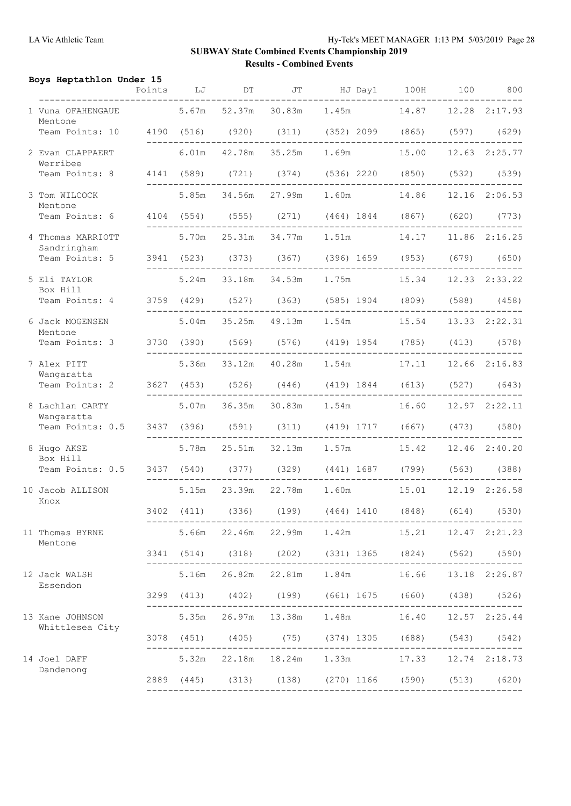#### **Boys Heptathlon Under 15**

|                                                                                    |      |       | Points LJ DT                 |                     |  | JT HJ Day1 100H 100 800<br>. _ _ _ _ _ _ _ _ _                                  |       |               |
|------------------------------------------------------------------------------------|------|-------|------------------------------|---------------------|--|---------------------------------------------------------------------------------|-------|---------------|
| 1 Vuna OFAHENGAUE<br>Mentone                                                       |      |       |                              |                     |  | 5.67m 52.37m 30.83m 1.45m 14.87 12.28 2:17.93                                   |       |               |
| Team Points: 10 4190 (516) (920) (311) (352) 2099 (865) (597) (629)                |      |       |                              |                     |  |                                                                                 |       |               |
| 2 Evan CLAPPAERT<br>Werribee                                                       |      |       |                              |                     |  | 6.01m  42.78m  35.25m  1.69m  15.00                                             |       | 12.63 2:25.77 |
| Team Points: 8  4141  (589)  (721)  (374)  (536)  2220  (850)  (532)  (539)        |      |       |                              |                     |  |                                                                                 |       |               |
| 3 Tom WILCOCK<br>Mentone                                                           |      |       |                              |                     |  | 5.85m 34.56m 27.99m 1.60m 14.86 12.16 2:06.53                                   |       |               |
| Team Points: 6 4104 (554) (555) (271) (464) 1844 (867) (620) (773)                 |      |       |                              |                     |  |                                                                                 |       |               |
| 4 Thomas MARRIOTT<br>Sandringham                                                   |      | 5.70m |                              | 25.31m 34.77m 1.51m |  | 14.17 11.86 2:16.25                                                             |       |               |
| Team Points: 5 3941 (523) (373) (367) (396) 1659 (953) (679) (650)                 |      |       |                              |                     |  |                                                                                 |       |               |
| 5 Eli TAYLOR<br>Box Hill                                                           |      |       |                              |                     |  | 5.24m 33.18m 34.53m 1.75m 15.34                                                 |       | 12.33 2:33.22 |
| Team Points: 4 3759 (429) (527) (363) (585) 1904 (809) (588) (458)                 |      |       |                              |                     |  |                                                                                 |       |               |
| 6 Jack MOGENSEN<br>Mentone                                                         |      |       |                              |                     |  | 5.04m 35.25m 49.13m 1.54m 15.54 13.33 2:22.31                                   |       |               |
| Team Points: 3 3730 (390) (569) (576) (419) 1954 (785) (413) (578)                 |      |       |                              |                     |  |                                                                                 |       |               |
| 7 Alex PITT<br>Wangaratta                                                          |      |       |                              |                     |  | 5.36m 33.12m 40.28m 1.54m 17.11 12.66 2:16.83                                   |       |               |
| Team Points: 2 3627 (453) (526) (446) (419) 1844 (613) (527) (643)                 |      |       |                              |                     |  |                                                                                 |       |               |
| 8 Lachlan CARTY                                                                    |      |       |                              |                     |  | 5.07m 36.35m 30.83m 1.54m 16.60                                                 |       | 12.97 2:22.11 |
| Wangaratta<br>Team Points: 0.5 3437 (396) (591) (311) (419) 1717 (667) (473) (580) |      |       |                              |                     |  |                                                                                 |       |               |
| 8 Hugo AKSE<br>Box Hill                                                            |      |       |                              |                     |  | 5.78m  25.51m  32.13m  1.57m  15.42  12.46  2:40.20                             |       |               |
| Team Points: 0.5 3437 (540) (377) (329) (441) 1687 (799) (563) (388)               |      |       |                              |                     |  |                                                                                 |       |               |
| 10 Jacob ALLISON<br>Knox                                                           |      |       | 5.15m  23.39m  22.78m  1.60m |                     |  | 15.01                                                                           |       | 12.19 2:26.58 |
|                                                                                    | 3402 | (411) | $(336)$ $(199)$              |                     |  | $(464)$ 1410 $(848)$                                                            | (614) | (530)         |
| 11 Thomas BYRNE                                                                    |      |       |                              |                     |  | 5.66m 22.46m 22.99m 1.42m 15.21 12.47 2:21.23                                   |       |               |
| Mentone                                                                            |      |       |                              |                     |  | 3341 (514) (318) (202) (331) 1365 (824) (562) (590)                             |       |               |
| 12 Jack WALSH                                                                      |      |       |                              |                     |  | 5.16m  26.82m  22.81m  1.84m  16.66  13.18  2:26.87                             |       |               |
| Essendon                                                                           |      |       |                              |                     |  | 3299 (413) (402) (199) (661) 1675 (660) (438) (526)                             |       |               |
| 13 Kane JOHNSON                                                                    |      |       |                              |                     |  | ------------------------------<br>5.35m 26.97m 13.38m 1.48m 16.40 12.57 2:25.44 |       |               |
| Whittlesea City                                                                    |      |       |                              |                     |  | 3078 (451) (405) (75) (374) 1305 (688) (543) (542)                              |       |               |
| 14 Joel DAFF                                                                       |      |       |                              |                     |  | 5.32m 22.18m 18.24m 1.33m 17.33 12.74 2:18.73                                   |       |               |
| Dandenong                                                                          |      |       |                              |                     |  | 2889 (445) (313) (138) (270) 1166 (590) (513) (620)                             |       |               |
|                                                                                    |      |       |                              |                     |  |                                                                                 |       |               |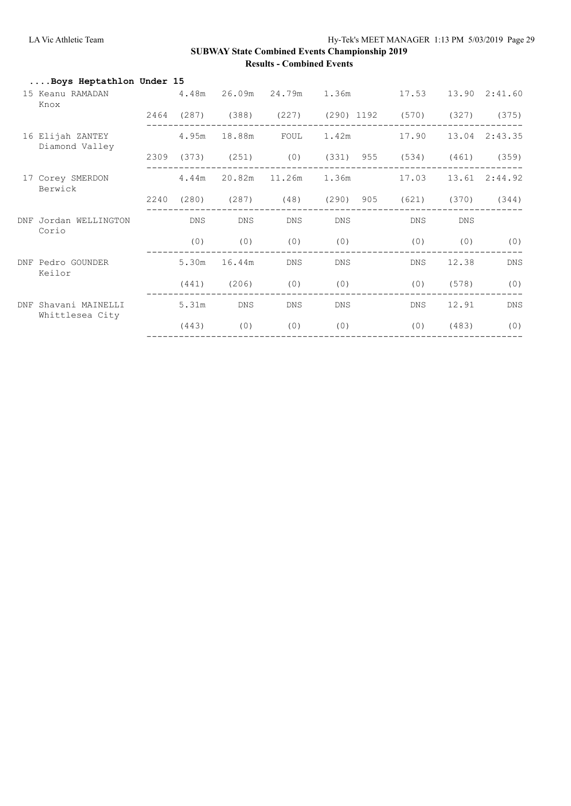### **....Boys Heptathlon Under 15**

| 15 Keanu RAMADAN<br>Knox                | 4.48m |        |                     | 1.36m      | 17.53                                               |       | 13.90 2:41.60   |
|-----------------------------------------|-------|--------|---------------------|------------|-----------------------------------------------------|-------|-----------------|
|                                         |       |        |                     |            | 2464 (287) (388) (227) (290) 1192 (570) (327) (375) |       |                 |
| 16 Elijah ZANTEY<br>Diamond Valley      | 4.95m |        | 18.88m FOUL         | 1.42m      | 17.90                                               |       | 13.04 2:43.35   |
|                                         |       |        |                     |            | 2309 (373) (251) (0) (331) 955 (534) (461) (359)    |       |                 |
| 17 Corey SMERDON<br>Berwick             | 4.44m |        | 20.82m 11.26m 1.36m |            | 17.03                                               |       | 13.61 2:44.92   |
|                                         |       |        |                     |            | 2240 (280) (287) (48) (290) 905 (621)               |       | $(370)$ $(344)$ |
| DNF Jordan WELLINGTON<br>Corio          | DNS   | DNS    | <b>DNS</b>          | DNS        | DNS                                                 | DNS   |                 |
|                                         | (0)   | (0)    | (0)                 | (0)        | (0)                                                 | (0)   | (0)             |
| DNF Pedro GOUNDER<br>Keilor             | 5.30m | 16.44m | DNS                 | <b>DNS</b> | DNS                                                 | 12.38 | <b>DNS</b>      |
|                                         | (441) | (206)  | (0)                 | (0)        | (0)                                                 | (578) | (0)             |
| DNF Shavani MAINELLI<br>Whittlesea City | 5.31m | DNS    | <b>DNS</b>          | <b>DNS</b> | DNS                                                 | 12.91 | <b>DNS</b>      |
|                                         | (443) | (0)    | (0)                 | (0)        | (0)                                                 | (483) | (0)             |
|                                         |       |        |                     |            |                                                     |       |                 |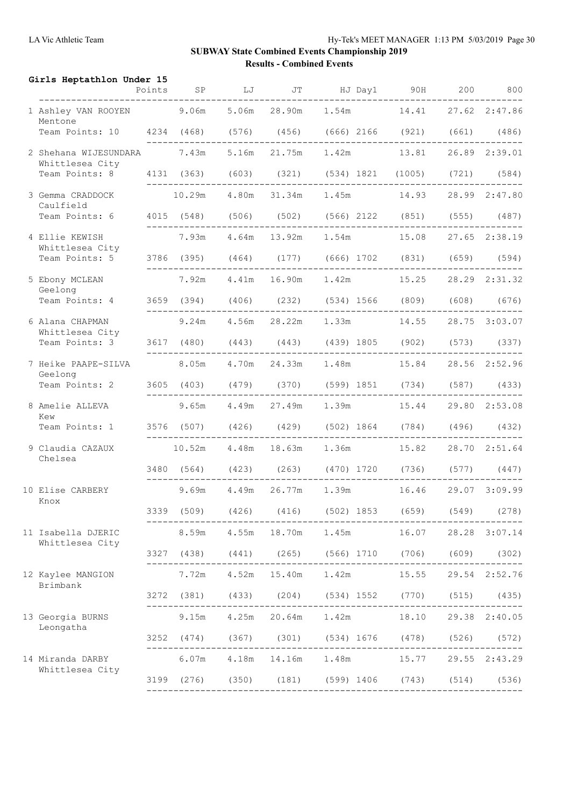| Girls Heptathlon Under 15                                                                |  |                             |  | Points SP LJ JT HJ Day1 90H 200 800                 |                     |               |
|------------------------------------------------------------------------------------------|--|-----------------------------|--|-----------------------------------------------------|---------------------|---------------|
| 1 Ashley VAN ROOYEN 9.06m 5.06m 28.90m 1.54m 14.41 27.62 2:47.86<br>Mentone              |  |                             |  |                                                     |                     |               |
| Team Points: 10  4234  (468)  (576)  (456)  (666)  2166  (921)  (661)  (486)             |  |                             |  |                                                     |                     |               |
| 2 Shehana WIJESUNDARA 7.43m 5.16m 21.75m 1.42m                                           |  |                             |  | 13.81                                               |                     | 26.89 2:39.01 |
| Whittlesea City<br>Team Points: 8 4131 (363) (603) (321) (534) 1821 (1005) (721) (584)   |  |                             |  |                                                     |                     |               |
| 3 Gemma CRADDOCK                                                                         |  |                             |  | $10.29$ m $4.80$ m $31.34$ m $1.45$ m $14.93$       |                     | 28.99 2:47.80 |
| Caulfield<br>Team Points: 6  4015  (548)  (506)  (502)  (566)  2122  (851)  (555)  (487) |  |                             |  |                                                     |                     |               |
| 4 Ellie KEWISH<br>Whittlesea City                                                        |  | 7.93m  4.64m  13.92m  1.54m |  |                                                     | 15.08 27.65 2:38.19 |               |
| Team Points: 5 3786 (395) (464) (177) (666) 1702 (831) (659) (594)                       |  |                             |  |                                                     |                     |               |
| 5 Ebony MCLEAN                                                                           |  | 7.92m  4.41m  16.90m  1.42m |  | 15.25                                               |                     | 28.29 2:31.32 |
| Geelong<br>Team Points: 4 3659 (394) (406) (232) (534) 1566 (809) (608) (676)            |  |                             |  |                                                     |                     |               |
| 6 Alana CHAPMAN                                                                          |  |                             |  | 9.24m 4.56m 28.22m 1.33m 14.55 28.75 3:03.07        |                     |               |
| Whittlesea City<br>Team Points: 3 3617 (480) (443) (443) (439) 1805 (902) (573) (337)    |  |                             |  |                                                     |                     |               |
| 7 Heike PAAPE-SILVA                                                                      |  | 8.05m  4.70m  24.33m  1.48m |  |                                                     | 15.84 28.56 2:52.96 |               |
| Geelong<br>Team Points: 2 3605 (403) (479) (370) (599) 1851 (734) (587) (433)            |  |                             |  |                                                     |                     |               |
| 8 Amelie ALLEVA                                                                          |  | 9.65m  4.49m  27.49m  1.39m |  | 15.44                                               |                     | 29.80 2:53.08 |
| Kew<br>Team Points: 1 3576 (507) (426) (429) (502) 1864 (784) (496) (432)                |  |                             |  |                                                     |                     |               |
| 9 Claudia CAZAUX                                                                         |  |                             |  | 10.52m  4.48m  18.63m  1.36m  15.82                 |                     | 28.70 2:51.64 |
| Chelsea                                                                                  |  | 3480 (564) (423) (263)      |  | $(470)$ 1720 $(736)$ $(577)$ $(447)$                |                     |               |
| 10 Elise CARBERY                                                                         |  | 9.69m 4.49m 26.77m 1.39m    |  | 16.46                                               |                     | 29.07 3:09.99 |
| Knox                                                                                     |  |                             |  | 3339 (509) (426) (416) (502) 1853 (659) (549) (278) |                     |               |
| 11 Isabella DJERIC                                                                       |  |                             |  | 8.59m  4.55m  18.70m  1.45m  16.07  28.28  3:07.14  |                     |               |
| Whittlesea City                                                                          |  |                             |  | 3327 (438) (441) (265) (566) 1710 (706) (609) (302) |                     |               |
| 12 Kaylee MANGION                                                                        |  |                             |  | 7.72m  4.52m  15.40m  1.42m  15.55  29.54  2:52.76  |                     |               |
| Brimbank                                                                                 |  |                             |  | 3272 (381) (433) (204) (534) 1552 (770) (515) (435) |                     |               |
| 13 Georgia BURNS                                                                         |  |                             |  | 9.15m  4.25m  20.64m  1.42m  18.10  29.38  2:40.05  |                     |               |
| Leongatha                                                                                |  |                             |  | 3252 (474) (367) (301) (534) 1676 (478) (526) (572) |                     |               |
| 14 Miranda DARBY                                                                         |  |                             |  | 6.07m  4.18m  14.16m  1.48m  15.77  29.55  2:43.29  |                     |               |
| Whittlesea City                                                                          |  |                             |  | 3199 (276) (350) (181) (599) 1406 (743) (514) (536) |                     |               |
|                                                                                          |  |                             |  |                                                     |                     |               |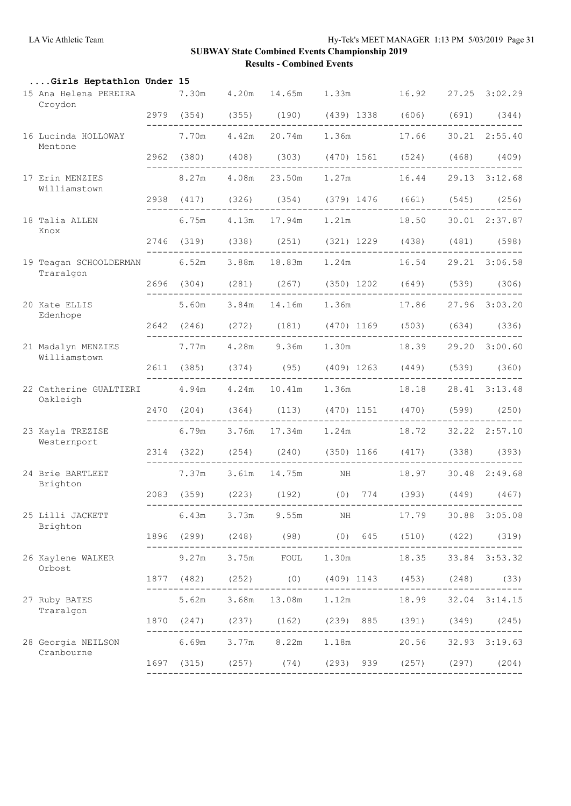#### **....Girls Heptathlon Under 15**

|  | 15 Ana Helena PEREIRA 7.30m 4.20m 14.65m<br>Croydon                |            |                  |                  | 1.33m    | 16.92                                               |       | 27.25 3:02.29 |
|--|--------------------------------------------------------------------|------------|------------------|------------------|----------|-----------------------------------------------------|-------|---------------|
|  |                                                                    |            |                  |                  |          | 2979 (354) (355) (190) (439) 1338 (606) (691) (344) |       |               |
|  | 16 Lucinda HOLLOWAY<br>Mentone                                     |            |                  |                  |          | 7.70m  4.42m  20.74m  1.36m  17.66                  |       | 30.21 2:55.40 |
|  |                                                                    |            |                  |                  |          | 2962 (380) (408) (303) (470) 1561 (524) (468) (409) |       |               |
|  | 17 Erin MENZIES<br>Williamstown                                    |            |                  |                  |          | 8.27m 4.08m 23.50m 1.27m 16.44 29.13 3:12.68        |       |               |
|  |                                                                    |            |                  |                  |          | 2938 (417) (326) (354) (379) 1476 (661) (545) (256) |       |               |
|  | 18 Talia ALLEN<br>Knox                                             |            |                  |                  |          | 6.75m  4.13m  17.94m  1.21m  18.50  30.01  2:37.87  |       |               |
|  |                                                                    |            |                  |                  |          | 2746 (319) (338) (251) (321) 1229 (438) (481) (598) |       |               |
|  | 19 Teagan SCHOOLDERMAN 6.52m 3.88m 18.83m 1.24m 16.54<br>Traralgon |            |                  |                  |          |                                                     |       | 29.21 3:06.58 |
|  |                                                                    |            |                  |                  |          | 2696 (304) (281) (267) (350) 1202 (649) (539) (306) |       |               |
|  | 20 Kate ELLIS<br>Edenhope                                          |            |                  |                  |          | 5.60m 3.84m 14.16m 1.36m 17.86 27.96 3:03.20        |       |               |
|  |                                                                    |            |                  |                  |          | 2642 (246) (272) (181) (470) 1169 (503) (634) (336) |       |               |
|  | 21 Madalyn MENZIES<br>Williamstown                                 |            |                  |                  |          | 7.77m  4.28m  9.36m  1.30m  18.39  29.20  3:00.60   |       |               |
|  |                                                                    |            |                  |                  |          | 2611 (385) (374) (95) (409) 1263 (449) (539) (360)  |       |               |
|  | 22 Catherine GUALTIERI 4.94m 4.24m 10.41m 1.36m 18.18<br>Oakleigh  |            |                  |                  |          |                                                     |       | 28.41 3:13.48 |
|  |                                                                    |            |                  |                  |          | 2470 (204) (364) (113) (470) 1151 (470) (599) (250) |       |               |
|  | 23 Kayla TREZISE<br>Westernport                                    |            |                  |                  |          | 6.79m 3.76m 17.34m 1.24m 18.72 32.22 2:57.10        |       |               |
|  |                                                                    |            |                  |                  |          | 2314 (322) (254) (240) (350) 1166 (417) (338) (393) |       |               |
|  | 24 Brie BARTLEET<br>Brighton                                       |            |                  |                  |          | 7.37m 3.61m 14.75m NH 18.97 30.48 2:49.68           |       |               |
|  |                                                                    |            |                  |                  | -------- | 2083 (359) (223) (192) (0) 774 (393) (449) (467)    |       |               |
|  | 25 Lilli JACKETT<br>Brighton                                       |            |                  |                  |          | 6.43m 3.73m 9.55m NH 17.79 30.88 3:05.08            |       |               |
|  |                                                                    | 1896 (299) | (248)            | (98)             |          | $(0)$ 645 (510)                                     | (422) | (319)         |
|  | 26 Kaylene WALKER<br>Orbost                                        |            |                  |                  |          | 9.27m 3.75m FOUL 1.30m 18.35                        |       | 33.84 3:53.32 |
|  |                                                                    |            | 1877 (482) (252) | (0)              |          | $(409)$ 1143 $(453)$ $(248)$                        |       | (33)          |
|  | 27 Ruby BATES                                                      | 5.62m      |                  | $3.68m$ $13.08m$ | 1.12m    | 18.99                                               |       | 32.04 3:14.15 |
|  | Traralgon                                                          |            |                  |                  |          | 1870 (247) (237) (162) (239) 885 (391) (349) (245)  |       |               |
|  | 28 Georgia NEILSON<br>Cranbourne                                   | 6.69m      |                  | $3.77m$ $8.22m$  |          | 1.18m 20.56                                         |       | 32.93 3:19.63 |
|  |                                                                    |            | 1697 (315) (257) |                  |          | (74) (293) 939 (257)                                | (297) | (204)         |
|  |                                                                    |            |                  |                  |          |                                                     |       |               |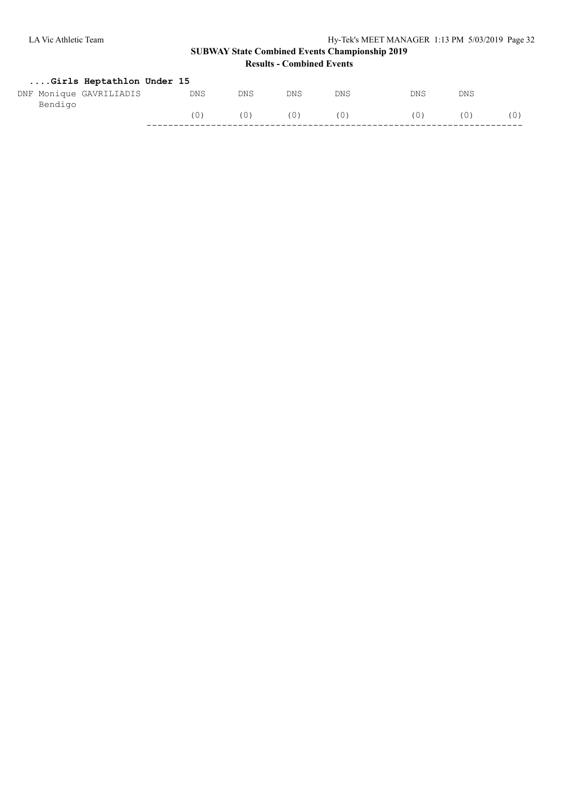#### LA Vic Athletic Team Hy-Tek's MEET MANAGER 1:13 PM 5/03/2019 Page 32

## **SUBWAY State Combined Events Championship 2019 Results - Combined Events**

### **....Girls Heptathlon Under 15**

| DNF Monique GAVRILIADIS<br>Bendigo | DNS | DNS         | DNS | DNS | DNS | DNS |     |
|------------------------------------|-----|-------------|-----|-----|-----|-----|-----|
|                                    |     | $(0)$ $(0)$ | (0) | (0) | (0) | (0) | (0) |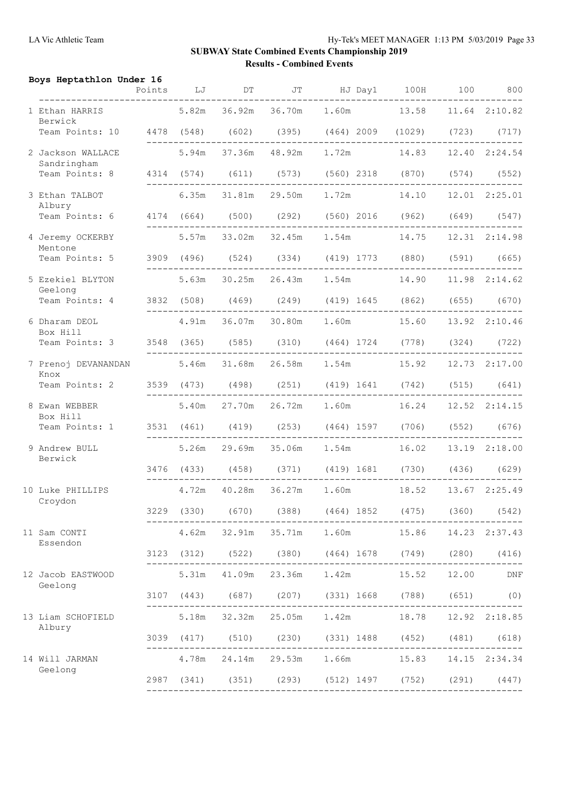#### **Boys Heptathlon Under 16**

|                                                                                            |       | Points LJ  | DT                                |                     |  | JT HJ Day1 100H 100<br>____________________         |       | 800           |
|--------------------------------------------------------------------------------------------|-------|------------|-----------------------------------|---------------------|--|-----------------------------------------------------|-------|---------------|
| 1 Ethan HARRIS<br>Berwick                                                                  | 5.82m |            |                                   |                     |  | 36.92m 36.70m 1.60m 13.58                           |       | 11.64 2:10.82 |
| Team Points: 10 4478 (548) (602) (395) (464) 2009 (1029) (723) (717)                       |       |            |                                   |                     |  |                                                     |       |               |
| 2 Jackson WALLACE                                                                          |       |            | 5.94m 37.36m 48.92m 1.72m         |                     |  | 14.83                                               |       | 12.40 2:24.54 |
| Sandringham<br>Team Points: 8  4314  (574)  (611)  (573)  (560)  2318  (870)  (574)  (552) |       |            |                                   |                     |  |                                                     |       |               |
| 3 Ethan TALBOT<br>Albury                                                                   |       |            |                                   |                     |  | 6.35m 31.81m 29.50m 1.72m 14.10 12.01 2:25.01       |       |               |
| Team Points: 6 4174 (664) (500) (292) (560) 2016 (962) (649) (547)                         |       |            |                                   |                     |  |                                                     |       |               |
| 4 Jeremy OCKERBY<br>Mentone                                                                |       | 5.57m      |                                   | 33.02m 32.45m 1.54m |  | 14.75                                               |       | 12.31 2:14.98 |
| Team Points: 5 3909 (496) (524) (334) (419) 1773 (880) (591) (665)                         |       |            |                                   |                     |  |                                                     |       |               |
| 5 Ezekiel BLYTON<br>Geelong                                                                |       |            |                                   |                     |  | 5.63m 30.25m 26.43m 1.54m 14.90                     |       | 11.98 2:14.62 |
| Team Points: 4 3832 (508) (469) (249) (419) 1645 (862) (655) (670)                         |       |            |                                   |                     |  |                                                     |       |               |
| 6 Dharam DEOL<br>Box Hill                                                                  |       |            |                                   |                     |  | 4.91m 36.07m 30.80m 1.60m 15.60 13.92 2:10.46       |       |               |
| Team Points: 3 3548 (365) (585) (310) (464) 1724 (778) (324) (722)                         |       |            |                                   |                     |  | --------------------------------                    |       |               |
| 7 Prenoj DEVANANDAN<br>Knox                                                                |       |            |                                   |                     |  | 5.46m 31.68m 26.58m 1.54m 15.92 12.73 2:17.00       |       |               |
| Team Points: 2 3539 (473) (498) (251) (419) 1641 (742) (515) (641)                         |       |            |                                   |                     |  |                                                     |       |               |
| 8 Ewan WEBBER                                                                              |       |            | 5.40m 27.70m 26.72m 1.60m         |                     |  | 16.24                                               |       | 12.52 2:14.15 |
| Box Hill<br>Team Points: 1 3531 (461) (419) (253) (464) 1597 (706) (552) (676)             |       |            |                                   |                     |  |                                                     |       |               |
| 9 Andrew BULL<br>Berwick                                                                   |       |            |                                   |                     |  | 5.26m 29.69m 35.06m 1.54m 16.02 13.19 2:18.00       |       |               |
|                                                                                            |       |            |                                   |                     |  | 3476 (433) (458) (371) (419) 1681 (730) (436) (629) |       |               |
| 10 Luke PHILLIPS                                                                           |       |            | $4.72m$ $40.28m$ $36.27m$ $1.60m$ |                     |  | 18.52                                               |       | 13.67 2:25.49 |
| Croydon                                                                                    |       | 3229 (330) | $(670)$ $(388)$                   |                     |  | $(464)$ 1852 $(475)$                                | (360) | (542)         |
| 11 Sam CONTI                                                                               |       |            |                                   |                     |  | 4.62m 32.91m 35.71m 1.60m 15.86 14.23 2:37.43       |       |               |
| Essendon                                                                                   |       |            |                                   |                     |  | 3123 (312) (522) (380) (464) 1678 (749) (280) (416) |       |               |
| 12 Jacob EASTWOOD                                                                          |       |            |                                   |                     |  | 5.31m 41.09m 23.36m 1.42m 15.52 12.00 DNF           |       |               |
| Geelong                                                                                    |       |            |                                   |                     |  | 3107 (443) (687) (207) (331) 1668 (788) (651) (0)   |       |               |
| 13 Liam SCHOFIELD                                                                          |       |            |                                   |                     |  | 5.18m 32.32m 25.05m 1.42m 18.78 12.92 2:18.85       |       |               |
| Albury                                                                                     |       |            |                                   |                     |  | 3039 (417) (510) (230) (331) 1488 (452) (481) (618) |       |               |
| 14 Will JARMAN                                                                             |       |            |                                   |                     |  | 4.78m  24.14m  29.53m  1.66m  15.83  14.15  2:34.34 |       |               |
| Geelong                                                                                    |       |            |                                   |                     |  | 2987 (341) (351) (293) (512) 1497 (752) (291) (447) |       |               |
|                                                                                            |       |            |                                   |                     |  |                                                     |       |               |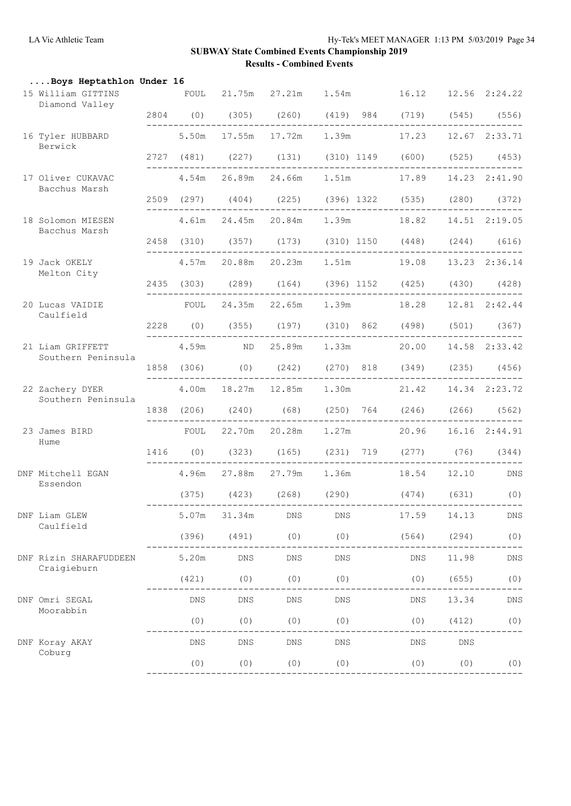## **....Boys Heptathlon Under 16**

| 15 William GITTINS<br>Diamond Valley   |                      |                                 |                    |                    | FOUL 21.75m 27.21m 1.54m 16.12 12.56 2:24.22        |            |               |
|----------------------------------------|----------------------|---------------------------------|--------------------|--------------------|-----------------------------------------------------|------------|---------------|
|                                        |                      |                                 |                    |                    | 2804 (0) (305) (260) (419) 984 (719) (545) (556)    |            |               |
| 16 Tyler HUBBARD<br>Berwick            |                      |                                 |                    |                    | 5.50m 17.55m 17.72m 1.39m 17.23 12.67 2:33.71       |            |               |
|                                        |                      |                                 |                    |                    | 2727 (481) (227) (131) (310) 1149 (600) (525) (453) |            |               |
| 17 Oliver CUKAVAC<br>Bacchus Marsh     | 4.54m                |                                 |                    |                    | 26.89m 24.66m 1.51m 17.89                           |            | 14.23 2:41.90 |
|                                        |                      |                                 |                    |                    | 2509 (297) (404) (225) (396) 1322 (535) (280) (372) |            |               |
| 18 Solomon MIESEN<br>Bacchus Marsh     |                      |                                 |                    |                    | 4.61m  24.45m  20.84m  1.39m  18.82                 |            | 14.51 2:19.05 |
|                                        |                      |                                 |                    |                    | 2458 (310) (357) (173) (310) 1150 (448) (244) (616) |            |               |
| 19 Jack OKELY                          |                      |                                 |                    |                    | 4.57m 20.88m 20.23m 1.51m 19.08 13.23 2:36.14       |            |               |
| Melton City                            |                      |                                 |                    |                    | 2435 (303) (289) (164) (396) 1152 (425) (430) (428) |            |               |
| 20 Lucas VAIDIE                        | FOUL                 |                                 |                    |                    | 24.35m 22.65m 1.39m 18.28                           |            | 12.81 2:42.44 |
| Caulfield                              |                      |                                 |                    |                    | 2228 (0) (355) (197) (310) 862 (498) (501) (367)    |            |               |
| 21 Liam GRIFFETT<br>Southern Peninsula |                      |                                 |                    |                    | 4.59m ND 25.89m 1.33m 20.00                         |            | 14.58 2:33.42 |
|                                        | ____________________ |                                 |                    |                    | 1858 (306) (0) (242) (270) 818 (349) (235) (456)    |            |               |
| 22 Zachery DYER                        |                      |                                 |                    |                    | 4.00m 18.27m 12.85m 1.30m 21.42 14.34 2:23.72       |            |               |
| Southern Peninsula                     |                      |                                 |                    |                    | 1838 (206) (240) (68) (250) 764 (246) (266) (562)   |            |               |
| 23 James BIRD                          | FOUL                 |                                 |                    |                    | 22.70m  20.28m  1.27m  20.96                        |            | 16.16 2:44.91 |
| Hume                                   |                      |                                 |                    |                    | 1416 (0) (323) (165) (231) 719 (277) (76) (344)     |            |               |
| DNF Mitchell EGAN                      |                      |                                 |                    |                    | 4.96m  27.88m  27.79m  1.36m  18.54  12.10  DNS     |            |               |
| Essendon                               |                      | $(375)$ $(423)$ $(268)$ $(290)$ |                    |                    | $(474)$ $(631)$ $(0)$                               |            |               |
| DNF Liam GLEW                          |                      |                                 |                    |                    | 5.07m 31.34m DNS DNS 17.59 14.13 DNS                |            |               |
| Caulfield                              | (396)                | (491)                           | (0)                | (0)                | (564)                                               | (294)      | (0)           |
| DNF Rizin SHARAFUDDEEN                 | 5.20m                | DNS                             | ${\rm DNS}$        | ${\rm DNS}$        | ${\rm DNS}$                                         | 11.98      | DNS           |
| Craigieburn                            | (421)                | (0)                             | (0)                | (0)                | (0)                                                 | (655)      | (0)           |
| DNF Omri SEGAL                         | ${\rm DNS}$          | ${\rm DNS}$                     | ${\rm DNS}$        | ${\rm DNS}$        | DNS                                                 | 13.34      | DNS           |
| Moorabbin                              | (0)                  | (0)                             | (0)                | (0)                | (0)                                                 | (412)      | (0)           |
| DNF Koray AKAY                         | <b>DNS</b>           | <b>DNS</b>                      | $\mathop{\rm DNS}$ | $\mathop{\rm DNS}$ | <b>DNS</b>                                          | <b>DNS</b> |               |
| Coburg                                 | (0)                  | (0)                             | (0)                | (0)                | (0)                                                 | (0)        | (0)           |
|                                        |                      |                                 |                    |                    |                                                     |            |               |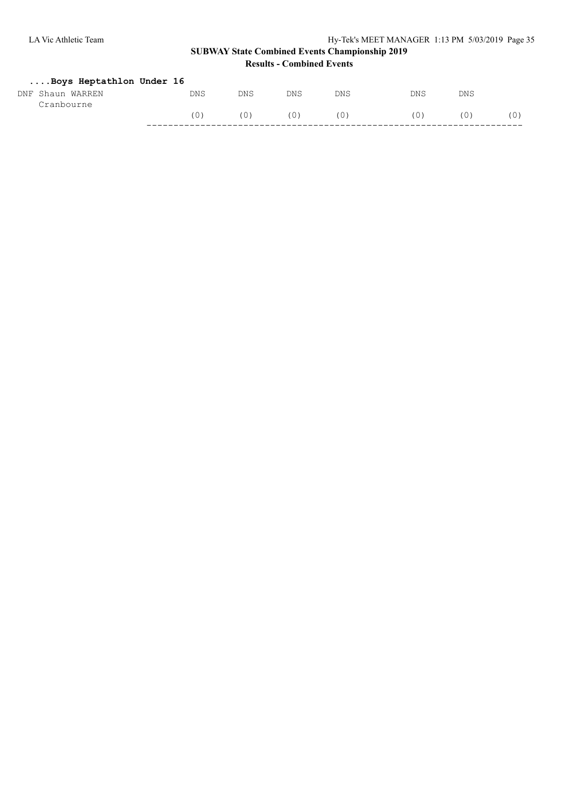#### LA Vic Athletic Team Hy-Tek's MEET MANAGER 1:13 PM 5/03/2019 Page 35

## **SUBWAY State Combined Events Championship 2019 Results - Combined Events**

#### **....Boys Heptathlon Under 16**

| DNF Shaun WARREN | DNS | DNS | DNS. | DNS | DNS | DNS |     |
|------------------|-----|-----|------|-----|-----|-----|-----|
| Cranbourne       | (0) | (0) | (0)  | (0) | (0) | (0) | (0) |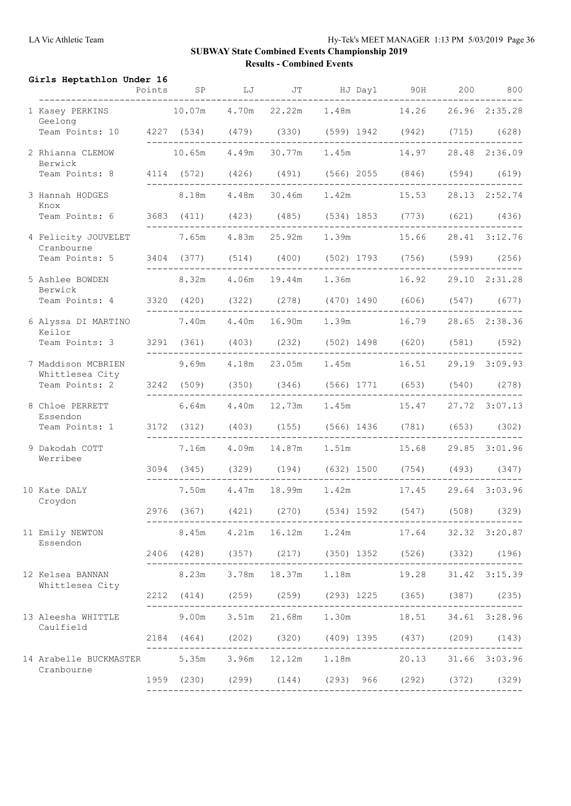| Girls Heptathlon Under 16                                                     |  |                                  |  | Points SP LJ JT HJ Day1 90H 200 800                 |                     |               |
|-------------------------------------------------------------------------------|--|----------------------------------|--|-----------------------------------------------------|---------------------|---------------|
| 1 Kasey PERKINS 10.07m 4.70m 22.22m 1.48m 14.26 26.96 2:35.28<br>Geelong      |  |                                  |  |                                                     |                     |               |
| Team Points: 10  4227  (534)  (479)  (330)  (599)  1942  (942)  (715)  (628)  |  |                                  |  |                                                     |                     |               |
| 2 Rhianna CLEMOW                                                              |  | 10.65m  4.49m  30.77m  1.45m     |  | 14.97                                               |                     | 28.48 2:36.09 |
| Berwick<br>Team Points: 8 4114 (572) (426) (491) (566) 2055 (846) (594) (619) |  |                                  |  |                                                     |                     |               |
| 3 Hannah HODGES<br>Knox                                                       |  |                                  |  | 8.18m  4.48m  30.46m  1.42m  15.53  28.13  2:52.74  |                     |               |
| Team Points: 6 3683 (411) (423) (485) (534) 1853 (773) (621) (436)            |  |                                  |  |                                                     |                     |               |
| 4 Felicity JOUVELET<br>Cranbourne                                             |  | 7.65m  4.83m  25.92m  1.39m      |  |                                                     | 15.66 28.41 3:12.76 |               |
| Team Points: 5 3404 (377) (514) (400) (502) 1793 (756) (599) (256)            |  |                                  |  |                                                     |                     |               |
| 5 Ashlee BOWDEN<br>Berwick                                                    |  | 8.32m  4.06m  19.44m  1.36m      |  | 16.92                                               |                     | 29.10 2:31.28 |
| Team Points: 4 3320 (420) (322) (278) (470) 1490 (606) (547) (677)            |  |                                  |  |                                                     |                     |               |
| 6 Alyssa DI MARTINO<br>Keilor                                                 |  |                                  |  | 7.40m  4.40m  16.90m  1.39m  16.79                  |                     | 28.65 2:38.36 |
| Team Points: 3 3291 (361) (403) (232) (502) 1498 (620) (581) (592)            |  |                                  |  |                                                     |                     |               |
| 7 Maddison MCBRIEN<br>Whittlesea City                                         |  | $9.69m$ $4.18m$ $23.05m$ $1.45m$ |  |                                                     | 16.51 29.19 3:09.93 |               |
| Team Points: 2 3242 (509) (350) (346) (566) 1771 (653) (540) (278)            |  |                                  |  |                                                     |                     |               |
| 8 Chloe PERRETT<br>Essendon                                                   |  | $6.64m$ $4.40m$ $12.73m$ $1.45m$ |  | 15.47                                               |                     | 27.72 3:07.13 |
| Team Points: 1 3172 (312) (403) (155) (566) 1436 (781) (653) (302)            |  |                                  |  |                                                     |                     |               |
| 9 Dakodah COTT<br>Werribee                                                    |  |                                  |  | 7.16m  4.09m  14.87m  1.51m  15.68  29.85  3:01.96  |                     |               |
|                                                                               |  |                                  |  | 3094 (345) (329) (194) (632) 1500 (754) (493) (347) |                     |               |
| 10 Kate DALY                                                                  |  | 7.50m  4.47m  18.99m  1.42m      |  | 17.45 29.64 3:03.96                                 |                     |               |
| Croydon                                                                       |  |                                  |  | 2976 (367) (421) (270) (534) 1592 (547) (508) (329) |                     |               |
| 11 Emily NEWTON                                                               |  |                                  |  | 8.45m 4.21m 16.12m 1.24m 17.64 32.32 3:20.87        |                     |               |
| Essendon                                                                      |  |                                  |  | 2406 (428) (357) (217) (350) 1352 (526) (332) (196) |                     |               |
| 12 Kelsea BANNAN                                                              |  |                                  |  | 8.23m 3.78m 18.37m 1.18m 19.28 31.42 3:15.39        |                     |               |
| Whittlesea City                                                               |  |                                  |  |                                                     |                     |               |
| 13 Aleesha WHITTLE                                                            |  |                                  |  | 9.00m 3.51m 21.68m 1.30m 18.51 34.61 3:28.96        |                     |               |
| Caulfield                                                                     |  |                                  |  | 2184 (464) (202) (320) (409) 1395 (437) (209) (143) |                     |               |
| 14 Arabelle BUCKMASTER 5.35m 3.96m 12.12m 1.18m 20.13 31.66 3:03.96           |  |                                  |  |                                                     |                     |               |
| Cranbourne                                                                    |  |                                  |  | 1959 (230) (299) (144) (293) 966 (292) (372) (329)  |                     |               |
|                                                                               |  |                                  |  |                                                     |                     |               |